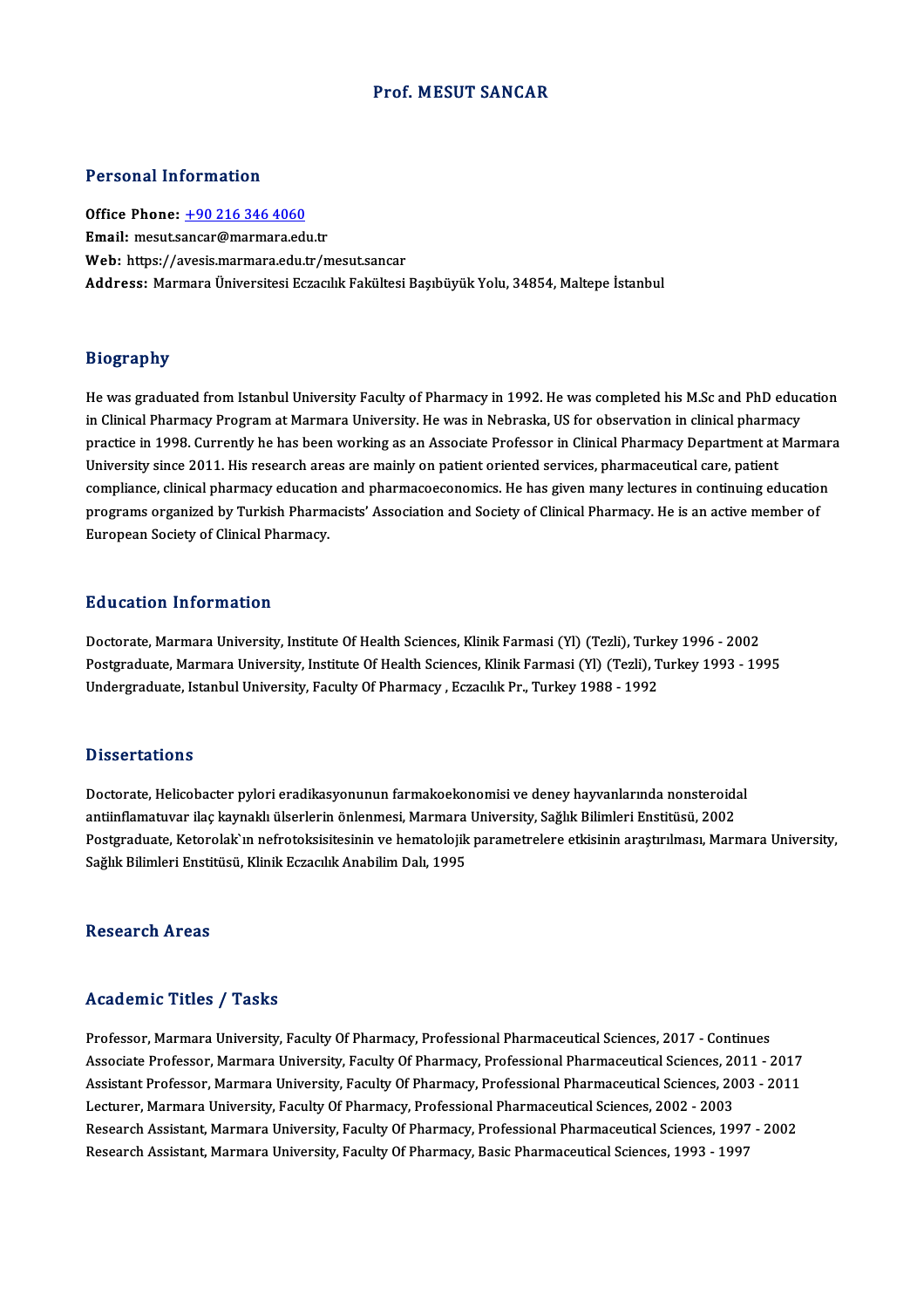#### Prof.MESUT SANCAR

#### Personal Information

Office Phone: +90 216 346 4060 Email: mesut.s[ancar@marmara.ed](tel:+90 216 346 4060)u.tr Web: https://avesis.marmara.edu.tr/mesut.sancar Address: Marmara Üniversitesi Eczacılık Fakültesi Basıbüyük Yolu, 34854, Maltepe İstanbul

#### Biography

Biography<br>He was graduated from Istanbul University Faculty of Pharmacy in 1992. He was completed his M.Sc and PhD education<br>in Clinical Pharmacy Program at Marmara University, He was in Nebraska US for observation in clin ncy, applied the system of the Warshington Harmack in 1992. He was completed his M.Sc and PhD eduction as a re<br>In Clinical Pharmacy Program at Marmara University. He was in Nebraska, US for observation in clinical pharmacy He was graduated from Istanbul University Faculty of Pharmacy in 1992. He was completed his M.Sc and PhD education<br>in Clinical Pharmacy Program at Marmara University. He was in Nebraska, US for observation in clinical phar in Clinical Pharmacy Program at Marmara University. He was in Nebraska, US for observation in clinical pharmacy<br>practice in 1998. Currently he has been working as an Associate Professor in Clinical Pharmacy Department at M practice in 1998. Currently he has been working as an Associate Professor in Clinical Pharmacy Department at Marmara<br>University since 2011. His research areas are mainly on patient oriented services, pharmaceutical care, p compliance, clinical pharmacy education and pharmacoeconomics. He has given many lectures in continuing education European Society of Clinical Pharmacy.

#### Education Information

Education Information<br>Doctorate, Marmara University, Institute Of Health Sciences, Klinik Farmasi (Yl) (Tezli), Turkey 1996 - 2002<br>Postsraduate Marmara University, Institute Of Health Sciences, Klinik Farmasi (Yl) (Tezli), Postgraduate, Marmara University, Institute Of Health Sciences, Klinik Farmasi (Yl) (Tezli), Turkey 1993 - 1995<br>Undergraduate, Istanbul University, Faculty Of Pharmacy , Eczacılık Pr., Turkey 1988 - 1992 Doctorate, Marmara University, Institute Of Health Sciences, Klinik Farmasi (Yl) (Tezli), Turk<br>Postgraduate, Marmara University, Institute Of Health Sciences, Klinik Farmasi (Yl) (Tezli), T<br>Undergraduate, Istanbul Universi

#### **Dissertations**

Dissertations<br>Doctorate, Helicobacter pylori eradikasyonunun farmakoekonomisi ve deney hayvanlarında nonsteroidal<br>antiinflametuver ileə kaynaklı ükərlərin önlərməsi, Marmara University, Sağlık Bilimləri Enstitüsü, 2002 antionisti<br>Doctorate, Helicobacter pylori eradikasyonunun farmakoekonomisi ve deney hayvanlarında nonsteroida<br>antiinflamatuvar ilaç kaynaklı ülserlerin önlenmesi, Marmara University, Sağlık Bilimleri Enstitüsü, 2002<br>Bostan Doctorate, Helicobacter pylori eradikasyonunun farmakoekonomisi ve deney hayvanlarında nonsteroidal<br>antiinflamatuvar ilaç kaynaklı ülserlerin önlenmesi, Marmara University, Sağlık Bilimleri Enstitüsü, 2002<br>Postgraduate, Ke antiinflamatuvar ilaç kaynaklı ülserlerin önlenmesi, Marmara<br>Postgraduate, Ketorolak`ın nefrotoksisitesinin ve hematolojik<br>Sağlık Bilimleri Enstitüsü, Klinik Eczacılık Anabilim Dalı, 1995 Sağlık Bilimleri Enstitüsü, Klinik Eczacılık Anabilim Dalı, 1995<br>Research Areas

#### Academic Titles / Tasks

Professor, Marmara University, Faculty Of Pharmacy, Professional Pharmaceutical Sciences, 2017 - Continues Associate Article 7 Tubate<br>Professor, Marmara University, Faculty Of Pharmacy, Professional Pharmaceutical Sciences, 2017 - Continues<br>Associate Professor, Marmara University, Faculty Of Pharmacy, Professional Pharmaceutica Professor, Marmara University, Faculty Of Pharmacy, Professional Pharmaceutical Sciences, 2017 - Continues<br>Associate Professor, Marmara University, Faculty Of Pharmacy, Professional Pharmaceutical Sciences, 2011 - 2017<br>Ass Associate Professor, Marmara University, Faculty Of Pharmacy, Professional Pharmaceutical Sciences, 20<br>Assistant Professor, Marmara University, Faculty Of Pharmacy, Professional Pharmaceutical Sciences, 20<br>Lecturer, Marmar Assistant Professor, Marmara University, Faculty Of Pharmacy, Professional Pharmaceutical Sciences, 2003 - 2011<br>Lecturer, Marmara University, Faculty Of Pharmacy, Professional Pharmaceutical Sciences, 2002 - 2003<br>Research Lecturer, Marmara University, Faculty Of Pharmacy, Professional Pharmaceutical Sciences, 2002 - 2003<br>Research Assistant, Marmara University, Faculty Of Pharmacy, Professional Pharmaceutical Sciences, 1997<br>Research Assistan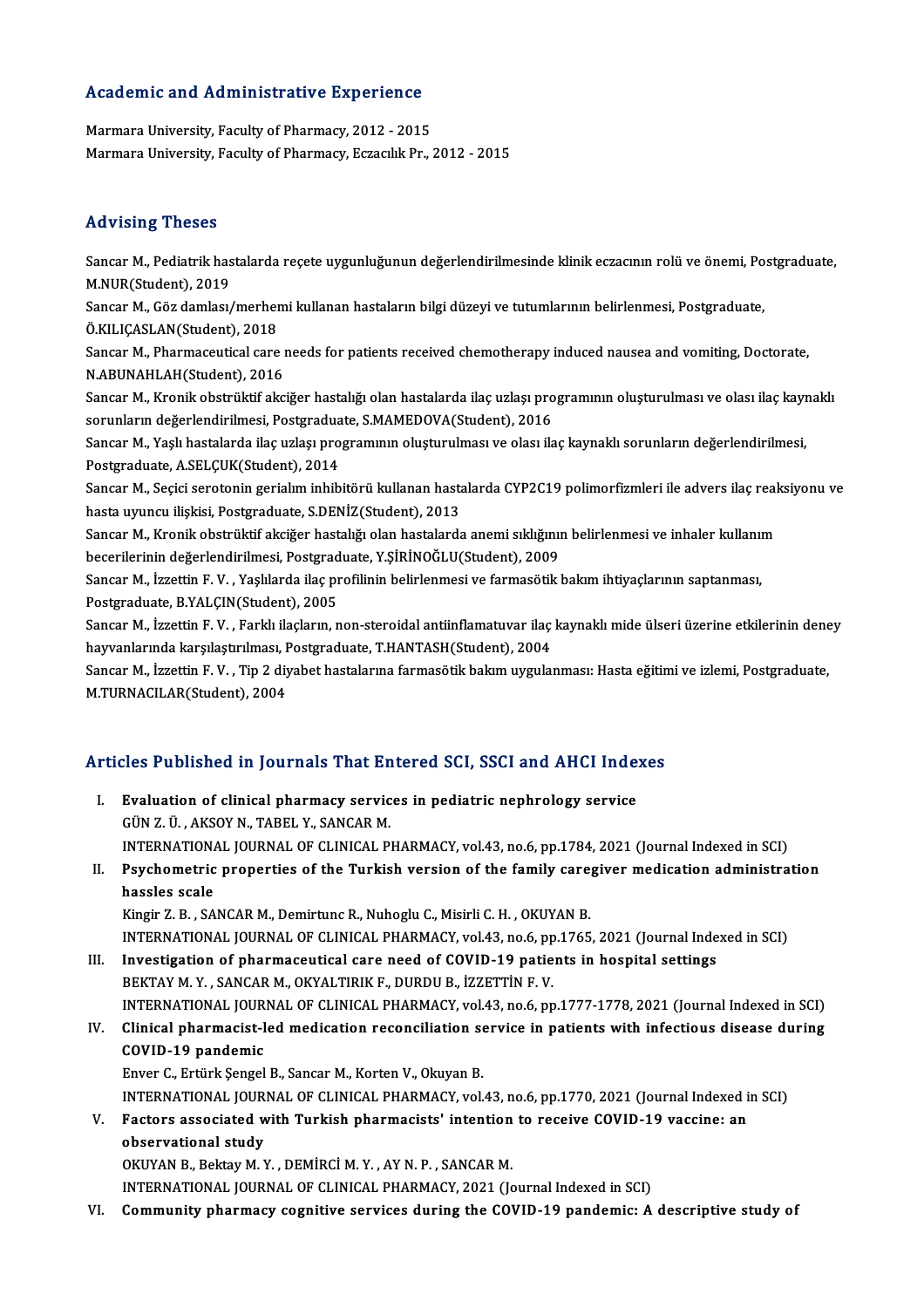# Academic and Administrative Experience

Academic and Administrative Experience<br>Marmara University, Faculty of Pharmacy, 2012 - 2015<br>Marmara University, Faculty of Pharmacy, Eccasily Pr Marmara University, Faculty of Pharmacy, 2012 - 2015<br>Marmara University, Faculty of Pharmacy, Eczacılık Pr., 2012 - 2015

#### Advising Theses

Advising Theses<br>Sancar M., Pediatrik hastalarda reçete uygunluğunun değerlendirilmesinde klinik eczacının rolü ve önemi, Postgraduate,<br>M.NUR(Student), 2010 May Ising<br>1990<br>M.NUR(Student), 2019<br>Sangar M. Cër damlagu Sancar M., Pediatrik hastalarda reçete uygunluğunun değerlendirilmesinde klinik eczacının rolü ve önemi, Po<br>M.NUR(Student), 2019<br>Sancar M., Göz damlası/merhemi kullanan hastaların bilgi düzeyi ve tutumlarının belirlenmesi, M.NUR(Student), 2019<br>Sancar M., Göz damlası/merher<br>Ö.KILIÇASLAN(Student), 2018<br>Sancar M., Pharmasoutical care Sancar M., Göz damlası/merhemi kullanan hastaların bilgi düzeyi ve tutumlarının belirlenmesi, Postgraduate,<br>Ö.KILIÇASLAN(Student), 2018<br>Sancar M., Pharmaceutical care needs for patients received chemotherapy induced nausea Ö.KILIÇASLAN(Student), 2018<br>Sancar M., Pharmaceutical care needs for patients received chemotherapy induced nausea and vomiting, Doctorate,<br>N.ABUNAHLAH(Student), 2016 Sancar M., Pharmaceutical care needs for patients received chemotherapy induced nausea and vomiting, Doctorate,<br>N.ABUNAHLAH(Student), 2016<br>Sancar M., Kronik obstrüktif akciğer hastalığı olan hastalarda ilaç uzlaşı programı N.ABUNAHLAH(Student), 2016<br>Sancar M., Kronik obstrüktif akciğer hastalığı olan hastalarda ilaç uzlaşı pro<br>sorunların değerlendirilmesi, Postgraduate, S.MAMEDOVA(Student), 2016<br>Sancar M., Vaslı hastalarda ilaş uzlası progra Sancar M., Kronik obstrüktif akciğer hastalığı olan hastalarda ilaç uzlaşı programının oluşturulması ve olası ilaç kayı<br>sorunların değerlendirilmesi, Postgraduate, S.MAMEDOVA(Student), 2016<br>Sancar M., Yaşlı hastalarda ilaç sorunların değerlendirilmesi, Postgraduate, S.MAMEDOVA(Student), 2016<br>Sancar M., Yaşlı hastalarda ilaç uzlaşı programının oluşturulması ve olası ilaç kaynaklı sorunların değerlendirilmesi,<br>Postgraduate, A.SELÇUK(Student), Sancar M., Yaşlı hastalarda ilaç uzlaşı programının oluşturulması ve olası ilaç kaynaklı sorunların değerlendirilmesi,<br>Postgraduate, A.SELÇUK(Student), 2014<br>Sancar M., Seçici serotonin gerialım inhibitörü kullanan hastalar Postgraduate, A.SELÇUK(Student), 2014<br>Sancar M., Seçici serotonin gerialım inhibitörü kullanan hasta<br>hasta uyuncu ilişkisi, Postgraduate, S.DENİZ(Student), 2013<br>Sancar M. Kronik obetrültif eksiğer bastalığı olan bastalarda Sancar M., Seçici serotonin gerialım inhibitörü kullanan hastalarda CYP2C19 polimorfizmleri ile advers ilaç reak<br>hasta uyuncu ilişkisi, Postgraduate, S.DENİZ(Student), 2013<br>Sancar M., Kronik obstrüktif akciğer hastalığı ol hasta uyuncu ilişkisi, Postgraduate, S.DENİZ(Student), 2013<br>Sancar M., Kronik obstrüktif akciğer hastalığı olan hastalarda anemi sıklığını<br>becerilerinin değerlendirilmesi, Postgraduate, Y.ŞİRİNOĞLU(Student), 2009<br>Sancar M. Sancar M., Kronik obstrüktif akciğer hastalığı olan hastalarda anemi sıklığının belirlenmesi ve inhaler kullanı<br>becerilerinin değerlendirilmesi, Postgraduate, Y.ŞİRİNOĞLU(Student), 2009<br>Sancar M., İzzettin F. V. , Yaşlılar becerilerinin değerlendirilmesi, Postgraduate, Y.ŞİRİNOĞLU(Student), 2009<br>Sancar M., İzzettin F. V. , Yaşlılarda ilaç profilinin belirlenmesi ve farmasötik bakım ihtiyaçlarının saptanması,<br>Postgraduate, B.YALÇIN(Student), Sancar M., İzzettin F. V. , Yaşlılarda ilaç profilinin belirlenmesi ve farmasötik bakım ihtiyaçlarının saptanması,<br>Postgraduate, B.YALÇIN(Student), 2005<br>Sancar M., İzzettin F. V. , Farklı ilaçların, non-steroidal antiinfla Postgraduate, B.YALÇIN(Student), 2005<br>Sancar M., İzzettin F. V. , Farklı ilaçların, non-steroidal antiinflamatuvar ilaç<br>hayvanlarında karşılaştırılması, Postgraduate, T.HANTASH(Student), 2004<br>Sancar M., İzrettin E. V., Tin Sancar M., İzzettin F. V. , Farklı ilaçların, non-steroidal antiinflamatuvar ilaç kaynaklı mide ülseri üzerine etkilerinin dene<br>hayvanlarında karşılaştırılması, Postgraduate, T.HANTASH(Student), 2004<br>Sancar M., İzzettin F. hayvanlarında karşılaştırılması, Postgraduate, T.HANTASH(Student), 2004<br>Sancar M., İzzettin F. V. , Tip 2 diyabet hastalarına farmasötik bakım uygulanması: Hasta eğitimi ve izlemi, Postgraduate,<br>M.TURNACILAR(Student), 2004 M.TORNACILAR(Student), 2004<br>Articles Published in Journals That Entered SCI, SSCI and AHCI Indexes

rticles Published in Journals That Entered SCI, SSCI and AHCI Index<br>I. Evaluation of clinical pharmacy services in pediatric nephrology service<br>CUNZ U. AVSOV N. TAREL V. SANGAR M I. Evaluation of clinical pharmacy services in pediatric nephrology service<br>GÜNZ. Ü., AKSOYN., TABEL Y., SANCARM. INTERNATIONAL JOURNALOF CLINICAL PHARMACY,vol.43,no.6,pp.1784,2021 (Journal Indexed inSCI) GÜN Z. Ü., AKSOY N., TABEL Y., SANCAR M.<br>INTERNATIONAL JOURNAL OF CLINICAL PHARMACY, vol.43, no.6, pp.1784, 2021 (Journal Indexed in SCI)<br>II. Psychometric properties of the Turkish version of the family caregiver medicatio

### INTERNATIONA<br>Psychometric<br>hassles scale<br>Kingin 7, P., SA Psychometric properties of the Turkish version of the family care;<br>hassles scale<br>Kingir Z.B. , SANCAR M., Demirtunc R., Nuhoglu C., Misirli C. H. , OKUYAN B.<br>INTERNATIONAL JOURNAL OF CLINICAL BHARMACY, vol.43, p.9.6, pp.17 hassles scale<br>Kingir Z. B. , SANCAR M., Demirtunc R., Nuhoglu C., Misirli C. H. , OKUYAN B.<br>INTERNATIONAL JOURNAL OF CLINICAL PHARMACY, vol.43, no.6, pp.1765, 2021 (Journal Indexed in SCI)

Kingir Z. B., SANCAR M., Demirtunc R., Nuhoglu C., Misirli C. H., OKUYAN B.<br>INTERNATIONAL JOURNAL OF CLINICAL PHARMACY, vol.43, no.6, pp.1765, 2021 (Journal Inde<br>III. Investigation of pharmaceutical care need of COVID-19 p INTERNATIONAL JOURNAL OF CLINICAL PHARMACY, vol.43, no.6, pp<br>Investigation of pharmaceutical care need of COVID-19 patie<br>BEKTAY M.Y., SANCAR M., OKYALTIRIK F., DURDU B., İZZETTİN F. V.<br>INTERNATIONAL JOURNAL OF CLINICAL PHA Investigation of pharmaceutical care need of COVID-19 patients in hospital settings<br>BEKTAY M. Y. , SANCAR M., OKYALTIRIK F., DURDU B., İZZETTİN F. V.<br>INTERNATIONAL JOURNAL OF CLINICAL PHARMACY, vol.43, no.6, pp.1777-1778, BEKTAY M. Y. , SANCAR M., OKYALTIRIK F., DURDU B., İZZETTİN F. V.<br>INTERNATIONAL JOURNAL OF CLINICAL PHARMACY, vol.43, no.6, pp.1777-1778, 2021 (Journal Indexed in SCI)<br>IV. Clinical pharmacist-led medication reconciliation

# INTERNATIONAL JOUR<br>Clinical pharmacist-l<br>COVID-19 pandemic<br>Enver C. Ertürk Sengel Clinical pharmacist-led medication reconciliation se<br>COVID-19 pandemic<br>Enver C., Ertürk Şengel B., Sancar M., Korten V., Okuyan B.<br>INTERNATIONAL JOURNAL OF CLINICAL PHARMACY vol

COVID-19 pandemic<br>Enver C., Ertürk Şengel B., Sancar M., Korten V., Okuyan B.<br>INTERNATIONAL JOURNAL OF CLINICAL PHARMACY, vol.43, no.6, pp.1770, 2021 (Journal Indexed in SCI)<br>Festers associated with Turkish pharmacists' in Enver C., Ertürk Şengel B., Sancar M., Korten V., Okuyan B.<br>INTERNATIONAL JOURNAL OF CLINICAL PHARMACY, vol.43, no.6, pp.1770, 2021 (Journal Indexed is<br>V. Factors associated with Turkish pharmacists' intention to receive C

INTERNATIONAL JOUR<br>Factors associated w<br>observational study<br>OVUVAN B. Poktov M. Y

OKUYANB.,BektayM.Y. ,DEMİRCİM.Y. ,AYN.P. ,SANCARM.

INTERNATIONAL JOURNAL OF CLINICAL PHARMACY, 2021 (Journal Indexed in SCI)

VI. Community pharmacy cognitive services during the COVID-19 pandemic: A descriptive study of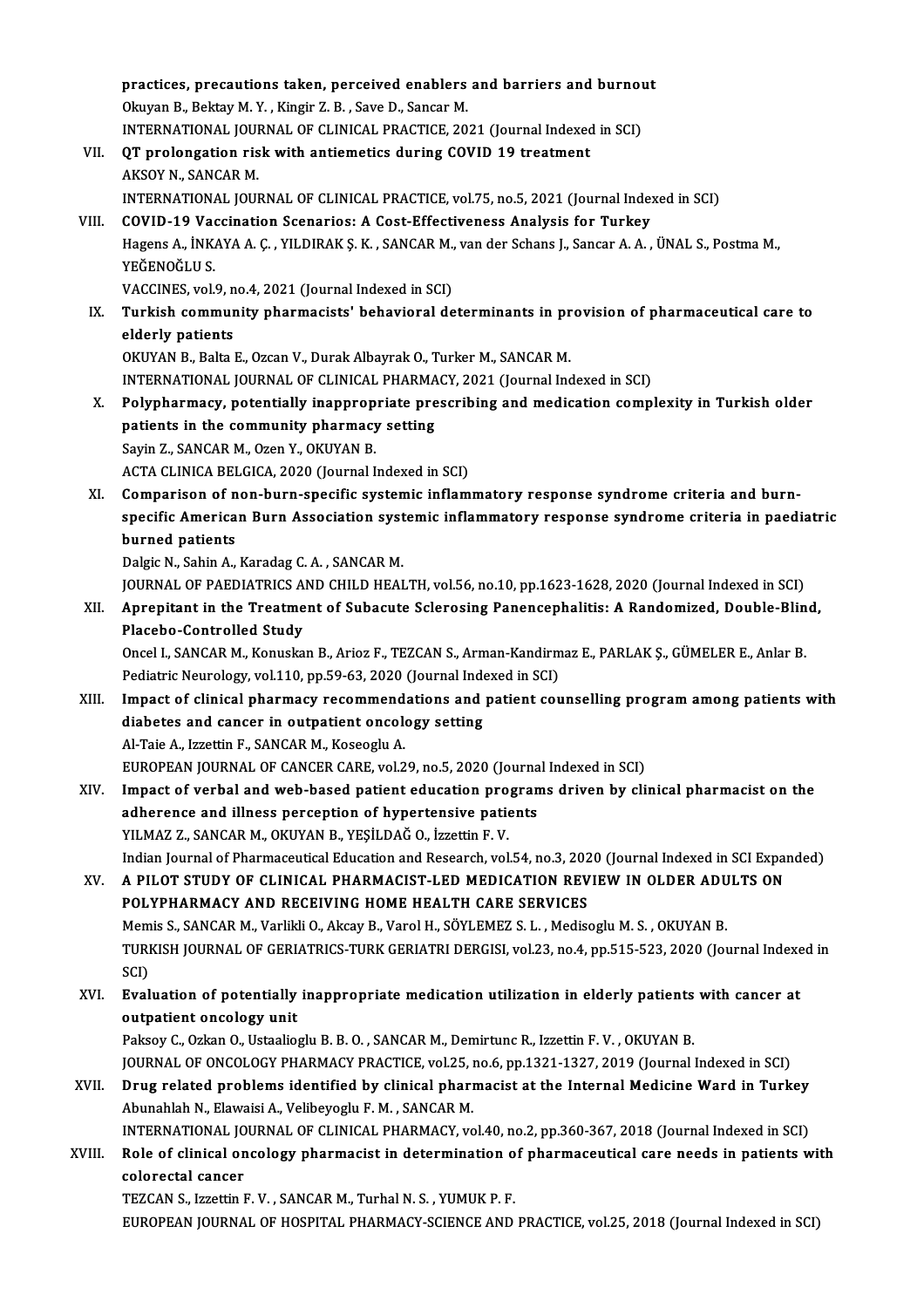practices, precautions taken, perceived enablers and barriers and burnout<br>Clauga B, Boltau M V, Kingin 7, B, Sove D, Sangar M practices, precautions taken, perceived enablers<br>Okuyan B., Bektay M.Y. , Kingir Z. B. , Save D., Sancar M.<br>INTERNATIONAL JOURNAL OF GLINICAL PRACTICE 20 practices, precautions taken, perceived enablers and barriers and burnou<br>Okuyan B., Bektay M.Y., Kingir Z.B., Save D., Sancar M.<br>INTERNATIONAL JOURNAL OF CLINICAL PRACTICE, 2021 (Journal Indexed in SCI)<br>OT prolongation ric Okuyan B., Bektay M. Y. , Kingir Z. B. , Save D., Sancar M.<br>INTERNATIONAL JOURNAL OF CLINICAL PRACTICE, 2021 (Journal Indexed<br>VII. QT prolongation risk with antiemetics during COVID 19 treatment<br>AKSOY N., SANCAR M. INTERNATIONAL JOURNAL OF CLINICAL PRACTICE, 2021 (Journal Indexed in SCI) INTERNATIONAL JOURNAL OF CLINICAL PRACTICE, vol.75, no.5, 2021 (Journal Indexed in SCI) AKSOY N., SANCAR M.<br>INTERNATIONAL JOURNAL OF CLINICAL PRACTICE, vol.75, no.5, 2021 (Journal Index<br>VIII. COVID-19 Vaccination Scenarios: A Cost-Effectiveness Analysis for Turkey<br>Hagang A . INKAYA A G. VILDIRAKS K. SANCAR M. Hagens A., İNKAYA A. Ç. , YILDIRAK Ş. K. , SANCAR M., van der Schans J., Sancar A. A. , ÜNAL S., Postma M.,<br>YEĞENOĞLU S. COVID-19 Vac<br>Hagens A., İNK<br>YEĞENOĞLU S.<br>VACCINES vel Hagens A., İNKAYA A. Ç. , YILDIRAK Ş. K. , SANCAR M.,<br>YEĞENOĞLU S.<br>VACCINES, vol.9, no.4, 2021 (Journal Indexed in SCI)<br>Turkish community pharmasists', bahayiaral da YEĞENOĞLU S.<br>VACCINES, vol.9, no.4, 2021 (Journal Indexed in SCI)<br>IX. Turkish community pharmacists' behavioral determinants in provision of pharmaceutical care to<br>clderly patients VACCINES, vol.9, n<br>Turkish communel<br>derly patients<br>OVUVAN P. Polta l Turkish community pharmacists' behavioral determinants in prederly patients<br>OKUYAN B., Balta E., Ozcan V., Durak Albayrak O., Turker M., SANCAR M.<br>INTERNATIONAL JOURNAL OF CLINICAL PHARMACY 2021 (Journal Inc elderly patients<br>OKUYAN B., Balta E., Ozcan V., Durak Albayrak O., Turker M., SANCAR M.<br>INTERNATIONAL JOURNAL OF CLINICAL PHARMACY, 2021 (Journal Indexed in SCI)<br>Polypharmacy, potentially inconnecpriste prescribing and mod OKUYAN B., Balta E., Ozcan V., Durak Albayrak O., Turker M., SANCAR M.<br>INTERNATIONAL JOURNAL OF CLINICAL PHARMACY, 2021 (Journal Indexed in SCI)<br>X. Polypharmacy, potentially inappropriate prescribing and medication complex INTERNATIONAL JOURNAL OF CLINICAL PHARMA<br>Polypharmacy, potentially inappropriate pre<br>patients in the community pharmacy setting<br>Savin 7, SANGAR M, OZAR Y, OKUVAN P Polypharmacy, potentially inapprop<br>patients in the community pharmacy<br>Sayin Z., SANCAR M., Ozen Y., OKUYAN B.<br>ACTA CLINICA BELCICA 2020 (Journal L patients in the community pharmacy setting<br>Sayin Z., SANCAR M., Ozen Y., OKUYAN B.<br>ACTA CLINICA BELGICA, 2020 (Journal Indexed in SCI) XI. Comparison of non-burn-specific systemic inflammatory response syndrome criteria and burn-ACTA CLINICA BELGICA, 2020 (Journal Indexed in SCI)<br>Comparison of non-burn-specific systemic inflammatory response syndrome criteria and burn-<br>specific American Burn Association systemic inflammatory response syndrome crit Comparison of n<br>specific America<br>burned patients<br><sup>Dolgic N. Sobin A</sup> Specific American Burn Association syst<br>burned patients<br>Dalgic N., Sahin A., Karadag C. A. , SANCAR M.<br>JOUPNAL OF PAEDIATRICS AND CUILD UEAL burned patients<br>Dalgic N., Sahin A., Karadag C. A. , SANCAR M.<br>JOURNAL OF PAEDIATRICS AND CHILD HEALTH, vol.56, no.10, pp.1623-1628, 2020 (Journal Indexed in SCI)<br>Annenitant in the Treatment of Subagute Sclaresing Panensen Dalgic N., Sahin A., Karadag C. A. , SANCAR M.<br>JOURNAL OF PAEDIATRICS AND CHILD HEALTH, vol.56, no.10, pp.1623-1628, 2020 (Journal Indexed in SCI)<br>XII. Aprepitant in the Treatment of Subacute Sclerosing Panencephalitis **JOURNAL OF PAEDIATRICS A**<br>**Aprepitant in the Treatme<br>Placebo-Controlled Study**<br>Ongel L SANCAR M Kenuska Aprepitant in the Treatment of Subacute Sclerosing Panencephalitis: A Randomized, Double-Blin<br>Placebo-Controlled Study<br>Oncel I., SANCAR M., Konuskan B., Arioz F., TEZCAN S., Arman-Kandirmaz E., PARLAK Ş., GÜMELER E., Anlar Placebo-Controlled Study<br>Oncel I., SANCAR M., Konuskan B., Arioz F., TEZCAN S., Arman-Kandirmaz E., PARLAK Ş., GÜMELER E., Anlar B.<br>Pediatric Neurology, vol.110, pp.59-63, 2020 (Journal Indexed in SCI) XIII. Impact of clinical pharmacy recommendations and patient counselling program among patients with Pediatric Neurology, vol.110, pp.59-63, 2020 (Journal Inde<br>Impact of clinical pharmacy recommendations and<br>diabetes and cancer in outpatient oncology setting<br>Al Tajo A. Igrattin E. SANGAR M. Kessoghy A. Impact of clinical pharmacy recommend<br>diabetes and cancer in outpatient oncolo<br>Al-Taie A., Izzettin F., SANCAR M., Koseoglu A.<br>EUROPEAN JOURNAL OF CANCER CARE vol 2 Al-Taie A., Izzettin F., SANCAR M., Koseoglu A.<br>EUROPEAN JOURNAL OF CANCER CARE, vol.29, no.5, 2020 (Journal Indexed in SCI) Al-Taie A., Izzettin F., SANCAR M., Koseoglu A.<br>EUROPEAN JOURNAL OF CANCER CARE, vol.29, no.5, 2020 (Journal Indexed in SCI)<br>XIV. Impact of verbal and web-based patient education programs driven by clinical pharmacist on t EUROPEAN JOURNAL OF CANCER CARE, vol.29, no.5, 2020 (Journa<br>Impact of verbal and web-based patient education progran<br>adherence and illness perception of hypertensive patients<br>VILMAZZ, SANCAR M, OVIVAN P, VESU DAČ O, Igrati Impact of verbal and web-based patient education pro<br>adherence and illness perception of hypertensive patie<br>YILMAZ Z., SANCAR M., OKUYAN B., YEŞİLDAĞ O., İzzettin F. V.<br>Indian Journal of Pharmacautical Education and Pessan adherence and illness perception of hypertensive patients<br>YILMAZ Z., SANCAR M., OKUYAN B., YEŞİLDAĞ O., İzzettin F. V.<br>Indian Journal of Pharmaceutical Education and Research, vol.54, no.3, 2020 (Journal Indexed in SCI Exp YILMAZ Z., SANCAR M., OKUYAN B., YEŞİLDAĞ O., İzzettin F. V.<br>Indian Journal of Pharmaceutical Education and Research, vol.54, no.3, 2020 (Journal Indexed in SCI Expansion<br>XV. A PILOT STUDY OF CLINICAL PHARMACIST-LED Indian Journal of Pharmaceutical Education and Research, vol.54, no.3, 202<br>A PILOT STUDY OF CLINICAL PHARMACIST-LED MEDICATION REV<br>POLYPHARMACY AND RECEIVING HOME HEALTH CARE SERVICES<br>Momic S. SANCAR M. Varlikli O. Akeav R A PILOT STUDY OF CLINICAL PHARMACIST-LED MEDICATION REVIEW IN OLDER ADU<br>POLYPHARMACY AND RECEIVING HOME HEALTH CARE SERVICES<br>Memis S., SANCAR M., Varlikli O., Akcay B., Varol H., SÖYLEMEZ S. L. , Medisoglu M. S. , OKUYAN B POLYPHARMACY AND RECEIVING HOME HEALTH CARE SERVICES<br>Memis S., SANCAR M., Varlikli O., Akcay B., Varol H., SÖYLEMEZ S. L. , Medisoglu M. S. , OKUYAN B.<br>TURKISH JOURNAL OF GERIATRICS-TURK GERIATRI DERGISI, vol.23, no.4, pp. Mem<br>TURI<br>SCI)<br>Eval TURKISH JOURNAL OF GERIATRICS-TURK GERIATRI DERGISI, vol.23, no.4, pp.515-523, 2020 (Journal Indexe<br>SCI)<br>XVI. Evaluation of potentially inappropriate medication utilization in elderly patients with cancer at<br>autoritiont an SCI)<br>Evaluation of potentially<br>outpatient oncology unit<br>Peksey C. Orkan O. Hetaelie Evaluation of potentially inappropriate medication utilization in elderly patients<br>outpatient oncology unit<br>Paksoy C., Ozkan O., Ustaalioglu B. B. O. , SANCAR M., Demirtunc R., Izzettin F. V. , OKUYAN B.<br>JOUPMAL OF ONCOLOC outpatient oncology unit<br>Paksoy C., Ozkan O., Ustaalioglu B. B. O. , SANCAR M., Demirtunc R., Izzettin F. V. , OKUYAN B.<br>JOURNAL OF ONCOLOGY PHARMACY PRACTICE, vol.25, no.6, pp.1321-1327, 2019 (Journal Indexed in SCI)<br>Dnug Paksoy C., Ozkan O., Ustaalioglu B. B. O., SANCAR M., Demirtunc R., Izzettin F. V., OKUYAN B.<br>JOURNAL OF ONCOLOGY PHARMACY PRACTICE, vol.25, no.6, pp.1321-1327, 2019 (Journal Indexed in SCI)<br>XVII. Drug related problems ide JOURNAL OF ONCOLOGY PHARMACY PRACTICE, vol.25, 1<br>Drug related problems identified by clinical phari<br>Abunahlah N., Elawaisi A., Velibeyoglu F. M. , SANCAR M.<br>INTERNATIONAL JOURNAL OF CLINICAL PHARMACY VG Drug related problems identified by clinical pharmacist at the Internal Medicine Ward in Turkey<br>Abunahlah N., Elawaisi A., Velibeyoglu F. M. , SANCAR M.<br>INTERNATIONAL JOURNAL OF CLINICAL PHARMACY, vol.40, no.2, pp.360-367, Abunahlah N., Elawaisi A., Velibeyoglu F. M. , SANCAR M.<br>INTERNATIONAL JOURNAL OF CLINICAL PHARMACY, vol.40, no.2, pp.360-367, 2018 (Journal Indexed in SCI)<br>XVIII. Role of clinical oncology pharmacist in determination of p INTERNATIONAL JO<br>Role of clinical on<br>colorectal cancer<br>TEZCAN S. Issattin l Role of clinical oncology pharmacist in determination o<br>colorectal cancer<br>TEZCAN S., Izzettin F. V. , SANCAR M., Turhal N. S. , YUMUK P. F.<br>FUROPEAN JOURNAL OF HOSPITAL PHARMACY SCIENCE AND colorectal cancer<br>TEZCAN S., Izzettin F. V. , SANCAR M., Turhal N. S. , YUMUK P. F.<br>EUROPEAN JOURNAL OF HOSPITAL PHARMACY-SCIENCE AND PRACTICE, vol.25, 2018 (Journal Indexed in SCI)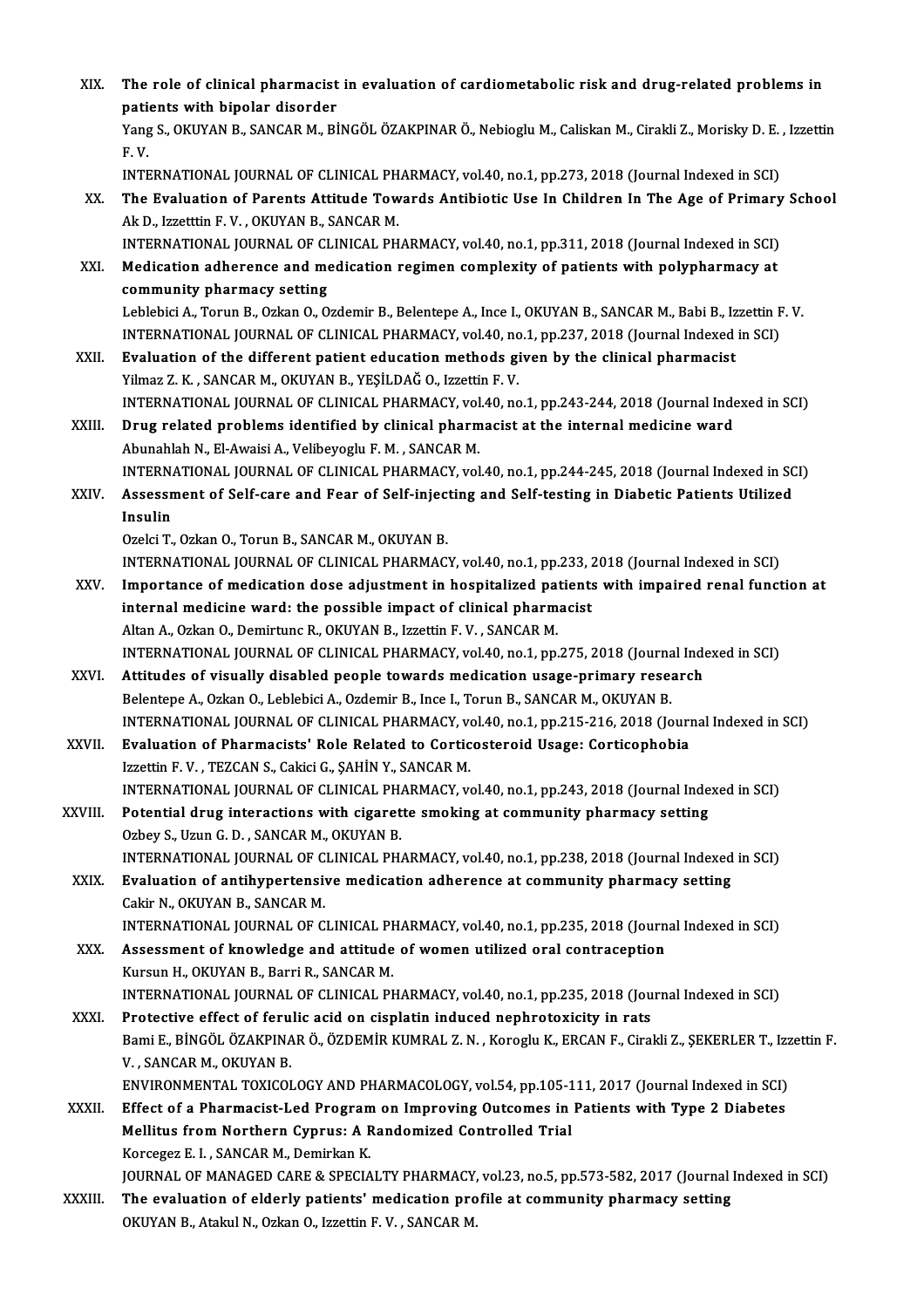| XIX.         | The role of clinical pharmacist in evaluation of cardiometabolic risk and drug-related problems in                |
|--------------|-------------------------------------------------------------------------------------------------------------------|
|              | patients with bipolar disorder                                                                                    |
|              | Yang S., OKUYAN B., SANCAR M., BİNGÖL ÖZAKPINAR Ö., Nebioglu M., Caliskan M., Cirakli Z., Morisky D. E., Izzettin |
|              | F.V.                                                                                                              |
|              | INTERNATIONAL JOURNAL OF CLINICAL PHARMACY, vol.40, no.1, pp.273, 2018 (Journal Indexed in SCI)                   |
| XX.          | The Evaluation of Parents Attitude Towards Antibiotic Use In Children In The Age of Primary School                |
|              | Ak D., Izzetttin F.V., OKUYAN B., SANCAR M.                                                                       |
|              | INTERNATIONAL JOURNAL OF CLINICAL PHARMACY, vol.40, no.1, pp.311, 2018 (Journal Indexed in SCI)                   |
| XXI.         | Medication adherence and medication regimen complexity of patients with polypharmacy at                           |
|              | community pharmacy setting                                                                                        |
|              | Leblebici A., Torun B., Ozkan O., Ozdemir B., Belentepe A., Ince I., OKUYAN B., SANCAR M., Babi B., Izzettin F.V. |
|              | INTERNATIONAL JOURNAL OF CLINICAL PHARMACY, vol.40, no.1, pp.237, 2018 (Journal Indexed in SCI)                   |
| XXII.        | Evaluation of the different patient education methods given by the clinical pharmacist                            |
|              | Yilmaz Z. K., SANCAR M., OKUYAN B., YEŞİLDAĞ O., Izzettin F. V.                                                   |
|              | INTERNATIONAL JOURNAL OF CLINICAL PHARMACY, vol.40, no.1, pp.243-244, 2018 (Journal Indexed in SCI)               |
| XXIII.       | Drug related problems identified by clinical pharmacist at the internal medicine ward                             |
|              | Abunahlah N., El-Awaisi A., Velibeyoglu F. M., SANCAR M.                                                          |
|              | INTERNATIONAL JOURNAL OF CLINICAL PHARMACY, vol.40, no.1, pp.244-245, 2018 (Journal Indexed in SCI)               |
| XXIV.        | Assessment of Self-care and Fear of Self-injecting and Self-testing in Diabetic Patients Utilized                 |
|              | Insulin                                                                                                           |
|              | Ozelci T., Ozkan O., Torun B., SANCAR M., OKUYAN B.                                                               |
|              | INTERNATIONAL JOURNAL OF CLINICAL PHARMACY, vol.40, no.1, pp.233, 2018 (Journal Indexed in SCI)                   |
| XXV.         | Importance of medication dose adjustment in hospitalized patients with impaired renal function at                 |
|              | internal medicine ward: the possible impact of clinical pharmacist                                                |
|              | Altan A., Ozkan O., Demirtunc R., OKUYAN B., Izzettin F. V., SANCAR M.                                            |
|              | INTERNATIONAL JOURNAL OF CLINICAL PHARMACY, vol.40, no.1, pp.275, 2018 (Journal Indexed in SCI)                   |
| XXVI.        | Attitudes of visually disabled people towards medication usage-primary research                                   |
|              | Belentepe A., Ozkan O., Leblebici A., Ozdemir B., Ince I., Torun B., SANCAR M., OKUYAN B.                         |
|              | INTERNATIONAL JOURNAL OF CLINICAL PHARMACY, vol.40, no.1, pp.215-216, 2018 (Journal Indexed in SCI)               |
| XXVII.       | Evaluation of Pharmacists' Role Related to Corticosteroid Usage: Corticophobia                                    |
|              | Izzettin F.V., TEZCAN S., Cakici G., SAHİN Y., SANCAR M.                                                          |
|              | INTERNATIONAL JOURNAL OF CLINICAL PHARMACY, vol.40, no.1, pp.243, 2018 (Journal Indexed in SCI)                   |
| XXVIII.      | Potential drug interactions with cigarette smoking at community pharmacy setting                                  |
|              | Ozbey S., Uzun G. D., SANCAR M., OKUYAN B.                                                                        |
|              | INTERNATIONAL JOURNAL OF CLINICAL PHARMACY, vol.40, no.1, pp.238, 2018 (Journal Indexed in SCI)                   |
| XXIX.        | Evaluation of antihypertensive medication adherence at community pharmacy setting                                 |
|              | Cakir N., OKUYAN B., SANCAR M.                                                                                    |
|              | INTERNATIONAL JOURNAL OF CLINICAL PHARMACY, vol.40, no.1, pp.235, 2018 (Journal Indexed in SCI)                   |
| XXX.         | Assessment of knowledge and attitude of women utilized oral contraception                                         |
|              | Kursun H., OKUYAN B., Barri R., SANCAR M.                                                                         |
|              | INTERNATIONAL JOURNAL OF CLINICAL PHARMACY, vol.40, no.1, pp.235, 2018 (Journal Indexed in SCI)                   |
| XXXI.        | Protective effect of ferulic acid on cisplatin induced nephrotoxicity in rats                                     |
|              | Bami E., BİNGÖL ÖZAKPINAR Ö., ÖZDEMİR KUMRAL Z. N., Koroglu K., ERCAN F., Cirakli Z., ŞEKERLER T., Izzettin F.    |
|              | V., SANCAR M., OKUYAN B.                                                                                          |
|              | ENVIRONMENTAL TOXICOLOGY AND PHARMACOLOGY, vol.54, pp.105-111, 2017 (Journal Indexed in SCI)                      |
| <b>XXXII</b> | Effect of a Pharmacist-Led Program on Improving Outcomes in Patients with Type 2 Diabetes                         |
|              | Mellitus from Northern Cyprus: A Randomized Controlled Trial                                                      |
|              | Korcegez E. I., SANCAR M., Demirkan K.                                                                            |
|              | JOURNAL OF MANAGED CARE & SPECIALTY PHARMACY, vol.23, no.5, pp.573-582, 2017 (Journal Indexed in SCI)             |
| XXXIII.      | The evaluation of elderly patients' medication profile at community pharmacy setting                              |
|              | OKUYAN B., Atakul N., Ozkan O., Izzettin F. V., SANCAR M.                                                         |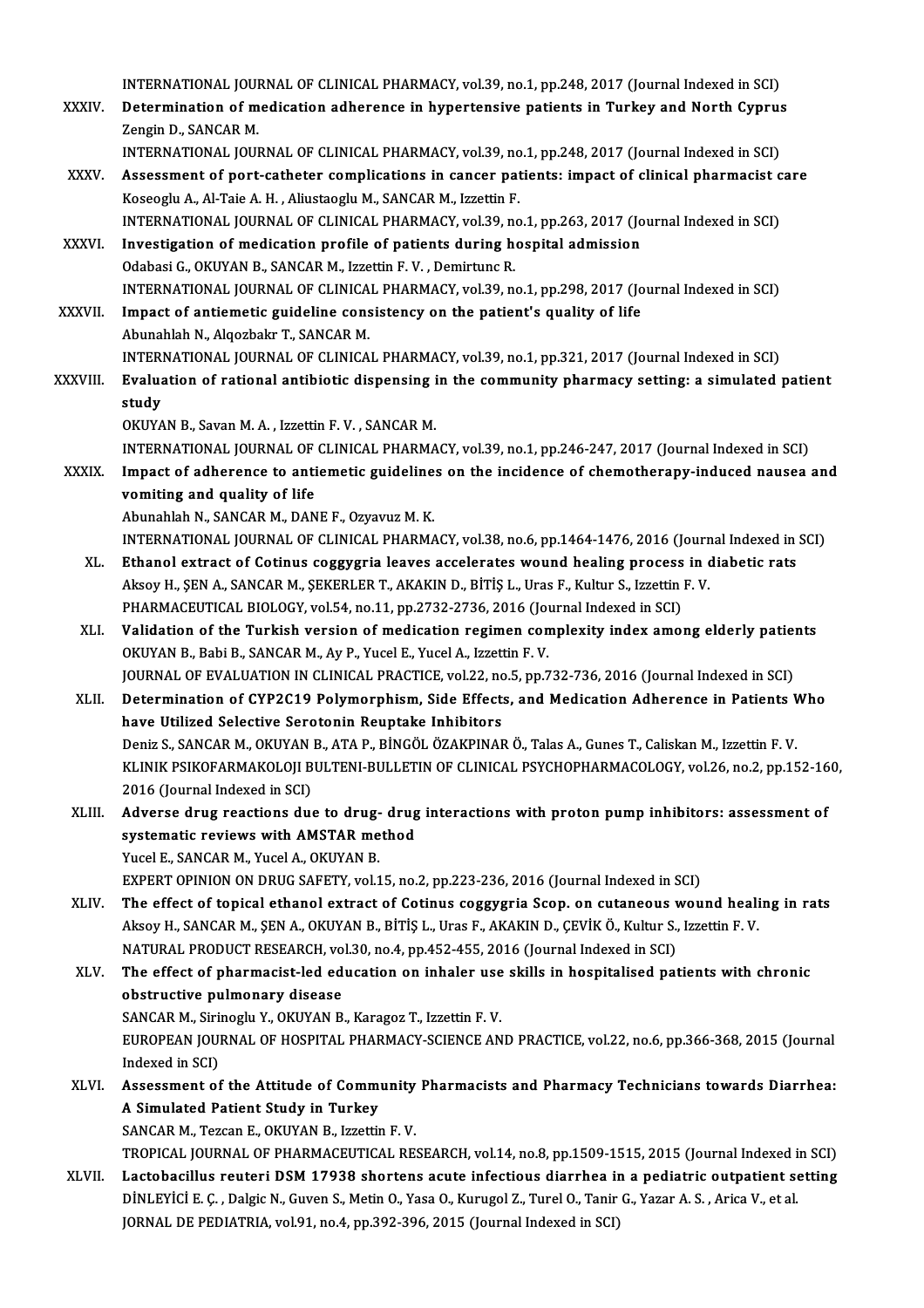INTERNATIONAL JOURNAL OF CLINICAL PHARMACY, vol.39, no.1, pp.248, 2017 (Journal Indexed in SCI)<br>Determination of modiation adhenones in hypertensive nationts in Tunkey and Neath Cungus

- INTERNATIONAL JOURNAL OF CLINICAL PHARMACY, vol.39, no.1, pp.248, 2017 (Journal Indexed in SCI)<br>XXXIV. Determination of medication adherence in hypertensive patients in Turkey and North Cyprus INTERNATIONAL JOUI<br>Determination of m<br>Zengin D., SANCAR M.<br>INTERNATIONAL JOUI Determination of medication adherence in hypertensive patients in Turkey and North Cyprus<br>Zengin D., SANCAR M.<br>INTERNATIONAL JOURNAL OF CLINICAL PHARMACY, vol.39, no.1, pp.248, 2017 (Journal Indexed in SCI)
	-
- Zengin D., SANCAR M.<br>INTERNATIONAL JOURNAL OF CLINICAL PHARMACY, vol.39, no.1, pp.248, 2017 (Journal Indexed in SCI)<br>XXXV. Assessment of port-catheter complications in cancer patients: impact of clinical pharmacist care<br>Ke Koseoglu A., Al-Taie A. H., Aliustaoglu M., SANCAR M., Izzettin F. Assessment of port-catheter complications in cancer patients: impact of clinical pharmacist c<br>Koseoglu A., Al-Taie A. H. , Aliustaoglu M., SANCAR M., Izzettin F.<br>INTERNATIONAL JOURNAL OF CLINICAL PHARMACY, vol.39, no.1, pp Koseoglu A., Al-Taie A. H. , Aliustaoglu M., SANCAR M., Izzettin F.<br>INTERNATIONAL JOURNAL OF CLINICAL PHARMACY, vol.39, no.1, pp.263, 2017 (Jo<br>XXXVI. Investigation of medication profile of patients during hospital admissio
- INTERNATIONAL JOURNAL OF CLINICAL PHARMACY, vol.39, no<br>Investigation of medication profile of patients during hold<br>Odabasi G., OKUYAN B., SANCAR M., Izzettin F. V. , Demirtunc R.<br>INTERNATIONAL JOURNAL OF CLINICAL PHARMACY Investigation of medication profile of patients during hospital admission<br>Odabasi G., OKUYAN B., SANCAR M., Izzettin F. V. , Demirtunc R.<br>INTERNATIONAL JOURNAL OF CLINICAL PHARMACY, vol.39, no.1, pp.298, 2017 (Journal Inde Odabasi G., OKUYAN B., SANCAR M., Izzettin F. V., Demirtunc R.<br>INTERNATIONAL JOURNAL OF CLINICAL PHARMACY, vol.39, no.1, pp.298, 2017 (Jo<br>XXXVII. Impact of antiemetic guideline consistency on the patient's quality of life
- INTERNATIONAL JOURNAL OF CLINICA<br>Impact of antiemetic guideline cons<br>Abunahlah N., Alqozbakr T., SANCAR M.<br>INTERNATIONAL JOURNAL OF CLINICA Impact of antiemetic guideline consistency on the patient's quality of life<br>Abunahlah N., Alqozbakr T., SANCAR M.<br>INTERNATIONAL JOURNAL OF CLINICAL PHARMACY, vol.39, no.1, pp.321, 2017 (Journal Indexed in SCI) Abunahlah N., Alqozbakr T., SANCAR M.<br>INTERNATIONAL JOURNAL OF CLINICAL PHARMACY, vol.39, no.1, pp.321, 2017 (Journal Indexed in SCI)<br>XXXVIII. Evaluation of rational antibiotic dispensing in the community pharmacy sett
- INTERI<br><mark>Evalua</mark><br>study<br>ovina Evaluation of rational antibiotic dispensing i<br>study<br>OKUYAN B., Savan M. A. , Izzettin F. V. , SANCAR M.<br>INTERNATIONAL JOURNAL OF CLINICAL PHARMA study<br>OKUYAN B., Savan M. A. , Izzettin F. V. , SANCAR M.<br>INTERNATIONAL JOURNAL OF CLINICAL PHARMACY, vol.39, no.1, pp.246-247, 2017 (Journal Indexed in SCI)<br>Impact of adbarance to antiematic guidelines on the insidence of

OKUYAN B., Savan M. A., Izzettin F. V., SANCAR M.<br>INTERNATIONAL JOURNAL OF CLINICAL PHARMACY, vol.39, no.1, pp.246-247, 2017 (Journal Indexed in SCI)<br>XXXIX. Impact of adherence to antiemetic guidelines on the incidence of INTERNATIONAL JOURNAL OF<br>Impact of adherence to anti<br>vomiting and quality of life

Abunahlah N., SANCAR M., DANE F., Ozyavuz M. K.

INTERNATIONAL JOURNALOF CLINICAL PHARMACY,vol.38,no.6,pp.1464-1476,2016 (Journal Indexed inSCI)

- XL. Ethanol extract of Cotinus coggygria leaves accelerates wound healing process in diabetic rats INTERNATIONAL JOURNAL OF CLINICAL PHARMACY, vol.38, no.6, pp.1464-1476, 2016 (Journ<br>Ethanol extract of Cotinus coggygria leaves accelerates wound healing process in c<br>Aksoy H., ŞEN A., SANCAR M., ŞEKERLER T., AKAKIN D., Bİ Ethanol extract of Cotinus coggygria leaves accelerates wound healing process<br>Aksoy H., ŞEN A., SANCAR M., ŞEKERLER T., AKAKIN D., BİTİŞ L., Uras F., Kultur S., Izzettin 1<br>PHARMACEUTICAL BIOLOGY, vol.54, no.11, pp.2732-273 Aksoy H., ŞEN A., SANCAR M., ŞEKERLER T., AKAKIN D., BİTİŞ L., Uras F., Kultur S., Izzettin F. V.<br>PHARMACEUTICAL BIOLOGY, vol.54, no.11, pp.2732-2736, 2016 (Journal Indexed in SCI)<br>XLI. Validation of the Turkish version of
- PHARMACEUTICAL BIOLOGY, vol.54, no.11, pp.2732-2736, 2016 (Journal Validation of the Turkish version of medication regimen con<br>OKUYAN B., Babi B., SANCAR M., Ay P., Yucel E., Yucel A., Izzettin F. V.<br>JOUPMAL OF EVALUATION Validation of the Turkish version of medication regimen complexity index among elderly patient<br>OKUYAN B., Babi B., SANCAR M., Ay P., Yucel E., Yucel A., Izzettin F. V.<br>JOURNAL OF EVALUATION IN CLINICAL PRACTICE, vol.22, no OKUYAN B., Babi B., SANCAR M., Ay P., Yucel E., Yucel A., Izzettin F. V.<br>JOURNAL OF EVALUATION IN CLINICAL PRACTICE, vol.22, no.5, pp.732-736, 2016 (Journal Indexed in SCI)<br>XLII. Determination of CYP2C19 Polymorphism, Side

have Utilized Selective Serotonin Reuptake Inhibitors Determination of CYP2C19 Polymorphism, Side Effects, and Medication Adherence in Patients V<br>have Utilized Selective Serotonin Reuptake Inhibitors<br>Deniz S., SANCAR M., OKUYAN B., ATA P., BİNGÖL ÖZAKPINAR Ö., Talas A., Gunes KLINIK PSIKOFARMAKOLOJI BULTENI-BULLETIN OF CLINICAL PSYCHOPHARMACOLOGY, vol.26, no.2, pp.152-160,<br>2016 (Journal Indexed in SCI) Deniz S., SANCAR M., OKUYAN<br>KLINIK PSIKOFARMAKOLOJI B<br>2016 (Journal Indexed in SCI)<br>Advance drug reactions due KLINIK PSIKOFARMAKOLOJI BULTENI-BULLETIN OF CLINICAL PSYCHOPHARMACOLOGY, vol.26, no.2, pp.152-16<br>2016 (Journal Indexed in SCI)<br>XLIII. Adverse drug reactions due to drug- drug interactions with proton pump inhibitors: asses

## 2016 (Journal Indexed in SCI)<br>Adverse drug reactions due to drug- drug<br>systematic reviews with AMSTAR method<br>Yugal E. SANGAR M. Yugal A. QVUVAN P. systematic reviews with AMSTAR method<br>Yucel E., SANCAR M., Yucel A., OKUYAN B.

EXPERT OPINION ON DRUG SAFETY, vol.15, no.2, pp.223-236, 2016 (Journal Indexed in SCI)

- XLIV. The effect of topical ethanol extract of Cotinus coggygria Scop. on cutaneous wound healing in rats EXPERT OPINION ON DRUG SAFETY, vol.15, no.2, pp.223-236, 2016 (Journal Indexed in SCI)<br>The effect of topical ethanol extract of Cotinus coggygria Scop. on cutaneous wound heali<br>Aksoy H., SANCAR M., ŞEN A., OKUYAN B., BİTİŞ The effect of topical ethanol extract of Cotinus coggygria Scop. on cutaneous v<br>Aksoy H., SANCAR M., ŞEN A., OKUYAN B., BİTİŞ L., Uras F., AKAKIN D., ÇEVİK Ö., Kultur S.,<br>NATURAL PRODUCT RESEARCH, vol.30, no.4, pp.452-455, NATURAL PRODUCT RESEARCH, vol.30, no.4, pp.452-455, 2016 (Journal Indexed in SCI)<br>XLV. The effect of pharmacist-led education on inhaler use skills in hospitalised patients with chronic
- obstructive pulmonary disease The effect of pharmacist-led education on inhaler use<br>obstructive pulmonary disease<br>SANCAR M., Sirinoglu Y., OKUYAN B., Karagoz T., Izzettin F. V.<br>FUROPEAN JOURNAL OF HOSPITAL PHARMACY SCIENCE AN EUROPEAN JOURNAL OF HOSPITAL PHARMACY-SCIENCE AND PRACTICE, vol.22, no.6, pp.366-368, 2015 (Journal Indexed in SCI) SANCAR M., Siri<br>EUROPEAN JOU<br>Indexed in SCI)<br>Assessment of EUROPEAN JOURNAL OF HOSPITAL PHARMACY-SCIENCE AND PRACTICE, vol.22, no.6, pp.366-368, 2015 (Journal<br>Indexed in SCI)<br>XLVI. Assessment of the Attitude of Community Pharmacists and Pharmacy Technicians towards Diarrhea:<br>A Sim
- Indexed in SCI)<br>Assessment of the Attitude of Comm<br>A Simulated Patient Study in Turkey<br>SANGAP M. Tergen E. OVUVAN B. Igretti: A Simulated Patient Study in Turkey<br>SANCAR M., Tezcan E., OKUYAN B., Izzettin F.V. A Simulated Patient Study in Turkey<br>SANCAR M., Tezcan E., OKUYAN B., Izzettin F. V.<br>TROPICAL JOURNAL OF PHARMACEUTICAL RESEARCH, vol.14, no.8, pp.1509-1515, 2015 (Journal Indexed in SCI)<br>Lastabasillus nautari DSM 17938 sha

SANCAR M., Tezcan E., OKUYAN B., Izzettin F. V.<br>TROPICAL JOURNAL OF PHARMACEUTICAL RESEARCH, vol.14, no.8, pp.1509-1515, 2015 (Journal Indexed in SCI)<br>XLVII. Lactobacillus reuteri DSM 17938 shortens acute infectious diarrh TROPICAL JOURNAL OF PHARMACEUTICAL RESEARCH, vol.14, no.8, pp.1509-1515, 2015 (Journal Indexed i<br>Lactobacillus reuteri DSM 17938 shortens acute infectious diarrhea in a pediatric outpatient so<br>DİNLEYİCİ E. Ç. , Dalgic N., Lactobacillus reuteri DSM 17938 shortens acute infectious diarrhea in a pediatric outpatient setting<br>DINLEYICI E. Ç. , Dalgic N., Guven S., Metin O., Yasa O., Kurugol Z., Turel O., Tanir G., Yazar A. S. , Arica V., et al.<br>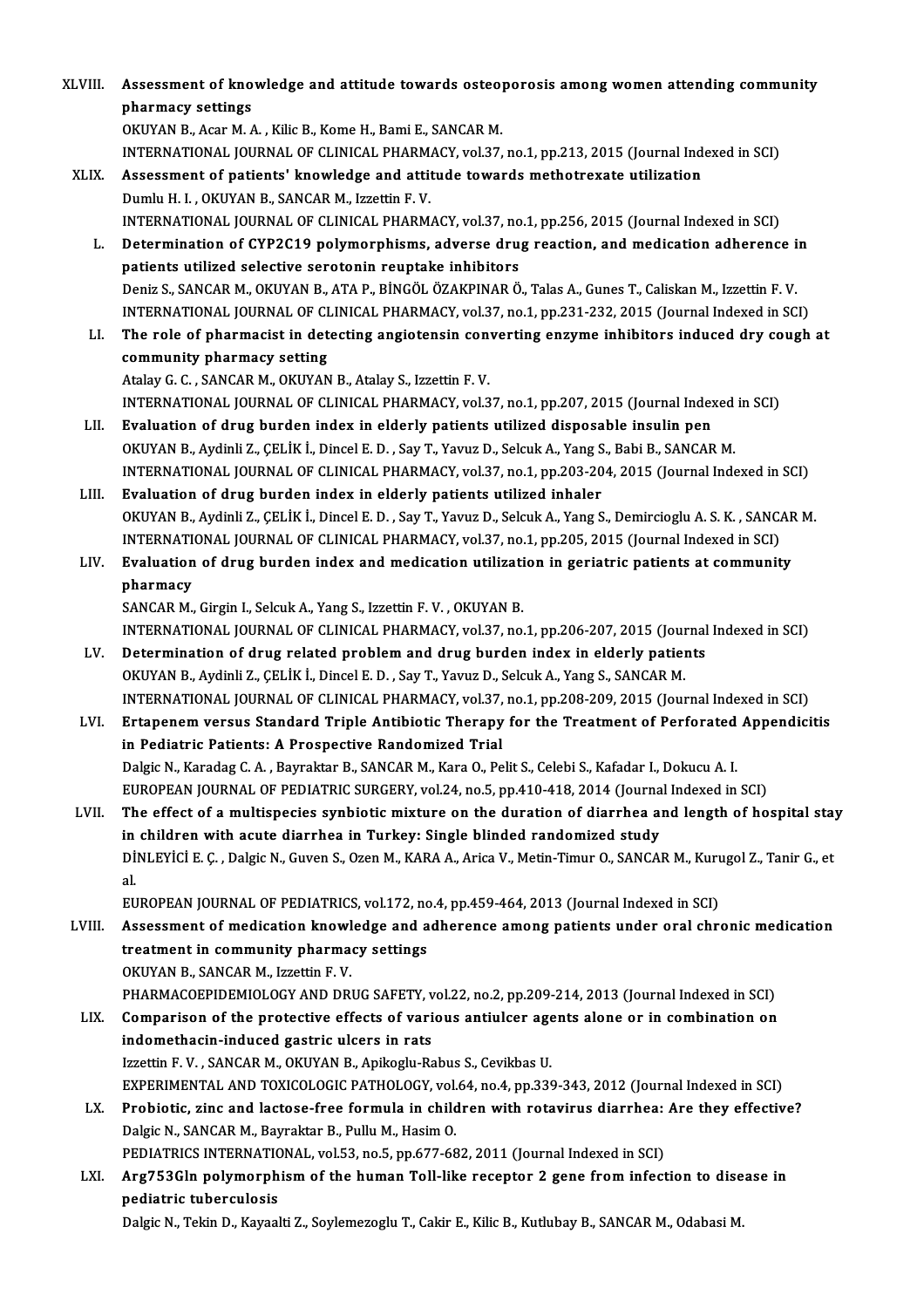XLVIII. Assessment of knowledge and attitude towards osteoporosis among women attending community<br>Rhammagy cattings Assessment of kno<br>pharmacy settings<br>OKUYAN B Acer M A pharmacy settings<br>OKUYAN B., Acar M. A. , Kilic B., Kome H., Bami E., SANCAR M. INTERNATIONAL JOURNALOF CLINICAL PHARMACY,vol.37,no.1,pp.213,2015 (Journal Indexed inSCI) XLIX. Assessment of patients' knowledge and attitude towardsmethotrexate utilization Dumlu H. I., OKUYAN B., SANCAR M., Izzettin F. V. Assessment of patients' knowledge and attitude towards methotrexate utilization<br>Dumlu H. I. , OKUYAN B., SANCAR M., Izzettin F. V.<br>INTERNATIONAL JOURNAL OF CLINICAL PHARMACY, vol.37, no.1, pp.256, 2015 (Journal Indexed in Dumlu H. I. , OKUYAN B., SANCAR M., Izzettin F. V.<br>INTERNATIONAL JOURNAL OF CLINICAL PHARMACY, vol.37, no.1, pp.256, 2015 (Journal Indexed in SCI)<br>L. Determination of CYP2C19 polymorphisms, adverse drug reaction, and medic INTERNATIONAL JOURNAL OF CLINICAL PHARMACY, vol.37, no<br>Determination of CYP2C19 polymorphisms, adverse drug<br>patients utilized selective serotonin reuptake inhibitors<br>Doniz S. SANCAR M. OKUYAN R. ATA R. RINCÕL ÖZAKRINAR Ö Determination of CYP2C19 polymorphisms, adverse drug reaction, and medication adherence in<br>patients utilized selective serotonin reuptake inhibitors<br>Deniz S., SANCAR M., OKUYAN B., ATA P., BİNGÖL ÖZAKPINAR Ö., Talas A., Gu patients utilized selective serotonin reuptake inhibitors<br>Deniz S., SANCAR M., OKUYAN B., ATA P., BİNGÖL ÖZAKPINAR Ö., Talas A., Gunes T., Caliskan M., Izzettin F. V.<br>INTERNATIONAL JOURNAL OF CLINICAL PHARMACY, vol.37, no. LI. The role of pharmacist in detecting angiotensin converting enzyme inhibitors induced dry cough at INTERNATIONAL JOURNAL OF CI<br>The role of pharmacist in det<br>community pharmacy setting<br>Atalay C.C. SANCAR M. OVIIVAN Atalay G. C., SANCAR M., OKUYAN B., Atalay S., Izzettin F. V. community pharmacy setting<br>Atalay G. C. , SANCAR M., OKUYAN B., Atalay S., Izzettin F. V.<br>INTERNATIONAL JOURNAL OF CLINICAL PHARMACY, vol.37, no.1, pp.207, 2015 (Journal Indexed in SCI)<br>Evaluation of duys burden index in a Atalay G. C., SANCAR M., OKUYAN B., Atalay S., Izzettin F. V.<br>INTERNATIONAL JOURNAL OF CLINICAL PHARMACY, vol.37, no.1, pp.207, 2015 (Journal Index<br>LII. Evaluation of drug burden index in elderly patients utilized disposab INTERNATIONAL JOURNAL OF CLINICAL PHARMACY, vol.37, no.1, pp.207, 2015 (Journal Indexed<br>Evaluation of drug burden index in elderly patients utilized disposable insulin pen<br>OKUYAN B., Aydinli Z., ÇELİK İ., Dincel E. D. , Sa Evaluation of drug burden index in elderly patients utilized disposable insulin pen<br>OKUYAN B., Aydinli Z., ÇELİK İ., Dincel E. D. , Say T., Yavuz D., Selcuk A., Yang S., Babi B., SANCAR M.<br>INTERNATIONAL JOURNAL OF CLINICAL LIII. Evaluation of drug burden index in elderly patients utilized inhaler INTERNATIONAL JOURNAL OF CLINICAL PHARMACY, vol.37, no.1, pp.203-204, 2015 (Journal Indexed in SCI)<br>Evaluation of drug burden index in elderly patients utilized inhaler<br>OKUYAN B., Aydinli Z., ÇELİK İ., Dincel E. D. , Say T Evaluation of drug burden index in elderly patients utilized inhaler<br>OKUYAN B., Aydinli Z., ÇELİK İ., Dincel E. D. , Say T., Yavuz D., Selcuk A., Yang S., Demircioglu A. S. K. , SANC<br>INTERNATIONAL JOURNAL OF CLINICAL PHARM OKUYAN B., Aydinli Z., ÇELİK İ., Dincel E. D. , Say T., Yavuz D., Selcuk A., Yang S., Demircioglu A. S. K. , SANCAF<br>INTERNATIONAL JOURNAL OF CLINICAL PHARMACY, vol.37, no.1, pp.205, 2015 (Journal Indexed in SCI)<br>LIV. Evalu INTERNATIONAL JOURNAL OF CLINICAL PHARMACY, vol.37, no.1, pp.205, 2015 (Journal Indexed in SCI)<br>Evaluation of drug burden index and medication utilization in geriatric patients at community<br>pharmacy SANCAR M., Girgin I., Selcuk A., Yang S., Izzettin F. V., OKUYAN B. pharmacy<br>SANCAR M., Girgin I., Selcuk A., Yang S., Izzettin F. V. , OKUYAN B.<br>INTERNATIONAL JOURNAL OF CLINICAL PHARMACY, vol.37, no.1, pp.206-207, 2015 (Journal Indexed in SCI)<br>Determination of drug related problem and dr LV. Determination of drug related problem and drug burden index in elderly patients<br>OKUYAN B., Aydinli Z., CELIK I., Dincel E. D., Say T., Yavuz D., Selcuk A., Yang S., SANCAR M. INTERNATIONAL JOURNAL OF CLINICAL PHARMACY, vol.37, no.1, pp.206-207, 2015 (Journal Determination of drug related problem and drug burden index in elderly patienty.<br>OKUYAN B., Aydinli Z., ÇELİK İ., Dincel E. D. , Say T., Y INTERNATIONAL JOURNALOF CLINICAL PHARMACY,vol.37,no.1,pp.208-209,2015 (Journal Indexed inSCI) OKUYAN B., Aydinli Z., ÇELİK İ., Dincel E. D. , Say T., Yavuz D., Selcuk A., Yang S., SANCAR M.<br>INTERNATIONAL JOURNAL OF CLINICAL PHARMACY, vol.37, no.1, pp.208-209, 2015 (Journal Indexed in SCI)<br>LVI. Ertapenem versus Stan INTERNATIONAL JOURNAL OF CLINICAL PHARMACY, vol.37,<br>Ertapenem versus Standard Triple Antibiotic Therapy<br>in Pediatric Patients: A Prospective Randomized Trial<br>Pekia N. Karadag C.A., Paymektar B. SANGAB M. Kara O. Be Ertapenem versus Standard Triple Antibiotic Therapy for the Treatment of Perforated<br>in Pediatric Patients: A Prospective Randomized Trial<br>Dalgic N., Karadag C. A. , Bayraktar B., SANCAR M., Kara O., Pelit S., Celebi S., Ka in Pediatric Patients: A Prospective Randomized Trial<br>Dalgic N., Karadag C. A. , Bayraktar B., SANCAR M., Kara O., Pelit S., Celebi S., Kafadar I., Dokucu A. I.<br>EUROPEAN JOURNAL OF PEDIATRIC SURGERY, vol.24, no.5, pp.410-4 Dalgic N., Karadag C. A. , Bayraktar B., SANCAR M., Kara O., Pelit S., Celebi S., Kafadar I., Dokucu A. I.<br>EUROPEAN JOURNAL OF PEDIATRIC SURGERY, vol.24, no.5, pp.410-418, 2014 (Journal Indexed in SCI)<br>LVII. The effect of EUROPEAN JOURNAL OF PEDIATRIC SURGERY, vol.24, no.5, pp.410-418, 2014 (Journa<br>The effect of a multispecies synbiotic mixture on the duration of diarrhea and<br>in children with acute diarrhea in Turkey: Single blinded randomi The effect of a multispecies synbiotic mixture on the duration of diarrhea and length of hospital stay<br>in children with acute diarrhea in Turkey: Single blinded randomized study<br>DİNLEYİCİ E. Ç. , Dalgic N., Guven S., Ozen in<br>Dİ<br>al.<br>EU DINLEYICI E. Ç. , Dalgic N., Guven S., Ozen M., KARA A., Arica V., Metin-Timur O., SANCAR M., Kuru<br>al.<br>EUROPEAN JOURNAL OF PEDIATRICS, vol.172, no.4, pp.459-464, 2013 (Journal Indexed in SCI)<br>Assessment of medication knowl al.<br>EUROPEAN JOURNAL OF PEDIATRICS, vol.172, no.4, pp.459-464, 2013 (Journal Indexed in SCI)<br>LVIII. Assessment of medication knowledge and adherence among patients under oral chronic medication<br>treatment in community pharm EUROPEAN JOURNAL OF PEDIATRICS, vol.172, no<br>Assessment of medication knowledge and a<br>treatment in community pharmacy settings<br>OKUVAN B. SANGAB M. Iggettin E. V. Assessment of medication knowl<br>treatment in community pharma<br>OKUYAN B., SANCAR M., Izzettin F. V.<br>PHAPMACOEPIDEMIOLOCY AND DRI treatment in community pharmacy settings<br>OKUYAN B., SANCAR M., Izzettin F. V.<br>PHARMACOEPIDEMIOLOGY AND DRUG SAFETY, vol.22, no.2, pp.209-214, 2013 (Journal Indexed in SCI) OKUYAN B., SANCAR M., Izzettin F. V.<br>PHARMACOEPIDEMIOLOGY AND DRUG SAFETY, vol.22, no.2, pp.209-214, 2013 (Journal Indexed in SCI)<br>LIX. Comparison of the protective effects of various antiulcer agents alone or in combinati PHARMACOEPIDEMIOLOGY AND DRUG SAFETY, v<br>Comparison of the protective effects of variandomethacin-induced gastric ulcers in rats<br>Ignotin E.V. SANGAR M. OVIVAN B. Anilogly Bo Comparison of the protective effects of various antiulcer age<br>indomethacin-induced gastric ulcers in rats<br>Izzettin F. V., SANCAR M., OKUYAN B., Apikoglu-Rabus S., Cevikbas U.<br>EXPERIMENTAL AND TOVICOLOGIC BATHOLOGY vol.54, indomethacin-induced gastric ulcers in rats<br>Izzettin F. V. , SANCAR M., OKUYAN B., Apikoglu-Rabus S., Cevikbas U.<br>EXPERIMENTAL AND TOXICOLOGIC PATHOLOGY, vol.64, no.4, pp.339-343, 2012 (Journal Indexed in SCI) LX. Probiotic, zinc and lactose-free formula in children with rotavirus diarrhea: Are they effective? Dalgic N., SANCAR M., Bayraktar B., Pullu M., Hasim O. Probiotic, zinc and lactose-free formula in children with rotavirus diarrhea:<br>Dalgic N., SANCAR M., Bayraktar B., Pullu M., Hasim O.<br>PEDIATRICS INTERNATIONAL, vol.53, no.5, pp.677-682, 2011 (Journal Indexed in SCI)<br>Arg7E3C Dalgic N., SANCAR M., Bayraktar B., Pullu M., Hasim O.<br>PEDIATRICS INTERNATIONAL, vol.53, no.5, pp.677-682, 2011 (Journal Indexed in SCI)<br>LXI. Arg753Gln polymorphism of the human Toll-like receptor 2 gene from infection PEDIATRICS INTERNATIC<br>Arg753Gln polymorph<br>pediatric tuberculosis<br>PekiaN, Tekin D, Kavaal Arg753Gln polymorphism of the human Toll-like receptor 2 gene from infection to disease in<br>pediatric tuberculosis<br>Dalgic N., Tekin D., Kayaalti Z., Soylemezoglu T., Cakir E., Kilic B., Kutlubay B., SANCAR M., Odabasi M.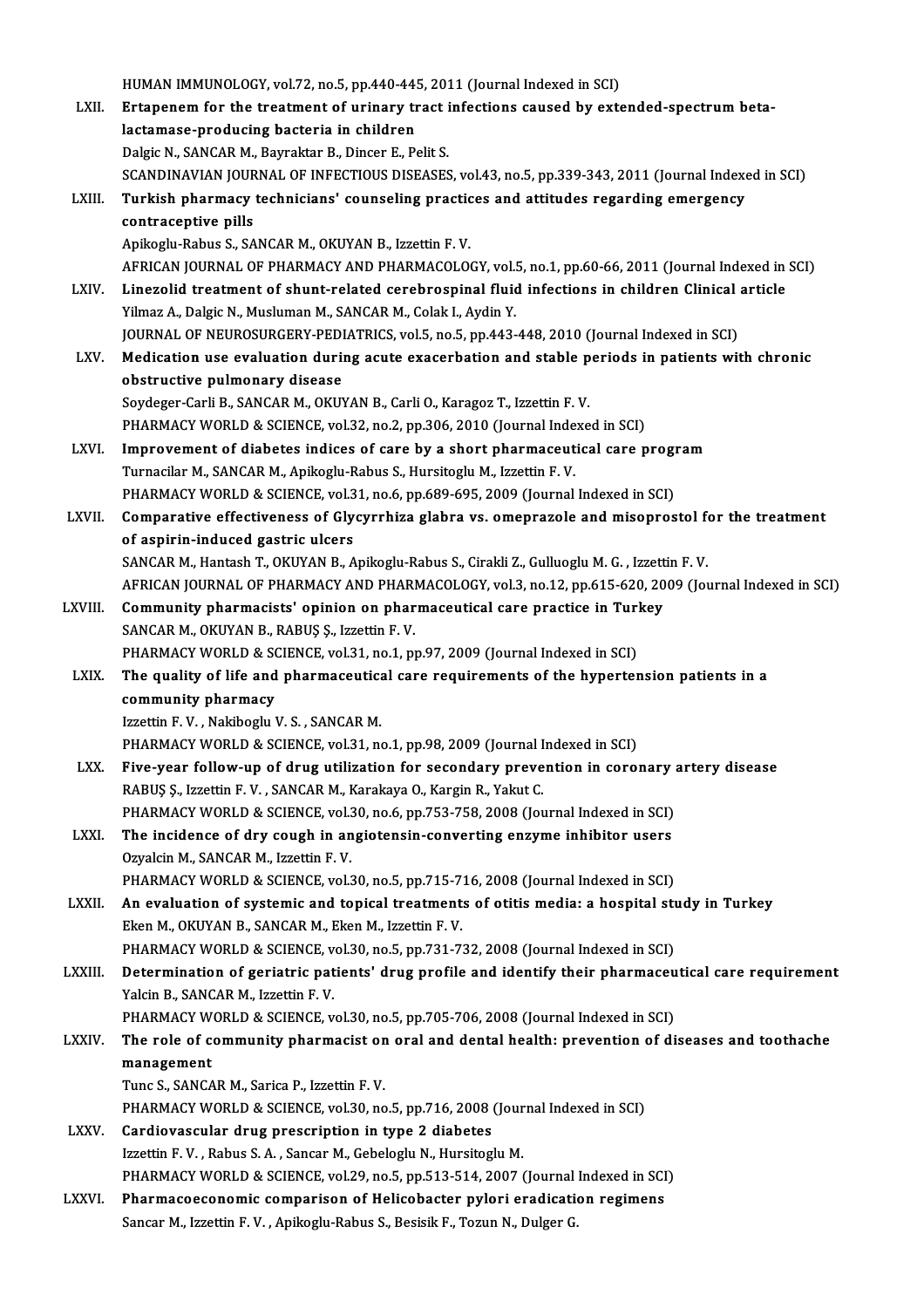HUMAN IMMUNOLOGY, vol.72, no.5, pp.440-445, 2011 (Journal Indexed in SCI)<br>Extension for the treatment of uning using infections sexued by extra

LXII. Ertapenem for the treatment of urinary tract infections caused by extended-spectrum beta-<br>lactamase-producing bacteria in children HUMAN IMMUNOLOGY, vol.72, no.5, pp.440-44!<br>Ertapenem for the treatment of urinary treatments bacteria in children<br>Dokie N. SANGAR M. Bournkton B. Dincen E. B. Dalgic N., SANCAR M., Bayraktar B., Dincer E., Pelit S. lactamase-producing bacteria in children<br>Dalgic N., SANCAR M., Bayraktar B., Dincer E., Pelit S.<br>SCANDINAVIAN JOURNAL OF INFECTIOUS DISEASES, vol.43, no.5, pp.339-343, 2011 (Journal Indexed in SCI)<br>Turkish pharmacy tochnic Dalgic N., SANCAR M., Bayraktar B., Dincer E., Pelit S.<br>SCANDINAVIAN JOURNAL OF INFECTIOUS DISEASES, vol.43, no.5, pp.339-343, 2011 (Journal Indexe<br>LXIII. Turkish pharmacy technicians' counseling practices and attitudes re SCANDINAVIAN JOUR<br>Turkish pharmacy<br>contraceptive pills<br>Anikoslu Babus S. SA **Turkish pharmacy technicians' counseling practic<br>contraceptive pills<br>Apikoglu-Rabus S., SANCAR M., OKUYAN B., Izzettin F. V.<br>AEPICAN JOUPNAL OF PHAPMACY AND PHAPMACOLOG** contraceptive pills<br>Apikoglu-Rabus S., SANCAR M., OKUYAN B., Izzettin F. V.<br>AFRICAN JOURNAL OF PHARMACY AND PHARMACOLOGY, vol.5, no.1, pp.60-66, 2011 (Journal Indexed in SCI)<br>Linegalid treatment of shunt related serebresni Apikoglu-Rabus S., SANCAR M., OKUYAN B., Izzettin F. V.<br>AFRICAN JOURNAL OF PHARMACY AND PHARMACOLOGY, vol.5, no.1, pp.60-66, 2011 (Journal Indexed in<br>LXIV. Linezolid treatment of shunt-related cerebrospinal fluid infection AFRICAN JOURNAL OF PHARMACY AND PHARMACOLOGY, vol.<br>Linezolid treatment of shunt-related cerebrospinal fluid<br>Yilmaz A., Dalgic N., Musluman M., SANCAR M., Colak I., Aydin Y.<br>JOURNAL OF NEUROSUBCERY PEDIATRICS .vol.5, no.5, Linezolid treatment of shunt-related cerebrospinal fluid infections in children Clinical<br>Yilmaz A., Dalgic N., Musluman M., SANCAR M., Colak I., Aydin Y.<br>JOURNAL OF NEUROSURGERY-PEDIATRICS, vol.5, no.5, pp.443-448, 2010 (J Yilmaz A., Dalgic N., Musluman M., SANCAR M., Colak I., Aydin Y.<br>JOURNAL OF NEUROSURGERY-PEDIATRICS, vol.5, no.5, pp.443-448, 2010 (Journal Indexed in SCI)<br>LXV. Medication use evaluation during acute exacerbation and stabl obstructive pulmonary disease Soydeger-Carli B., SANCAR M., OKUYAN B., Carli O., Karagoz T., Izzettin F. V. obstructive pulmonary disease<br>Soydeger-Carli B., SANCAR M., OKUYAN B., Carli O., Karagoz T., Izzettin F. V.<br>PHARMACY WORLD & SCIENCE, vol.32, no.2, pp.306, 2010 (Journal Indexed in SCI)<br>Improvement of diabetes indices of s Soydeger-Carli B., SANCAR M., OKUYAN B., Carli O., Karagoz T., Izzettin F. V.<br>PHARMACY WORLD & SCIENCE, vol.32, no.2, pp.306, 2010 (Journal Indexed in SCI)<br>LXVI. Improvement of diabetes indices of care by a short pharmaceu PHARMACY WORLD & SCIENCE, vol.32, no.2, pp.306, 2010 (Journal Inde<br>Improvement of diabetes indices of care by a short pharmaceut<br>Turnacilar M., SANCAR M., Apikoglu-Rabus S., Hursitoglu M., Izzettin F. V.<br>PHAPMACY WORLD & S Improvement of diabetes indices of care by a short pharmaceutical care program<br>Turnacilar M., SANCAR M., Apikoglu-Rabus S., Hursitoglu M., Izzettin F. V.<br>PHARMACY WORLD & SCIENCE, vol.31, no.6, pp.689-695, 2009 (Journal In Turnacilar M., SANCAR M., Apikoglu-Rabus S., Hursitoglu M., Izzettin F. V.<br>PHARMACY WORLD & SCIENCE, vol.31, no.6, pp.689-695, 2009 (Journal Indexed in SCI)<br>LXVII. Comparative effectiveness of Glycyrrhiza glabra vs. omepra PHARMACY WORLD & SCIENCE, vol.3<br>Comparative effectiveness of Gly<br>of aspirin-induced gastric ulcers<br>SANGAP M. Hantash T. OKUVAN P. A Comparative effectiveness of Glycyrrhiza glabra vs. omeprazole and misoprostol f<br>of aspirin-induced gastric ulcers<br>SANCAR M., Hantash T., OKUYAN B., Apikoglu-Rabus S., Cirakli Z., Gulluoglu M. G. , Izzettin F. V.<br>AEPICAN J of aspirin-induced gastric ulcers<br>SANCAR M., Hantash T., OKUYAN B., Apikoglu-Rabus S., Cirakli Z., Gulluoglu M. G. , Izzettin F. V.<br>AFRICAN JOURNAL OF PHARMACY AND PHARMACOLOGY, vol.3, no.12, pp.615-620, 2009 (Journal Inde SANCAR M., Hantash T., OKUYAN B., Apikoglu-Rabus S., Cirakli Z., Gulluoglu M. G., Izzett<br>AFRICAN JOURNAL OF PHARMACY AND PHARMACOLOGY, vol.3, no.12, pp.615-620, 20<br>LXVIII. Community pharmacists' opinion on pharmaceutical c AFRICAN JOURNAL OF PHARMACY AND PHARM<br>**Community pharmacists' opinion on pharm.**<br>SANCAR M., OKUYAN B., RABUŞ Ş., Izzettin F. V.<br>PHAPMACY WORLD & SCIENCE vol 31 no 1 nu Community pharmacists' opinion on pharmaceutical care practice in Turl<br>SANCAR M., OKUYAN B., RABUŞ Ş., Izzettin F. V.<br>PHARMACY WORLD & SCIENCE, vol.31, no.1, pp.97, 2009 (Journal Indexed in SCI)<br>The quality of life and pha SANCAR M., OKUYAN B., RABUŞ Ş., Izzettin F. V.<br>PHARMACY WORLD & SCIENCE, vol.31, no.1, pp.97, 2009 (Journal Indexed in SCI)<br>LXIX. The quality of life and pharmaceutical care requirements of the hypertension patients in a<br>c PHARMACY WORLD & SCIENCE, vol.31, no.1, pp.97, 2009 (Journal Indexed in SCI) Izzettin F.V., Nakiboglu V.S., SANCAR M. PHARMACY WORLD & SCIENCE, vol.31, no.1, pp.98, 2009 (Journal Indexed in SCI) LXX. Five-year follow-up of drug utilization for secondary prevention in coronary artery disease RABUŞ Ş., Izzettin F.V., SANCAR M., Karakaya O., Kargin R., Yakut C. Five-year follow-up of drug utilization for secondary prevention in coronary and<br>RABUŞ Ş., Izzettin F. V. , SANCAR M., Karakaya O., Kargin R., Yakut C.<br>PHARMACY WORLD & SCIENCE, vol.30, no.6, pp.753-758, 2008 (Journal Inde RABUŞ Ş., Izzettin F. V., SANCAR M., Karakaya O., Kargin R., Yakut C.<br>PHARMACY WORLD & SCIENCE, vol.30, no.6, pp.753-758, 2008 (Journal Indexed in SCI)<br>LXXI. The incidence of dry cough in angiotensin-converting enzyme inhi Ozyalcin M., SANCAR M., Izzettin F. V.<br>PHARMACY WORLD & SCIENCE, vol.30, no.5, pp.715-716, 2008 (Journal Indexed in SCI) The incidence of dry cough in angiotensin-converting enzyme inhibitor users Ozyalcin M., SANCAR M., Izzettin F. V.<br>PHARMACY WORLD & SCIENCE, vol.30, no.5, pp.715-716, 2008 (Journal Indexed in SCI)<br>LXXII. An evaluation of systemic and topical treatments of otitis media: a hospital study in Turkey Eken M., OKUYAN B., SANCAR M., Eken M., Izzettin F.V. An evaluation of systemic and topical treatments of otitis media: a hospital studies.<br>Eken M., OKUYAN B., SANCAR M., Eken M., Izzettin F. V.<br>PHARMACY WORLD & SCIENCE, vol.30, no.5, pp.731-732, 2008 (Journal Indexed in SCI) LXXIII. Determination of geriatric patients' drug profile and identify their pharmaceutical care requirement<br>Yalcin B., SANCAR M., Izzettin F. V. PHARMACY WORLD & SCIENCE, vol.30, no.5, pp.731-732, 2008 (Journal Indexed in SCI) Determination of geriatric patients' drug profile and identify their pharmaceu<br>Yalcin B., SANCAR M., Izzettin F. V.<br>PHARMACY WORLD & SCIENCE, vol.30, no.5, pp.705-706, 2008 (Journal Indexed in SCI)<br>The role of community ph Yalcin B., SANCAR M., Izzettin F. V.<br>PHARMACY WORLD & SCIENCE, vol.30, no.5, pp.705-706, 2008 (Journal Indexed in SCI)<br>LXXIV. The role of community pharmacist on oral and dental health: prevention of diseases and tooth PHARMACY W<br>The role of comanagement<br>Tune S. SANCA The role of community pharmacist on<br>management<br>Tunc S., SANCAR M., Sarica P., Izzettin F. V.<br>PHAPMACY WORLD & SCIENCE vol 30, no management<br>Tunc S., SANCAR M., Sarica P., Izzettin F. V.<br>PHARMACY WORLD & SCIENCE, vol.30, no.5, pp.716, 2008 (Journal Indexed in SCI) LXXV. Cardiovascular drug prescription in type 2 diabetes Izzettin F.V., Rabus S.A., Sancar M., Gebeloglu N., Hursitoglu M. Cardiovascular drug prescription in type 2 diabetes<br>Izzettin F. V. , Rabus S. A. , Sancar M., Gebeloglu N., Hursitoglu M.<br>PHARMACY WORLD & SCIENCE, vol.29, no.5, pp.513-514, 2007 (Journal Indexed in SCI)<br>Pharmacoconomic co LXXVI. Pharmacoeconomic comparison of Helicobacter pylori eradication regimens<br>Sancar M., Izzettin F. V., Apikoglu-Rabus S., Besisik F., Tozun N., Dulger G. PHARMACY WORLD & SCIENCE, vol.29, no.5, pp.513-514, 2007 (Journal<br><mark>Pharmacoeconomic comparison of Helicobacter pylori eradicati</mark><br>Sancar M., Izzettin F. V. , Apikoglu-Rabus S., Besisik F., Tozun N., Dulger G.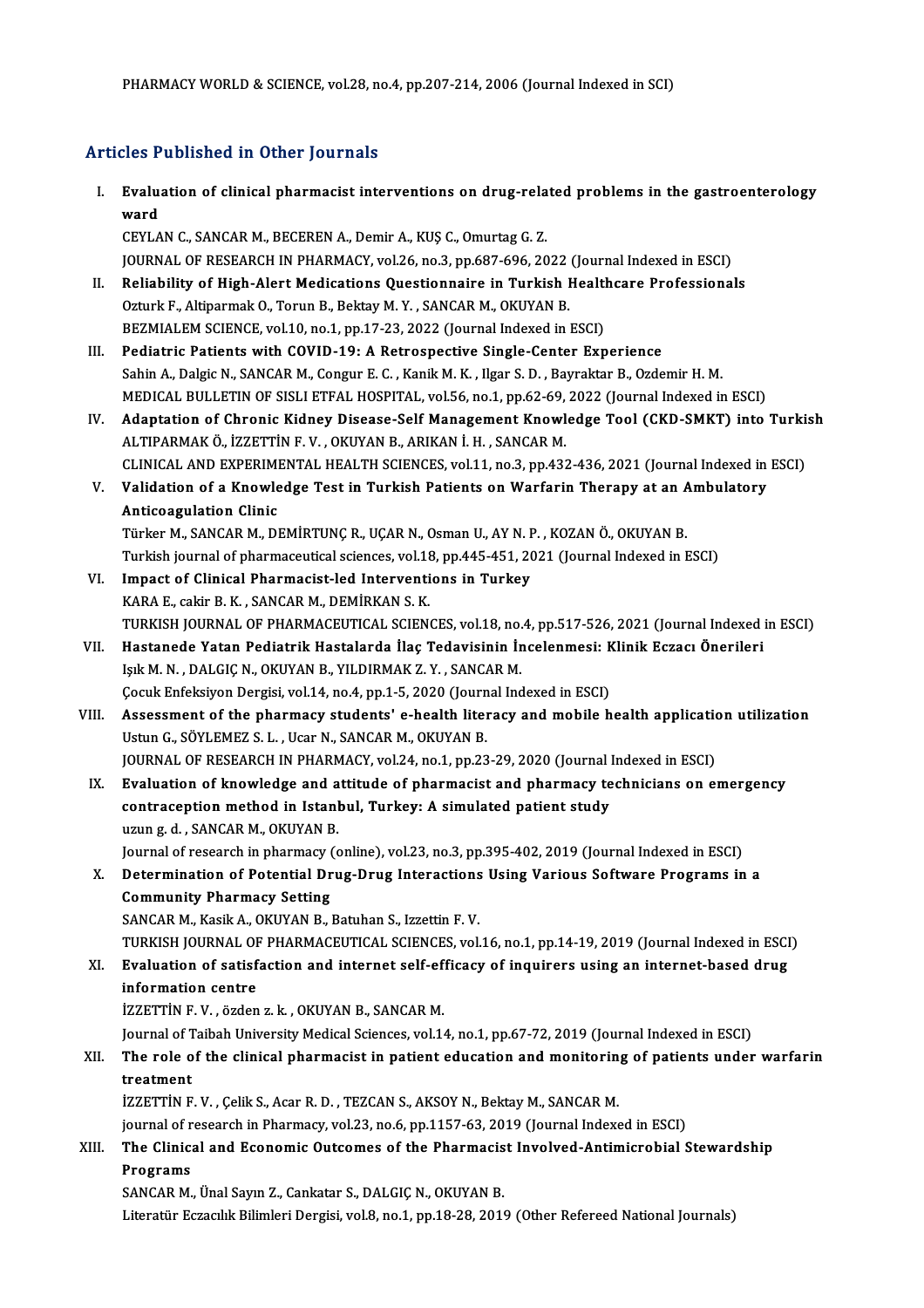# PHARMACY WORLD & SCIENCE, VOL28, N<br>Articles Published in Other Journals

| <b>Articles Published in Other Journals</b> |                                                                                                                 |
|---------------------------------------------|-----------------------------------------------------------------------------------------------------------------|
| Ι.                                          | Evaluation of clinical pharmacist interventions on drug-related problems in the gastroenterology<br>ward        |
|                                             | CEYLAN C., SANCAR M., BECEREN A., Demir A., KUŞ C., Omurtag G. Z.                                               |
|                                             | JOURNAL OF RESEARCH IN PHARMACY, vol.26, no.3, pp.687-696, 2022 (Journal Indexed in ESCI)                       |
| П.                                          | Reliability of High-Alert Medications Questionnaire in Turkish Healthcare Professionals                         |
|                                             | Ozturk F., Altiparmak O., Torun B., Bektay M.Y., SANCAR M., OKUYAN B.                                           |
|                                             | BEZMIALEM SCIENCE, vol.10, no.1, pp.17-23, 2022 (Journal Indexed in ESCI)                                       |
| III.                                        | Pediatric Patients with COVID-19: A Retrospective Single-Center Experience                                      |
|                                             | Sahin A., Dalgic N., SANCAR M., Congur E. C., Kanik M. K., Ilgar S. D., Bayraktar B., Ozdemir H. M.             |
|                                             | MEDICAL BULLETIN OF SISLI ETFAL HOSPITAL, vol.56, no.1, pp.62-69, 2022 (Journal Indexed in ESCI)                |
| IV.                                         | Adaptation of Chronic Kidney Disease-Self Management Knowledge Tool (CKD-SMKT) into Turkish                     |
|                                             | ALTIPARMAK Ö., İZZETTİN F.V., OKUYAN B., ARIKAN İ.H., SANCAR M.                                                 |
|                                             | CLINICAL AND EXPERIMENTAL HEALTH SCIENCES, vol.11, no.3, pp.432-436, 2021 (Journal Indexed in ESCI)             |
| V.                                          | Validation of a Knowledge Test in Turkish Patients on Warfarin Therapy at an Ambulatory                         |
|                                             | <b>Anticoagulation Clinic</b>                                                                                   |
|                                             | Türker M., SANCAR M., DEMİRTUNÇ R., UÇAR N., Osman U., AY N. P., KOZAN Ö., OKUYAN B.                            |
|                                             | Turkish journal of pharmaceutical sciences, vol.18, pp.445-451, 2021 (Journal Indexed in ESCI)                  |
| VI.                                         | Impact of Clinical Pharmacist-led Interventions in Turkey<br>KARA E., cakir B. K., SANCAR M., DEMİRKAN S. K.    |
|                                             | TURKISH JOURNAL OF PHARMACEUTICAL SCIENCES, vol.18, no.4, pp.517-526, 2021 (Journal Indexed in ESCI)            |
| VII.                                        | Hastanede Yatan Pediatrik Hastalarda İlaç Tedavisinin İncelenmesi: Klinik Eczacı Önerileri                      |
|                                             | Işık M. N., DALGIÇ N., OKUYAN B., YILDIRMAK Z. Y., SANCAR M.                                                    |
|                                             | Çocuk Enfeksiyon Dergisi, vol.14, no.4, pp.1-5, 2020 (Journal Indexed in ESCI)                                  |
| VIII.                                       | Assessment of the pharmacy students' e-health literacy and mobile health application utilization                |
|                                             | Ustun G., SÖYLEMEZ S. L., Ucar N., SANCAR M., OKUYAN B.                                                         |
|                                             | JOURNAL OF RESEARCH IN PHARMACY, vol.24, no.1, pp.23-29, 2020 (Journal Indexed in ESCI)                         |
| IX.                                         | Evaluation of knowledge and attitude of pharmacist and pharmacy technicians on emergency                        |
|                                             | contraception method in Istanbul, Turkey: A simulated patient study                                             |
|                                             | uzun g. d., SANCAR M., OKUYAN B.                                                                                |
|                                             | Journal of research in pharmacy (online), vol.23, no.3, pp.395-402, 2019 (Journal Indexed in ESCI)              |
| Х.                                          | Determination of Potential Drug-Drug Interactions Using Various Software Programs in a                          |
|                                             | <b>Community Pharmacy Setting</b>                                                                               |
|                                             | SANCAR M., Kasik A., OKUYAN B., Batuhan S., Izzettin F.V.                                                       |
|                                             | TURKISH JOURNAL OF PHARMACEUTICAL SCIENCES, vol.16, no.1, pp.14-19, 2019 (Journal Indexed in ESCI)              |
| XI.                                         | Evaluation of satisfaction and internet self-efficacy of inquirers using an internet-based drug                 |
|                                             | information centre                                                                                              |
|                                             | İZZETTİN F.V., özden z. k., OKUYAN B., SANCAR M.                                                                |
|                                             | Journal of Taibah University Medical Sciences, vol.14, no.1, pp.67-72, 2019 (Journal Indexed in ESCI)           |
| XII.                                        | The role of the clinical pharmacist in patient education and monitoring of patients under warfarin<br>treatment |
|                                             | İZZETTİN F.V., Çelik S., Acar R.D., TEZCAN S., AKSOY N., Bektay M., SANCAR M.                                   |
|                                             | journal of research in Pharmacy, vol.23, no.6, pp.1157-63, 2019 (Journal Indexed in ESCI)                       |
| XIII.                                       | The Clinical and Economic Outcomes of the Pharmacist Involved-Antimicrobial Stewardship                         |
|                                             | Programs                                                                                                        |
|                                             | SANCAR M., Ünal Sayın Z., Cankatar S., DALGIÇ N., OKUYAN B.                                                     |
|                                             | Literatür Eczacılık Bilimleri Dergisi, vol.8, no.1, pp.18-28, 2019 (Other Refereed National Journals)           |
|                                             |                                                                                                                 |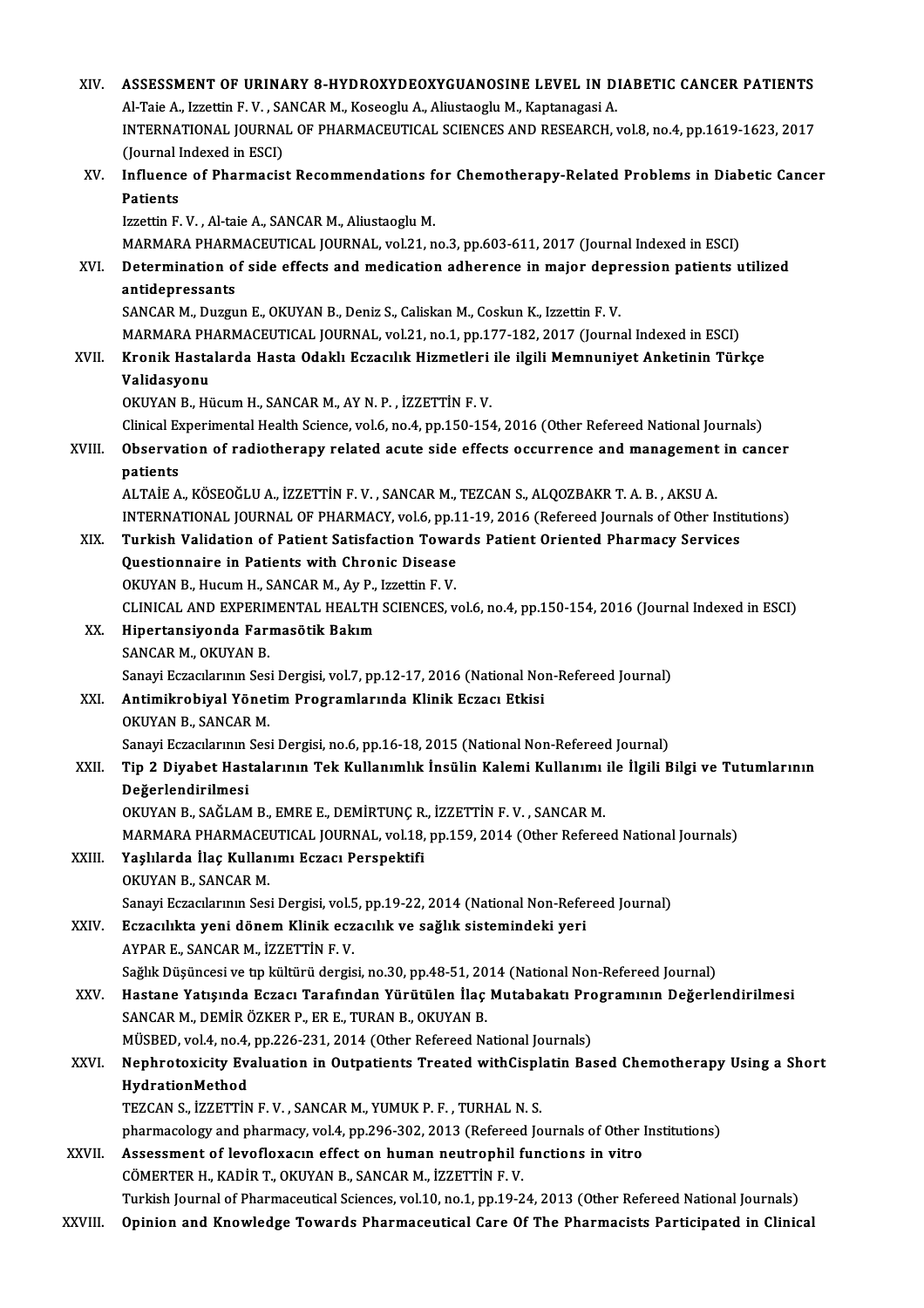| XIV.        | ASSESSMENT OF URINARY 8-HYDROXYDEOXYGUANOSINE LEVEL IN DIABETIC CANCER PATIENTS                                    |
|-------------|--------------------------------------------------------------------------------------------------------------------|
|             | Al-Taie A., Izzettin F. V., SANCAR M., Koseoglu A., Aliustaoglu M., Kaptanagasi A.                                 |
|             | INTERNATIONAL JOURNAL OF PHARMACEUTICAL SCIENCES AND RESEARCH, vol.8, no.4, pp.1619-1623, 2017                     |
|             | (Journal Indexed in ESCI)                                                                                          |
| XV.         | Influence of Pharmacist Recommendations for Chemotherapy-Related Problems in Diabetic Cancer                       |
|             | Patients                                                                                                           |
|             | Izzettin F.V., Al-taie A., SANCAR M., Aliustaoglu M.                                                               |
|             | MARMARA PHARMACEUTICAL JOURNAL, vol.21, no.3, pp.603-611, 2017 (Journal Indexed in ESCI)                           |
| XVI.        | Determination of side effects and medication adherence in major depression patients utilized                       |
|             | antidepressants                                                                                                    |
|             | SANCAR M., Duzgun E., OKUYAN B., Deniz S., Caliskan M., Coskun K., Izzettin F. V.                                  |
|             | MARMARA PHARMACEUTICAL JOURNAL, vol.21, no.1, pp.177-182, 2017 (Journal Indexed in ESCI)                           |
| XVII.       | Kronik Hastalarda Hasta Odaklı Eczacılık Hizmetleri ile ilgili Memnuniyet Anketinin Türkçe                         |
|             | Validasyonu                                                                                                        |
|             | OKUYAN B., Hücum H., SANCAR M., AY N. P., İZZETTİN F. V.                                                           |
|             | Clinical Experimental Health Science, vol.6, no.4, pp.150-154, 2016 (Other Refereed National Journals)             |
| XVIII.      | Observation of radiotherapy related acute side effects occurrence and management in cancer                         |
|             | patients                                                                                                           |
|             | ALTAİE A., KÖSEOĞLU A., İZZETTİN F.V., SANCAR M., TEZCAN S., ALQOZBAKR T. A. B., AKSU A.                           |
|             | INTERNATIONAL JOURNAL OF PHARMACY, vol.6, pp.11-19, 2016 (Refereed Journals of Other Institutions)                 |
| XIX.        | Turkish Validation of Patient Satisfaction Towards Patient Oriented Pharmacy Services                              |
|             | Questionnaire in Patients with Chronic Disease                                                                     |
|             | OKUYAN B., Hucum H., SANCAR M., Ay P., Izzettin F. V.                                                              |
| XX.         | CLINICAL AND EXPERIMENTAL HEALTH SCIENCES, vol.6, no.4, pp.150-154, 2016 (Journal Indexed in ESCI)                 |
|             | Hipertansiyonda Farmasötik Bakım<br>SANCAR M., OKUYAN B.                                                           |
|             | Sanayi Eczacılarının Sesi Dergisi, vol.7, pp.12-17, 2016 (National Non-Refereed Journal)                           |
| XXI.        | Antimikrobiyal Yönetim Programlarında Klinik Eczacı Etkisi                                                         |
|             | OKUYAN B. SANCAR M.                                                                                                |
|             | Sanayi Eczacılarının Sesi Dergisi, no.6, pp.16-18, 2015 (National Non-Refereed Journal)                            |
| XXII.       | Tip 2 Diyabet Hastalarının Tek Kullanımlık İnsülin Kalemi Kullanımı ile İlgili Bilgi ve Tutumlarının               |
|             | Değerlendirilmesi                                                                                                  |
|             | OKUYAN B., SAĞLAM B., EMRE E., DEMİRTUNÇ R., İZZETTİN F.V., SANCAR M.                                              |
|             | MARMARA PHARMACEUTICAL JOURNAL, vol.18, pp.159, 2014 (Other Refereed National Journals)                            |
| XXIII.      | Yaşlılarda İlaç Kullanımı Eczacı Perspektifi                                                                       |
|             | OKUYAN B., SANCAR M.                                                                                               |
|             | Sanayi Eczacılarının Sesi Dergisi, vol.5, pp.19-22, 2014 (National Non-Refereed Journal)                           |
| XXIV.       | Eczacılıkta yeni dönem Klinik eczacılık ve sağlık sistemindeki yeri                                                |
|             | AYPAR E., SANCAR M., İZZETTİN F.V.                                                                                 |
|             | Sağlık Düşüncesi ve tıp kültürü dergisi, no.30, pp.48-51, 2014 (National Non-Refereed Journal)                     |
| XXV.        | Hastane Yatışında Eczacı Tarafından Yürütülen İlaç Mutabakatı Programının Değerlendirilmesi                        |
|             | SANCAR M., DEMİR ÖZKER P., ER E., TURAN B., OKUYAN B.                                                              |
|             | MÜSBED, vol.4, no.4, pp.226-231, 2014 (Other Refereed National Journals)                                           |
| <b>XXVI</b> | Nephrotoxicity Evaluation in Outpatients Treated withCisplatin Based Chemotherapy Using a Short<br>HydrationMethod |
|             | TEZCAN S., İZZETTİN F.V., SANCAR M., YUMUK P.F., TURHAL N.S.                                                       |
|             | pharmacology and pharmacy, vol.4, pp.296-302, 2013 (Refereed Journals of Other Institutions)                       |
| XXVII.      | Assessment of levofloxacın effect on human neutrophil functions in vitro                                           |
|             | CÖMERTER H., KADİR T., OKUYAN B., SANCAR M., İZZETTİN F.V.                                                         |
|             | Turkish Journal of Pharmaceutical Sciences, vol.10, no.1, pp.19-24, 2013 (Other Refereed National Journals)        |
| XXVIII.     | Opinion and Knowledge Towards Pharmaceutical Care Of The Pharmacists Participated in Clinical                      |
|             |                                                                                                                    |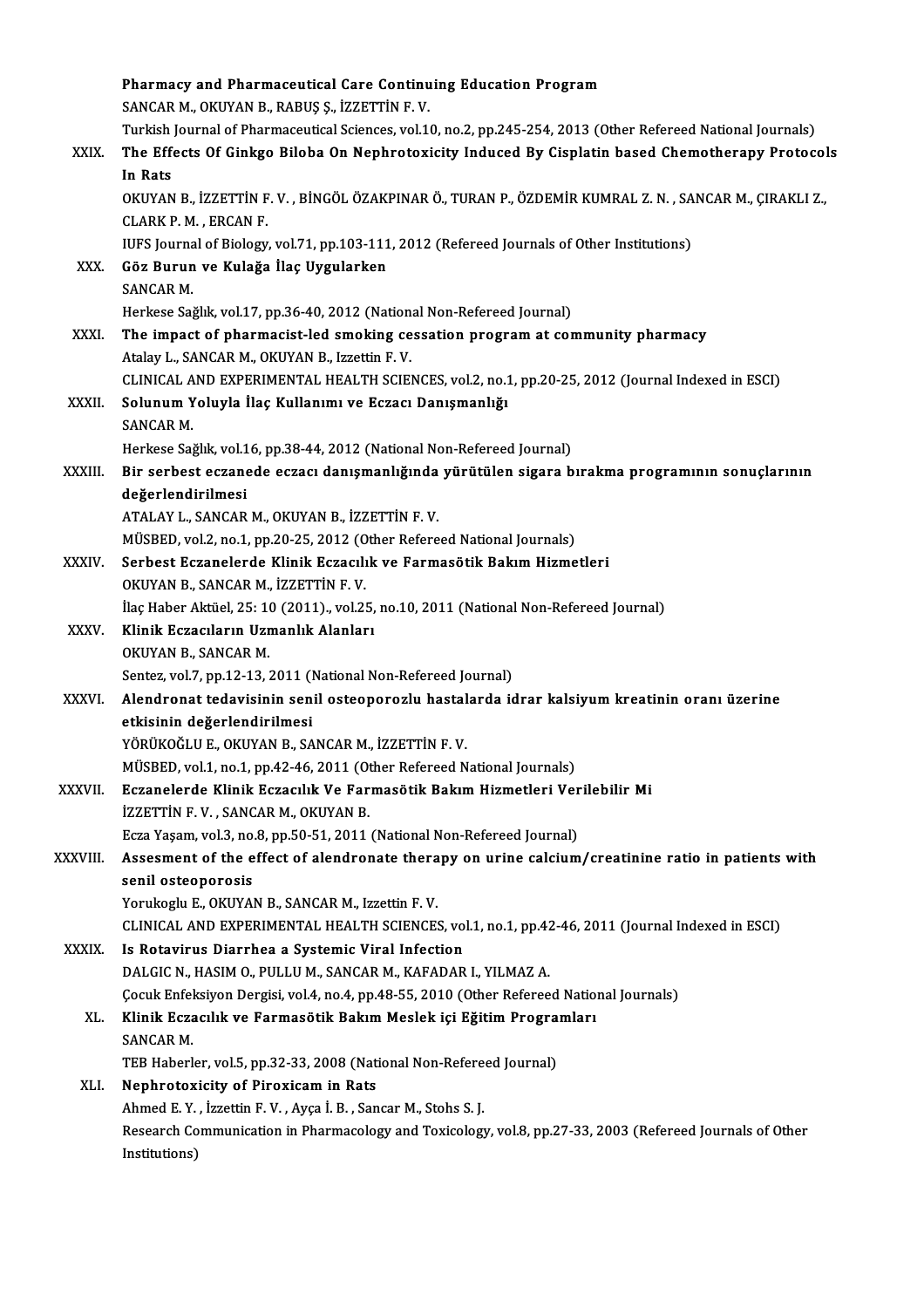|              | Pharmacy and Pharmaceutical Care Continuing Education Program                                                     |
|--------------|-------------------------------------------------------------------------------------------------------------------|
|              | SANCAR M., OKUYAN B., RABUŞ Ş., İZZETTİN F.V.                                                                     |
|              | Turkish Journal of Pharmaceutical Sciences, vol.10, no.2, pp.245-254, 2013 (Other Refereed National Journals)     |
| XXIX.        | The Effects Of Ginkgo Biloba On Nephrotoxicity Induced By Cisplatin based Chemotherapy Protocols                  |
|              | In Rats                                                                                                           |
|              | OKUYAN B., İZZETTİN F.V., BİNGÖL ÖZAKPINAR Ö., TURAN P., ÖZDEMİR KUMRAL Z. N., SANCAR M., ÇIRAKLI Z.,             |
|              | <b>CLARK P. M., ERCAN F.</b>                                                                                      |
|              | IUFS Journal of Biology, vol.71, pp.103-111, 2012 (Refereed Journals of Other Institutions)                       |
| XXX.         | Göz Burun ve Kulağa İlaç Uygularken                                                                               |
|              | <b>SANCAR M</b>                                                                                                   |
|              | Herkese Sağlık, vol.17, pp.36-40, 2012 (National Non-Refereed Journal)                                            |
| <b>XXXI</b>  | The impact of pharmacist-led smoking cessation program at community pharmacy                                      |
|              | Atalay L., SANCAR M., OKUYAN B., Izzettin F.V.                                                                    |
|              | CLINICAL AND EXPERIMENTAL HEALTH SCIENCES, vol.2, no.1, pp.20-25, 2012 (Journal Indexed in ESCI)                  |
| XXXII.       | Solunum Yoluyla İlaç Kullanımı ve Eczacı Danışmanlığı<br><b>SANCAR M.</b>                                         |
|              | Herkese Sağlık, vol.16, pp.38-44, 2012 (National Non-Refereed Journal)                                            |
| XXXIII.      | Bir serbest eczanede eczacı danışmanlığında yürütülen sigara bırakma programının sonuçlarının                     |
|              | değerlendirilmesi                                                                                                 |
|              | ATALAY L., SANCAR M., OKUYAN B., İZZETTİN F.V.                                                                    |
|              | MÜSBED, vol.2, no.1, pp.20-25, 2012 (Other Refereed National Journals)                                            |
| XXXIV.       | Serbest Eczanelerde Klinik Eczacılık ve Farmasötik Bakım Hizmetleri                                               |
|              | OKUYAN B., SANCAR M., İZZETTİN F.V.                                                                               |
|              | İlaç Haber Aktüel, 25: 10 (2011)., vol.25, no.10, 2011 (National Non-Refereed Journal)                            |
| <b>XXXV</b>  | Klinik Eczacıların Uzmanlık Alanları                                                                              |
|              | OKUYAN B., SANCAR M.                                                                                              |
|              | Sentez, vol.7, pp.12-13, 2011 (National Non-Refereed Journal)                                                     |
| <b>XXXVI</b> | Alendronat tedavisinin senil osteoporozlu hastalarda idrar kalsiyum kreatinin oranı üzerine                       |
|              | etkisinin değerlendirilmesi                                                                                       |
|              | YÖRÜKOĞLU E., OKUYAN B., SANCAR M., İZZETTİN F. V.                                                                |
|              | MÜSBED, vol.1, no.1, pp.42-46, 2011 (Other Refereed National Journals)                                            |
| XXXVII.      | Eczanelerde Klinik Eczacılık Ve Farmasötik Bakım Hizmetleri Verilebilir Mi<br>İZZETTİN F.V., SANCAR M., OKUYAN B. |
|              | Ecza Yaşam, vol.3, no.8, pp.50-51, 2011 (National Non-Refereed Journal)                                           |
| XXXVIII.     | Assesment of the effect of alendronate therapy on urine calcium/creatinine ratio in patients with                 |
|              | senil osteoporosis                                                                                                |
|              | Yorukoglu E., OKUYAN B., SANCAR M., Izzettin F.V.                                                                 |
|              | CLINICAL AND EXPERIMENTAL HEALTH SCIENCES, vol.1, no.1, pp.42-46, 2011 (Journal Indexed in ESCI)                  |
| <b>XXXIX</b> | Is Rotavirus Diarrhea a Systemic Viral Infection                                                                  |
|              | DALGIC N., HASIM O., PULLU M., SANCAR M., KAFADAR I., YILMAZ A.                                                   |
|              | Çocuk Enfeksiyon Dergisi, vol.4, no.4, pp.48-55, 2010 (Other Refereed National Journals)                          |
| XL.          | Klinik Eczacılık ve Farmasötik Bakım Meslek içi Eğitim Programları                                                |
|              | SANCAR M.                                                                                                         |
|              | TEB Haberler, vol.5, pp.32-33, 2008 (National Non-Refereed Journal)                                               |
| XLI.         | <b>Nephrotoxicity of Piroxicam in Rats</b>                                                                        |
|              | Ahmed E.Y., İzzettin F.V., Ayça İ.B., Sancar M., Stohs S.J.                                                       |
|              | Research Communication in Pharmacology and Toxicology, vol.8, pp.27-33, 2003 (Refereed Journals of Other          |
|              | Institutions)                                                                                                     |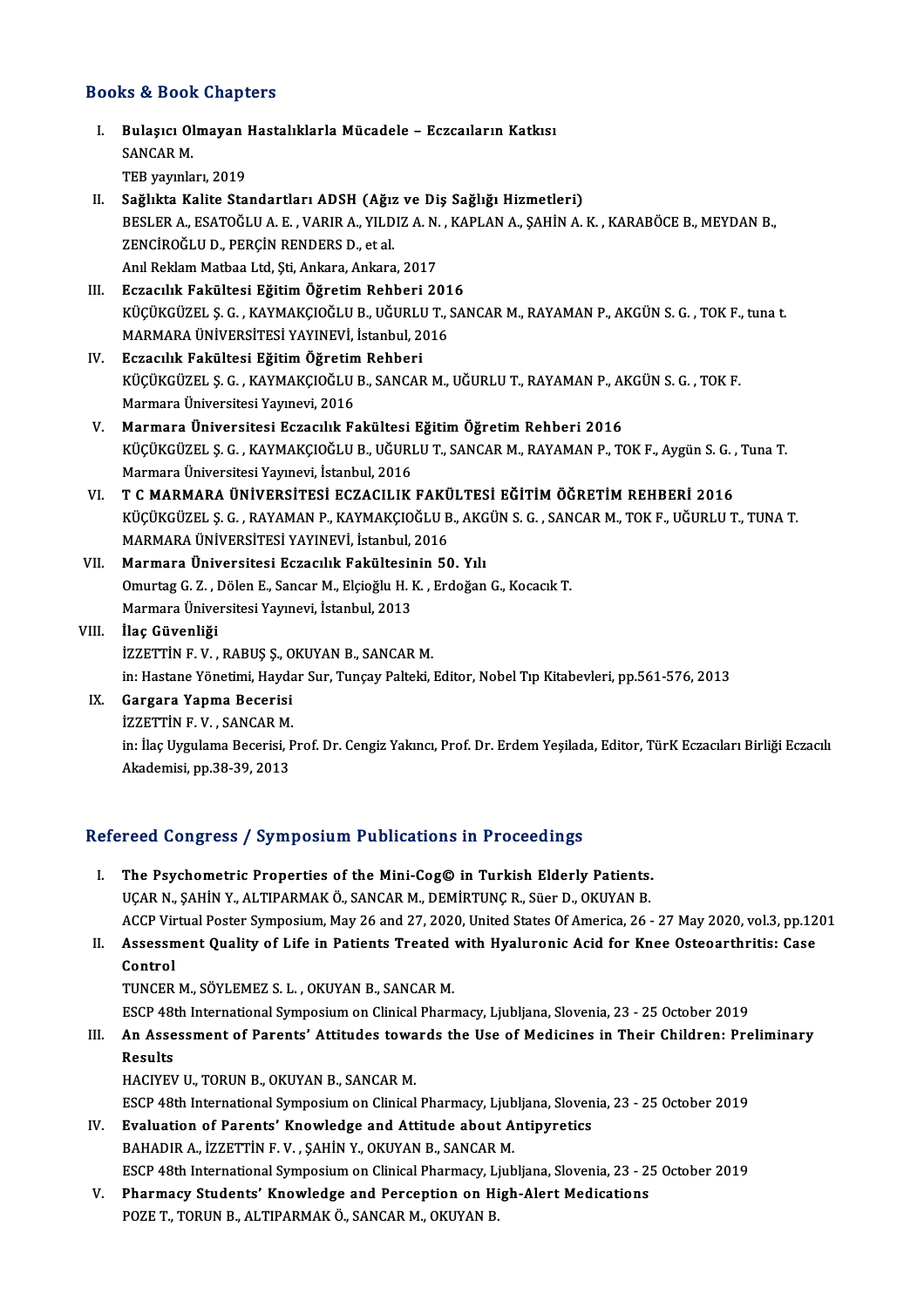#### Books&Book Chapters

ooks & Book Chapters<br>I. Bulaşıcı Olmayan Hastalıklarla Mücadele - Eczcaıların Katkısı<br>SANGAR M E & BOOK<br>Bulaşıcı Ol<br>SANCAR M. SANCAR M.<br>TEB yayınları, 2019 II. Sağlıkta Kalite Standartları ADSH (Ağız ve Diş Sağlığı Hizmetleri) TEB yayınları, 2019<br>Sağlıkta Kalite Standartları ADSH (Ağız ve Diş Sağlığı Hizmetleri)<br>BESLER A., ESATOĞLU A. E. , VARIR A., YILDIZ A. N. , KAPLAN A., ŞAHİN A. K. , KARABÖCE B., MEYDAN B.,<br>ZENÇİROĞLU D. PERÇİN RENDERS D. e Sağlıkta Kalite Standartları ADSH (Ağız<br>BESLER A., ESATOĞLU A. E. , VARIR A., YILD<br>ZENCİROĞLU D., PERÇİN RENDERS D., et al.<br>Anıl Beklem Mathes Ltd. Sti. Ankara, Ankara BESLER A., ESATOĞLU A. E. , VARIR A., YILDIZ A. N.<br>ZENCİROĞLU D., PERÇİN RENDERS D., et al.<br>Anıl Reklam Matbaa Ltd, Şti, Ankara, Ankara, 2017<br>Estasılık Fakültesi Eğitim Öğnetim Behheri 20 ZENCİROĞLU D., PERÇİN RENDERS D., et al.<br>Anıl Reklam Matbaa Ltd, Şti, Ankara, Ankara, 2017<br>III. Eczacılık Fakültesi Eğitim Öğretim Rehberi 2016 Anıl Reklam Matbaa Ltd, Şti, Ankara, Ankara, 2017<br>Eczacılık Fakültesi Eğitim Öğretim Rehberi 2016<br>KÜÇÜKGÜZEL Ş. G. , KAYMAKÇIOĞLU B., UĞURLU T., SANCAR M., RAYAMAN P., AKGÜN S. G. , TOK F., tuna t.<br>MARMARA ÜNİVERSİTESİ VAY Eczacılık Fakültesi Eğitim Öğretim Rehberi 201<br>KÜÇÜKGÜZEL Ş. G. , KAYMAKÇIOĞLU B., UĞURLU T., :<br>MARMARA ÜNİVERSİTESİ YAYINEVİ, İstanbul, 2016<br>Fezacılık Fakültesi Eğitim Öğretim Behberi MARMARA ÜNİVERSİTESI YAYINEVİ, İstanbul, 2016<br>IV. Eczacılık Fakültesi Eğitim Öğretim Rehberi MARMARA ÜNİVERSİTESİ YAYINEVİ, İstanbul, 2016<br>Eczacılık Fakültesi Eğitim Öğretim Rehberi<br>KÜÇÜKGÜZEL Ş. G. , KAYMAKÇIOĞLU B., SANCAR M., UĞURLU T., RAYAMAN P., AKGÜN S. G. , TOK F.<br>Marmara Üniversitesi Yayınavi, 2016 Eczacılık Fakültesi Eğitim Öğretim<br>KÜÇÜKGÜZEL Ş. G. , KAYMAKÇIOĞLU<br>Marmara Üniversitesi Yayınevi, 2016<br>Marmara Üniversitesi Eszacılık E KÜÇÜKGÜZEL Ş. G. , KAYMAKÇIOĞLU B., SANCAR M., UĞURLU T., RAYAMAN P., Al<br>Marmara Üniversitesi Yayınevi, 2016<br>V. Marmara Üniversitesi Eczacılık Fakültesi Eğitim Öğretim Rehberi 2016<br>V. VÜÇÜYCÜZEL S. G. KAYMAKÇIOĞLU B. UĞUBL Marmara Üniversitesi Yayınevi, 2016<br>Marmara Üniversitesi Eczacılık Fakültesi Eğitim Öğretim Rehberi 2016<br>KÜÇÜKGÜZEL Ş. G. , KAYMAKÇIOĞLU B., UĞURLU T., SANCAR M., RAYAMAN P., TOK F., Aygün S. G. , Tuna T.<br>Marmara Üniversit Marmara Üniversitesi Eczacılık Fakültesi<br>KÜÇÜKGÜZEL Ş. G. , KAYMAKÇIOĞLU B., UĞURI<br>Marmara Üniversitesi Yayınevi, İstanbul, 2016<br>T. C. MARMARA ÜNİVERSİTESİ ECZACU IK KÜÇÜKGÜZEL Ş. G. , KAYMAKÇIOĞLU B., UĞURLU T., SANCAR M., RAYAMAN P., TOK F., Aygün S. G. ,<br>Marmara Üniversitesi Yayınevi, İstanbul, 2016<br>VI. — T. C. MARMARA ÜNİVERSİTESİ ECZACILIK FAKÜLTESİ EĞİTİM ÖĞRETİM REHBERİ 2016<br>VÜC Marmara Üniversitesi Yayınevi, İstanbul, 2016<br>T C MARMARA ÜNİVERSİTESİ ECZACILIK FAKÜLTESİ EĞİTİM ÖĞRETİM REHBERİ 2016<br>KÜÇÜKGÜZEL Ş. G. , RAYAMAN P., KAYMAKÇIOĞLU B., AKGÜN S. G. , SANCAR M., TOK F., UĞURLU T., TUNA T.<br>MAR T C MARMARA ÜNİVERSİTESİ ECZACILIK FAKÜ<br>KÜÇÜKGÜZEL Ş. G. , RAYAMAN P., KAYMAKÇIOĞLU B<br>MARMARA ÜNİVERSİTESİ YAYINEVİ, İstanbul, 2016<br>Marmara Üniversitesi Estacılık Fakültesinin EC KÜÇÜKGÜZEL Ş. G. , RAYAMAN P., KAYMAKÇIOĞLU B., AKG<br>MARMARA ÜNIVERSITESI YAYINEVI, İstanbul, 2016<br>VII. Marmara Üniversitesi Eczacılık Fakültesinin 50. Yılı<br>Omuytas C. Z., Dölen E. Sansar M. Ekiağlu H. K., Erdağan MARMARA ÜNİVERSİTESİ YAYINEVİ, İstanbul, 2016<br>VII. Marmara Üniversitesi Eczacılık Fakültesinin 50. Yılı<br>Omurtag G. Z. , Dölen E., Sancar M., Elçioğlu H. K. , Erdoğan G., Kocacık T. Marmara Üniversitesi Eczacılık Fakültesir<br>Omurtag G. Z. , Dölen E., Sancar M., Elçioğlu H. I<br>Marmara Üniversitesi Yayınevi, İstanbul, 2013<br>İlac Güyenliği VIII. İlaç Güvenliği<br>İZZETTİN F. V. , RABUŞ Ş., OKUYAN B., SANCAR M. Marmara Üniversitesi Yayınevi, İstanbul, 2013<br>İlaç Güvenliği<br>İZZETTİN F. V. , RABUŞ Ş., OKUYAN B., SANCAR M.<br>in: Hastana Vänstimi, Haydan Sun Tungay Baltaki . in: Hastane Yönetimi, Haydar Sur, Tunçay Palteki, Editor, Nobel Tıp Kitabevleri, pp.561-576, 2013 IX. Gargara Yapma Becerisi in: Hastane Yönetimi, Hayda<br>Gargara Yapma Becerisi<br>İZZETTİN F. V. , SANCAR M.<br>in: İlac Uygulama Bocerisi, B in: İlaç Uygulama Becerisi, Prof. Dr. Cengiz Yakıncı, Prof. Dr. Erdem Yeşilada, Editor, TürK Eczacıları Birliği Eczacılı<br>Akademisi, pp.38-39, 2013 İZZETTİN F. V. , SANCAR M.<br>in: İlaç Uygulama Becerisi, I<br>Akademisi, pp.38-39, 2013

#### Refereed Congress / Symposium Publications in Proceedings

- Efereed Congress / Symposium Publications in Proceedings<br>I. The Psychometric Properties of the Mini-Cog© in Turkish Elderly Patients.<br>IICAR N. SAHIN Y. ALTIRARMAKÖ SANGAR M. DEMIRTING R. Sügr D. QKIVAN R. Tour dongress 7 by inpostant 1 ustreaments in 1 recodeings<br>The Psychometric Properties of the Mini-Cog© in Turkish Elderly Patients.<br>UÇAR N., ŞAHİN Y., ALTIPARMAK Ö., SANCAR M., DEMİRTUNÇ R., Süer D., OKUYAN B. The Psychometric Properties of the Mini-Cog© in Turkish Elderly Patients.<br>UÇAR N., ŞAHİN Y., ALTIPARMAK Ö., SANCAR M., DEMİRTUNÇ R., Süer D., OKUYAN B.<br>ACCP Virtual Poster Symposium, May 26 and 27, 2020, United States Of A UÇAR N., ŞAHİN Y., ALTIPARMAK Ö., SANCAR M., DEMİRTUNÇ R., Süer D., OKUYAN B.<br>ACCP Virtual Poster Symposium, May 26 and 27, 2020, United States Of America, 26 - 27 May 2020, vol.3, pp.12<br>II. Assessment Quality of Life in P
- ACCP Vir<br>Assessm<br>Control<br>TUNCEP Assessment Quality of Life in Patients Treated<br>Control<br>TUNCER M., SÖYLEMEZ S. L. , OKUYAN B., SANCAR M.<br>ESCR 49th International Sumperium on Clinical Phorn Control<br>TUNCER M., SÖYLEMEZ S. L. , OKUYAN B., SANCAR M.<br>ESCP 48th International Symposium on Clinical Pharmacy, Ljubljana, Slovenia, 23 - 25 October 2019<br>An Assessment of Penents', Attitudes tewards the Use of Modisines i

TUNCER M., SÖYLEMEZ S. L. , OKUYAN B., SANCAR M.<br>ESCP 48th International Symposium on Clinical Pharmacy, Ljubljana, Slovenia, 23 - 25 October 2019<br>III. An Assessment of Parents' Attitudes towards the Use of Medicines in Th ESCP 481<br>An Asse<br>Results<br>HACIVEV An Assessment of Parents' Attitudes towa<br>Results<br>HACIYEV U., TORUN B., OKUYAN B., SANCAR M.<br>ESCP 49th International Sumposium on Clinical

Results<br>HACIYEV U., TORUN B., OKUYAN B., SANCAR M.<br>ESCP 48th International Symposium on Clinical Pharmacy, Ljubljana, Slovenia, 23 - 25 October 2019 HACIYEV U., TORUN B., OKUYAN B., SANCAR M.<br>ESCP 48th International Symposium on Clinical Pharmacy, Ljubljana, Sloven<br>IV. Evaluation of Parents' Knowledge and Attitude about Antipyretics<br>PAHADIP A JZZETTIN E V. SAHIN V. OKU

- ESCP 48th International Symposium on Clinical Pharmacy, Ljub<br>**Evaluation of Parents' Knowledge and Attitude about A**<br>BAHADIR A., İZZETTİN F. V. , ŞAHİN Y., OKUYAN B., SANCAR M.<br>ESCP 49th International Symposium on Clinical Evaluation of Parents' Knowledge and Attitude about Antipyretics<br>BAHADIR A., İZZETTİN F. V. , ŞAHİN Y., OKUYAN B., SANCAR M.<br>ESCP 48th International Symposium on Clinical Pharmacy, Ljubljana, Slovenia, 23 - 25 October 2019 BAHADIR A., İZZETTİN F. V. , ŞAHİN Y., OKUYAN B., SANCAR M.<br>ESCP 48th International Symposium on Clinical Pharmacy, Ljubljana, Slovenia, 23 - 2<br>V. Pharmacy Students' Knowledge and Perception on High-Alert Medications<br>POZE
- ESCP 48th International Symposium on Clinical Pharmacy, L<sub>.</sub><br><mark>Pharmacy Students' Knowledge and Perception on Hi</mark><br>POZE T., TORUN B., ALTIPARMAK Ö., SANCAR M., OKUYAN B.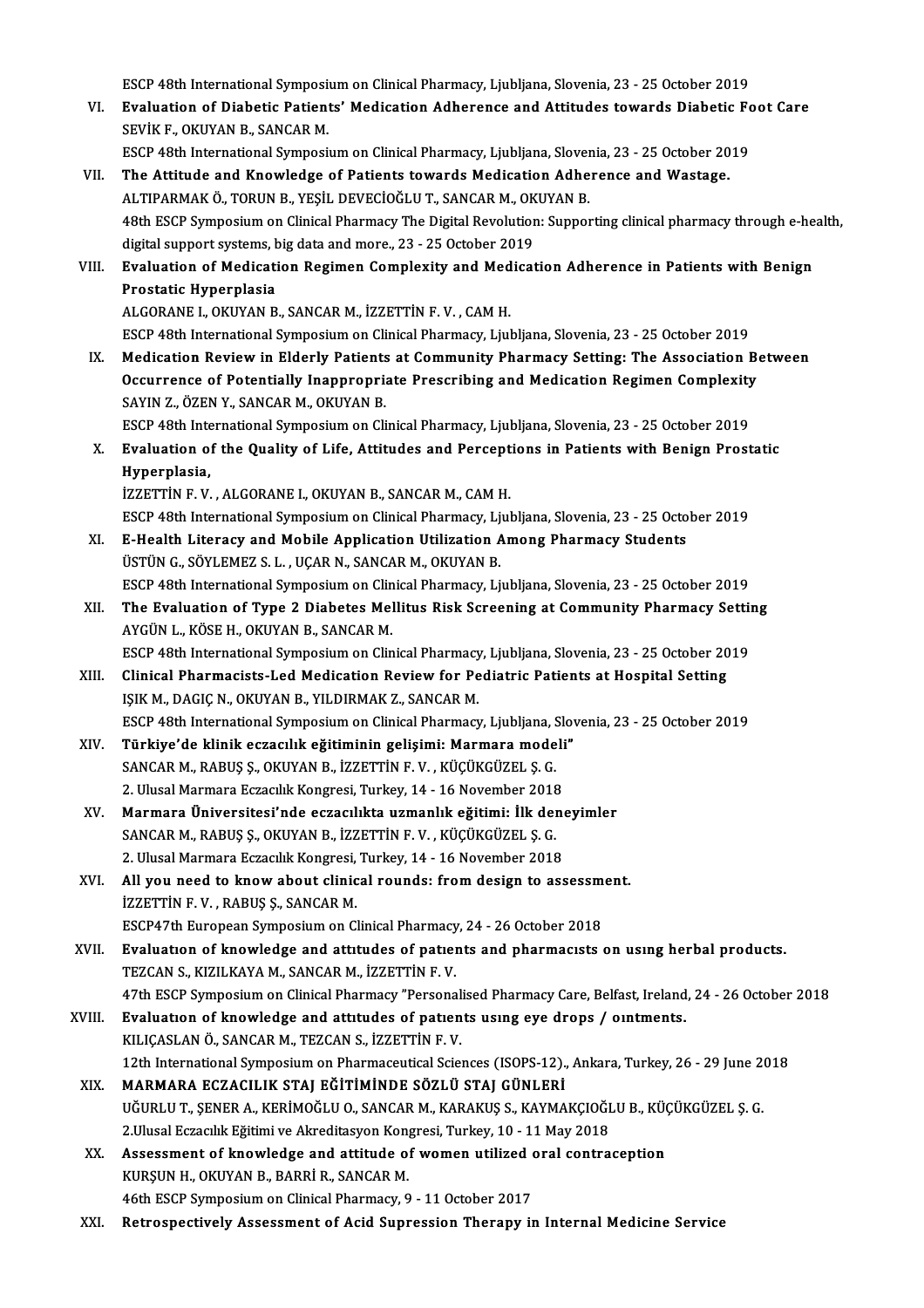ESCP 48th International Symposium on Clinical Pharmacy, Ljubljana, Slovenia, 23 - 25 October 2019<br>Evaluation of Diabatis Patients' Medisation Adharanse and Attitudes towards Diabatis Es

- ESCP 48th International Symposium on Clinical Pharmacy, Ljubljana, Slovenia, 23 25 October 2019<br>VI. Evaluation of Diabetic Patients' Medication Adherence and Attitudes towards Diabetic Foot Care<br>CEVIVE, OVIVAN P, SAN ESCP 48th International Symposit<br>Evaluation of Diabetic Patient<br>SEVİK F., OKUYAN B., SANCAR M.<br>ESCP 49th International Symposit VI. Evaluation of Diabetic Patients' Medication Adherence and Attitudes towards Diabetic Foot Care<br>SEVİK F., OKUYAN B., SANCAR M.<br>ESCP 48th International Symposium on Clinical Pharmacy, Ljubljana, Slovenia, 23 - 25 October
- VII. The Attitude and Knowledge of Patients towards Medication Adherence and Wastage. ESCP 48th International Symposium on Clinical Pharmacy, Ljubljana, Slover<br>The Attitude and Knowledge of Patients towards Medication Adhe<br>ALTIPARMAK Ö., TORUN B., YEŞİL DEVECİOĞLU T., SANCAR M., OKUYAN B.<br>49th ESCP Symposiu 48th ESCP Symposium on Clinical Pharmacy The Digital Revolution: Supporting clinical pharmacy through e-health, digital support systems, big data and more., 23 - 25 October 2019 ALTIPARMAK Ö., TORUN B., YEŞİL DEVECİOĞLU T., SANCAR M., OK<br>48th ESCP Symposium on Clinical Pharmacy The Digital Revolution<br>digital support systems, big data and more., 23 - 25 October 2019<br>Evaluation of Medisation Besiman 48th ESCP Symposium on Clinical Pharmacy The Digital Revolution: Supporting clinical pharmacy through e-he digital support systems, big data and more., 23 - 25 October 2019<br>VIII. Evaluation of Medication Regimen Complexity digital support systems, b<br>Evaluation of Medicati<br>Prostatic Hyperplasia<br>ALCOPANE L OVIVAN P Evaluation of Medication Regimen Complexity and Med<br>Prostatic Hyperplasia<br>ALGORANE I., OKUYAN B., SANCAR M., İZZETTİN F. V. , CAM H.<br>ESCR 49th International Sumnosium en Clinical Pharmagy J. iul Prostatic Hyperplasia<br>ALGORANE I., OKUYAN B., SANCAR M., İZZETTİN F. V. , CAM H.<br>ESCP 48th International Symposium on Clinical Pharmacy, Ljubljana, Slovenia, 23 - 25 October 2019 IX. Medication Reviewin Elderly Patients at Community Pharmacy Setting: The Association Between ESCP 48th International Symposium on Clinical Pharmacy, Ljubljana, Slovenia, 23 - 25 October 2019<br>Medication Review in Elderly Patients at Community Pharmacy Setting: The Association Be<br>Occurrence of Potentially Inappropri Medication Review in Elderly Patients<br>Occurrence of Potentially Inappropria<br>SAYIN Z., ÖZEN Y., SANCAR M., OKUYAN B.<br>ESCP 49th International Sumnesium on Cli Occurrence of Potentially Inappropriate Prescribing and Medication Regimen Complexity<br>SAYIN Z., ÖZEN Y., SANCAR M., OKUYAN B.<br>ESCP 48th International Symposium on Clinical Pharmacy, Ljubljana, Slovenia, 23 - 25 October 201 SAYIN Z., ÖZEN Y., SANCAR M., OKUYAN B.<br>ESCP 48th International Symposium on Clinical Pharmacy, Ljubljana, Slovenia, 23 - 25 October 2019<br>X. Evaluation of the Quality of Life, Attitudes and Perceptions in Patients with Ben ESCP 48th International Symposium on Clinical Pharmacy, Ljubljana, Slovenia, 23 - 25 October 2019<br>Evaluation of the Quality of Life, Attitudes and Perceptions in Patients with Benign Prost<br>Hyperplasia,<br>İZZETTİN F.V., ALGOR Evaluation of the Quality of Life, Attitudes and Percept<br>Hyperplasia,<br>İZZETTİN F. V. , ALGORANE I., OKUYAN B., SANCAR M., CAM H.<br>ESCR 49th International Sumnesium on Clinical Phermegy, Liul Hyperplasia,<br>İZZETTİN F. V. , ALGORANE I., OKUYAN B., SANCAR M., CAM H.<br>ESCP 48th International Symposium on Clinical Pharmacy, Ljubljana, Slovenia, 23 - 25 October 2019<br>E. Hoalth I. itanacy and Mobile Annligation Utilizat IZZETTIN F. V. , ALGORANE I., OKUYAN B., SANCAR M., CAM H.<br>ESCP 48th International Symposium on Clinical Pharmacy, Ljubljana, Slovenia, 23 - 25 Octo<br>XI. E-Health Literacy and Mobile Application Utilization Among Pharmacy S ESCP 48th International Symposium on Clinical Pharmacy, Lj<br>E-Health Literacy and Mobile Application Utilization A<br>ÜSTÜN G., SÖYLEMEZ S. L. , UÇAR N., SANCAR M., OKUYAN B.<br>ESCP 49th International Symposium on Clinical Pharm E-Health Literacy and Mobile Application Utilization Among Pharmacy Students<br>ÜSTÜN G., SÖYLEMEZ S. L. , UÇAR N., SANCAR M., OKUYAN B.<br>ESCP 48th International Symposium on Clinical Pharmacy, Ljubljana, Slovenia, 23 - 25 Oct ÜSTÜN G., SÖYLEMEZ S. L. , UÇAR N., SANCAR M., OKUYAN B.<br>ESCP 48th International Symposium on Clinical Pharmacy, Ljubljana, Slovenia, 23 - 25 October 2019<br>XII. The Evaluation of Type 2 Diabetes Mellitus Risk Screening at C ESCP 48th International Symposium on Clin<br>The Evaluation of Type 2 Diabetes Mel<br>AYGÜN L., KÖSE H., OKUYAN B., SANCAR M.<br>ESCP 49th International Symposium on Clin The Evaluation of Type 2 Diabetes Mellitus Risk Screening at Community Pharmacy Settin<br>AYGÜN L., KÖSE H., OKUYAN B., SANCAR M.<br>ESCP 48th International Symposium on Clinical Pharmacy, Ljubljana, Slovenia, 23 - 25 October 20 AYGÜN L., KÖSE H., OKUYAN B., SANCAR M.<br>ESCP 48th International Symposium on Clinical Pharmacy, Ljubljana, Slovenia, 23 - 25 October 20<br>XIII. Clinical Pharmacists-Led Medication Review for Pediatric Patients at Hospital Se ESCP 48th International Symposium on Clinical Pharmacy, Ljubljana, Slovenia, 23 - 25 October 2019 Clinical Pharmacists-Led Medication Review for Pediatric Patients at Hospital Setting<br>IŞIK M., DAGIÇ N., OKUYAN B., YILDIRMAK Z., SANCAR M.<br>ESCP 48th International Symposium on Clinical Pharmacy, Ljubljana, Slovenia, 23 - IŞIK M., DAGIÇ N., OKUYAN B., YILDIRMAK Z., SANCAR M.<br>ESCP 48th International Symposium on Clinical Pharmacy, Ljubljana, Slov<br>XIV. Türkiye'de klinik eczacılık eğitiminin gelişimi: Marmara modeli"<br>SANCAR M. PARUS S. QYIVAN ESCP 48th International Symposium on Clinical Pharmacy, Ljubljana, S<br>Türkiye'de klinik eczacılık eğitiminin gelişimi: Marmara mode<br>SANCAR M., RABUŞ Ş., OKUYAN B., İZZETTİN F. V. , KÜÇÜKGÜZEL Ş. G.<br>2. Hlusel Marmara Eszasıl Türkiye'de klinik eczacılık eğitiminin gelişimi: Marmara modeli"<br>SANCAR M., RABUS S., OKUYAN B., İZZETTİN F. V., KÜÇÜKGÜZEL S. G.
- XV. Marmara Üniversitesi'nde eczacılıkta uzmanlık eğitimi: İlk deneyimler 2. Ulusal Marmara Eczacılık Kongresi, Turkey, 14 - 16 November 2018 Marmara Üniversitesi'nde eczacılıkta uzmanlık eğitimi: İlk den<br>SANCAR M., RABUŞ Ş., OKUYAN B., İZZETTİN F. V. , KÜÇÜKGÜZEL Ş. G.<br>2. Ulusal Marmara Eczacılık Kongresi, Turkey, 14 - 16 November 2018<br>All vou need te know abou
- XVI. All you need to know about clinical rounds: from design to assessment.<br>IZZETTIN F.V., RABUS S., SANCAR M. 2. Ulusal Marmara Eczacılık Kongresi,<br>All you need to know about clinic<br>İZZETTİN F.V. , RABUŞ Ş., SANCAR M.<br>ESCP47th Euronean Symnosium en C All you need to know about clinical rounds: from design to assessm<br>IZZETTIN F. V. , RABUŞ Ş., SANCAR M.<br>ESCP47th European Symposium on Clinical Pharmacy, 24 - 26 October 2018<br>Evaluation of knowledge and attitudes of nation
- XVII. Evaluation of knowledge and attitudes of patients and pharmacists on using herbal products.<br>TEZCAN S., KIZILKAYA M., SANCAR M., İZZETTİN F. V. ESCP47th European Symposium on Clinical Pharmacy<br>**Evaluation of knowledge and attitudes of patier**<br>TEZCAN S., KIZILKAYA M., SANCAR M., İZZETTİN F. V.<br>47th ESCP Symposium on Clinical Pharmacy "Persone Evaluation of knowledge and attitudes of patients and pharmacists on using herbal products.<br>TEZCAN S., KIZILKAYA M., SANCAR M., İZZETTİN F. V.<br>47th ESCP Symposium on Clinical Pharmacy "Personalised Pharmacy Care, Belfast,
	-
- XVIII. Evaluation of knowledge and attitudes of patients using eye drops / ointments.<br>KILICASLAN Ö., SANCAR M., TEZCAN S., İZZETTİN F. V. 47th ESCP Symposium on Clinical Pharmacy "Personal<br>Evaluation of knowledge and attitudes of patien<br>KILIÇASLAN Ö., SANCAR M., TEZCAN S., İZZETTİN F. V.<br>12th International Symposium on Pharmaceutical Scien Evaluation of knowledge and attitudes of patients using eye drops / ointments.<br>KILIÇASLAN Ö., SANCAR M., TEZCAN S., İZZETTİN F. V.<br>12th International Symposium on Pharmaceutical Sciences (ISOPS-12)., Ankara, Turkey, 26 - 2 KILIÇASLAN Ö., SANCAR M., TEZCAN S., İZZETTİN F. V.<br>12th International Symposium on Pharmaceutical Sciences (ISOPS-12).<br>XIX. MARMARA ECZACILIK STAJ EĞİTİMİNDE SÖZLÜ STAJ GÜNLERİ
	- 12th International Symposium on Pharmaceutical Sciences (ISOPS-12)., Ankara, Turkey, 26 29 June 20<br>MARMARA ECZACILIK STAJ EĞİTİMİNDE SÖZLÜ STAJ GÜNLERİ<br>UĞURLU T., ŞENER A., KERİMOĞLU O., SANCAR M., KARAKUŞ S., KAYMAKÇIOĞ MARMARA ECZACILIK STAJ EĞİTİMİNDE SÖZLÜ STAJ GÜNLERİ<br>UĞURLU T., ŞENER A., KERİMOĞLU O., SANCAR M., KARAKUŞ S., KAYMAKÇIOĞI<br>2.Ulusal Eczacılık Eğitimi ve Akreditasyon Kongresi, Turkey, 10 - 11 May 2018<br>Assessment of knowled UĞURLU T., ŞENER A., KERİMOĞLU O., SANCAR M., KARAKUŞ S., KAYMAKÇIOĞLU B., KÜ(<br>2.Ulusal Eczacılık Eğitimi ve Akreditasyon Kongresi, Turkey, 10 - 11 May 2018<br>XX. Assessment of knowledge and attitude of women utilized oral c
	- 2.Ulusal Eczacılık Eğitimi ve Akreditasyon Kon<br>Assessment of knowledge and attitude of<br>KURŞUN H., OKUYAN B., BARRİ R., SANCAR M.<br>46th ESCP Symnosium on Clinisal Pharmagy O Assessment of knowledge and attitude of women utilized of<br>KURŞUN H., OKUYAN B., BARRİ R., SANCAR M.<br>46th ESCP Symposium on Clinical Pharmacy, 9 - 11 October 2017<br>Betreapestively, Assessment of Asid Sunnessien Theneny is KURŞUN H., OKUYAN B., BARRİ R., SANCAR M.<br>46th ESCP Symposium on Clinical Pharmacy, 9 - 11 October 2017<br>XXI. Retrospectively Assessment of Acid Supression Therapy in Internal Medicine Service
	-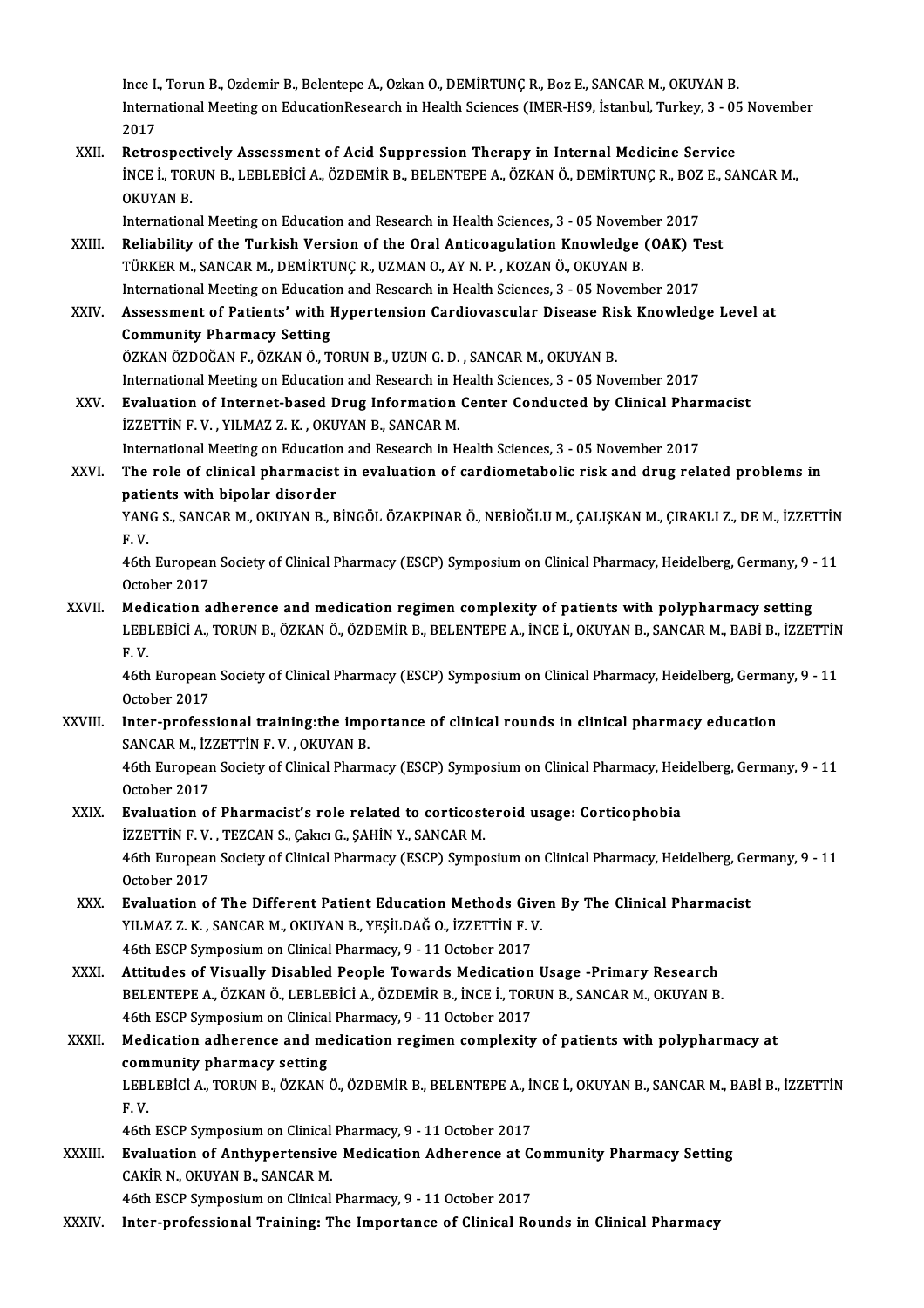Ince I., Torun B., Ozdemir B., Belentepe A., Ozkan O., DEMİRTUNÇ R., Boz E., SANCAR M., OKUYAN B.<br>International Meeting on EducationResearch in Heelth Sciences (IMER HSQ, İstanbul, Turkey, 2., 05 Ince I., Torun B., Ozdemir B., Belentepe A., Ozkan O., DEMİRTUNÇ R., Boz E., SANCAR M., OKUYAN B.<br>International Meeting on EducationResearch in Health Sciences (IMER-HS9, İstanbul, Turkey, 3 - 05 November<br>2017 Ince I.<br>Intern<br>2017<br>Petre International Meeting on EducationResearch in Health Sciences (IMER-HS9, İstanbul, Turkey, 3 - 05<br>2017<br>XXII. Retrospectively Assessment of Acid Suppression Therapy in Internal Medicine Service<br>INCE I. TOPUN B. LEBLERICIA,

2017<br>Retrospectively Assessment of Acid Suppression Therapy in Internal Medicine Service<br>İNCE İ., TORUN B., LEBLEBİCİ A., ÖZDEMİR B., BELENTEPE A., ÖZKAN Ö., DEMİRTUNÇ R., BOZ E., SANCAR M.,<br>OKUYAN B Retrospectively Assessment of Acid Suppression Therapy in Internal Medicine Service<br>INCE I., TORUN B., LEBLEBICI A., ÖZDEMIR B., BELENTEPE A., ÖZKAN Ö., DEMIRTUNÇ R., BOZ E., SA<br>OKUYAN B. INCE I., TORUN B., LEBLEBICI A., ÖZDEMIR B., BELENTEPE A., ÖZKAN Ö., DEMIRTUNÇ R., BOZ<br>OKUYAN B.<br>International Meeting on Education and Research in Health Sciences, 3 - 05 November 2017<br>Poliability of the Turkish Version o

OKUYAN B.<br>International Meeting on Education and Research in Health Sciences, 3 - 05 November 2017<br>XXIII. Reliability of the Turkish Version of the Oral Anticoagulation Knowledge (OAK) Test<br>TÜRKER M. SANGAR M. DEMIRTING R. International Meeting on Education and Research in Health Sciences, 3 - 05 Novem<br>Reliability of the Turkish Version of the Oral Anticoagulation Knowledge<br>TÜRKER M., SANCAR M., DEMİRTUNÇ R., UZMAN O., AY N. P. , KOZAN Ö., O

- Reliability of the Turkish Version of the Oral Anticoagulation Knowledge (OAK) T<br>TÜRKER M., SANCAR M., DEMİRTUNÇ R., UZMAN O., AY N. P. , KOZAN Ö., OKUYAN B.<br>International Meeting on Education and Research in Health Scienc TÜRKER M., SANCAR M., DEMİRTUNÇ R., UZMAN O., AY N. P. , KOZAN Ö., OKUYAN B.<br>International Meeting on Education and Research in Health Sciences, 3 - 05 November 2017<br>XXIV. Assessment of Patients' with Hypertension Cardiova
- International Meeting on Education<br>Assessment of Patients' with I<br>Community Pharmacy Setting<br>ÖZKAN ÖZDOČAN E. ÖZKAN Ö. T Assessment of Patients' with Hypertension Cardiovascular Disease Ris<br>Community Pharmacy Setting<br>ÖZKAN ÖZDOĞAN F., ÖZKAN Ö., TORUN B., UZUN G. D. , SANCAR M., OKUYAN B.<br>International Meeting on Education and Bessensh in Hee Community Pharmacy Setting<br>ÖZKAN ÖZDOĞAN F., ÖZKAN Ö., TORUN B., UZUN G. D. , SANCAR M., OKUYAN B.<br>International Meeting on Education and Research in Health Sciences, 3 - 05 November 2017<br>Evaluation of Internat based Drug ÖZKAN ÖZDOĞAN F., ÖZKAN Ö., TORUN B., UZUN G. D. , SANCAR M., OKUYAN B.<br>International Meeting on Education and Research in Health Sciences, 3 - 05 November 2017<br>XXV. Evaluation of Internet-based Drug Information Center Con
- International Meeting on Education and Research in H<br>**Evaluation of Internet-based Drug Information**<br>İZZETTİN F. V. , YILMAZ Z. K. , OKUYAN B., SANCAR M.<br>International Meeting on Education and Bessensh in H Evaluation of Internet-based Drug Information Center Conducted by Clinical Phar<br>IZZETTIN F. V. , YILMAZ Z. K. , OKUYAN B., SANCAR M.<br>International Meeting on Education and Research in Health Sciences, 3 - 05 November 2017<br> International Meeting on Education and Research in Health Sciences, 3 - 05 November 2017

izzETTİN F. V. , YILMAZ Z. K. , OKUYAN B., SANCAR M.<br>International Meeting on Education and Research in Health Sciences, 3 - 05 November 2017<br>XXVI. The role of clinical pharmacist in evaluation of cardiometabolic risk and The role of clinical pharmacist in evaluation of cardiometabolic risk and drug related problems in<br>patients with bipolar disorder<br>YANG S., SANCAR M., OKUYAN B., BİNGÖL ÖZAKPINAR Ö., NEBİOĞLU M., ÇALIŞKAN M., ÇIRAKLI Z., DE

pati<br>YAN<br>F. V. YANG S., SANCAR M., OKUYAN B., BİNGÖL ÖZAKPINAR Ö., NEBİOĞLU M., ÇALIŞKAN M., ÇIRAKLI Z., DE M., İZZETTİN<br>F. V.<br>46th European Society of Clinical Pharmacy (ESCP) Symposium on Clinical Pharmacy, Heidelberg, Germany, 9 - 11<br>

F. V.<br>46th European Society of Clinical Pharmacy (ESCP) Symposium on Clinical Pharmacy, Heidelberg, Germany, 9 - 11<br>October 2017

XXVII. Medication adherence and medication regimen complexity of patients with polypharmacy setting October 2017<br>Medication adherence and medication regimen complexity of patients with polypharmacy setting<br>LEBLEBİCİ A., TORUN B., ÖZKAN Ö., ÖZDEMİR B., BELENTEPE A., İNCE İ., OKUYAN B., SANCAR M., BABİ B., İZZETTİN<br>E. V Med<br>LEBI<br>F.V. LEBLEBİCİ A., TORUN B., ÖZKAN Ö., ÖZDEMİR B., BELENTEPE A., İNCE İ., OKUYAN B., SANCAR M., BABİ B., İZZETTİN<br>F. V.<br>46th European Society of Clinical Pharmacy (ESCP) Symposium on Clinical Pharmacy, Heidelberg, Germany, 9 -

F.V.<br>46th Europear<br>October 2017<br>Inter profess 46th European Society of Clinical Pharmacy (ESCP) Symposium on Clinical Pharmacy, Heidelberg, German<br>October 2017<br>XXVIII. Inter-professional training:the importance of clinical rounds in clinical pharmacy education<br>SANGAR

October 2017<br>Inter-professional training:the importance of clinical rounds in clinical pharmacy education<br>SANCAR M., İZZETTİN F. V. , OKUYAN B. Inter-professional training:the importance of clinical rounds in clinical pharmacy education<br>SANCAR M., İZZETTİN F. V. , OKUYAN B.<br>46th European Society of Clinical Pharmacy (ESCP) Symposium on Clinical Pharmacy, Heidelber

SANCAR M., İZ.<br>46th Europear<br>October 2017<br>Eveluation et

#### XXIX. Evaluation of Pharmacist's role related to corticosteroid usage: Corticophobia İZZETTİN F.V., TEZCAN S., Çakıcı G., ŞAHİN Y., SANCAR M. Evaluation of Pharmacist's role related to corticosteroid usage: Corticophobia<br>İZZETTİN F. V. , TEZCAN S., Çakıcı G., ŞAHİN Y., SANCAR M.<br>46th European Society of Clinical Pharmacy (ESCP) Symposium on Clinical Pharmacy, He EXETTIN F.V.<br>46th European<br>October 2017<br>Evaluation of

- 46th European Society of Clinical Pharmacy (ESCP) Symposium on Clinical Pharmacy, Heidelberg, Ge<br>October 2017<br>XXX. Evaluation of The Different Patient Education Methods Given By The Clinical Pharmacist<br>XII MA7.7 K. SANCAR October 2017<br><mark>Evaluation of The Different Patient Education Methods Give</mark><br>YILMAZ Z. K. , SANCAR M., OKUYAN B., YEŞİLDAĞ O., İZZETTİN F. V.<br>46th ESCP Sumnosium en Clinisel Pharmagy 9 - 11 Ostober 2017 Evaluation of The Different Patient Education Methods Given<br>All Maz Z. K., SANCAR M., OKUYAN B., YEŞİLDAĞ O., İZZETTİN F. V<br>46th ESCP Symposium on Clinical Pharmacy, 9 - 11 October 2017<br>Attitudes of Visually Disabled Beapl
- 46th ESCP Symposium on Clinical Pharmacy, 9 11 October 2017<br>XXXI. Attitudes of Visually Disabled People Towards Medication Usage -Primary Research 46th ESCP Symposium on Clinical Pharmacy, 9 - 11 October 2017<br>Attitudes of Visually Disabled People Towards Medication Usage -Primary Research<br>BELENTEPE A., ÖZKAN Ö., LEBLEBİCİ A., ÖZDEMİR B., İNCE İ., TORUN B., SANCAR M., Attitudes of Visually Disabled People Towards Medication<br>BELENTEPE A., ÖZKAN Ö., LEBLEBİCİ A., ÖZDEMİR B., İNCE İ., TOR<br>46th ESCP Symposium on Clinical Pharmacy, 9 - 11 October 2017<br>Medication adharansa and medication regi 46th ESCP Symposium on Clinical Pharmacy, 9 - 11 October 2017
- XXXII. Medication adherence and medication regimen complexity of patients with polypharmacy at community pharmacy setting Medication adherence and medication regimen complexity of patients with polypharmacy at<br>community pharmacy setting<br>LEBLEBİCİ A., TORUN B., ÖZKAN Ö., ÖZDEMİR B., BELENTEPE A., İNCE İ., OKUYAN B., SANCAR M., BABİ B., İZZETTİ com<br>LEBI<br>F.V. LEBLEBİCİ A., TORUN B., ÖZKAN Ö., ÖZDEMİR B., BELENTEPE A., İI<br>F. V.<br>46th ESCP Symposium on Clinical Pharmacy, 9 - 11 October 2017<br>Fyalustion of Anthunontoneive Medication Adharence at G

F. V.<br>46th ESCP Symposium on Clinical Pharmacy, 9 - 11 October 2017<br>XXXIII. Evaluation of Anthypertensive Medication Adherence at Community Pharmacy Setting<br>CARIP N. OKUYAN B. SANGAR M 46th ESCP Symposium on Clinical<br>Evaluation of Anthypertensive<br>CAKİR N., OKUYAN B., SANCAR M.<br>46th ESCP Symposium on Clinical Evaluation of Anthypertensive Medication Adherence at C<br>CAKİR N., OKUYAN B., SANCAR M.<br>46th ESCP Symposium on Clinical Pharmacy, 9 - 11 October 2017<br>Inter professional Training: The Importance of Clinical Be CAKİR N., OKUYAN B., SANCAR M.<br>46th ESCP Symposium on Clinical Pharmacy, 9 - 11 October 2017<br>XXXIV. Inter-professional Training: The Importance of Clinical Rounds in Clinical Pharmacy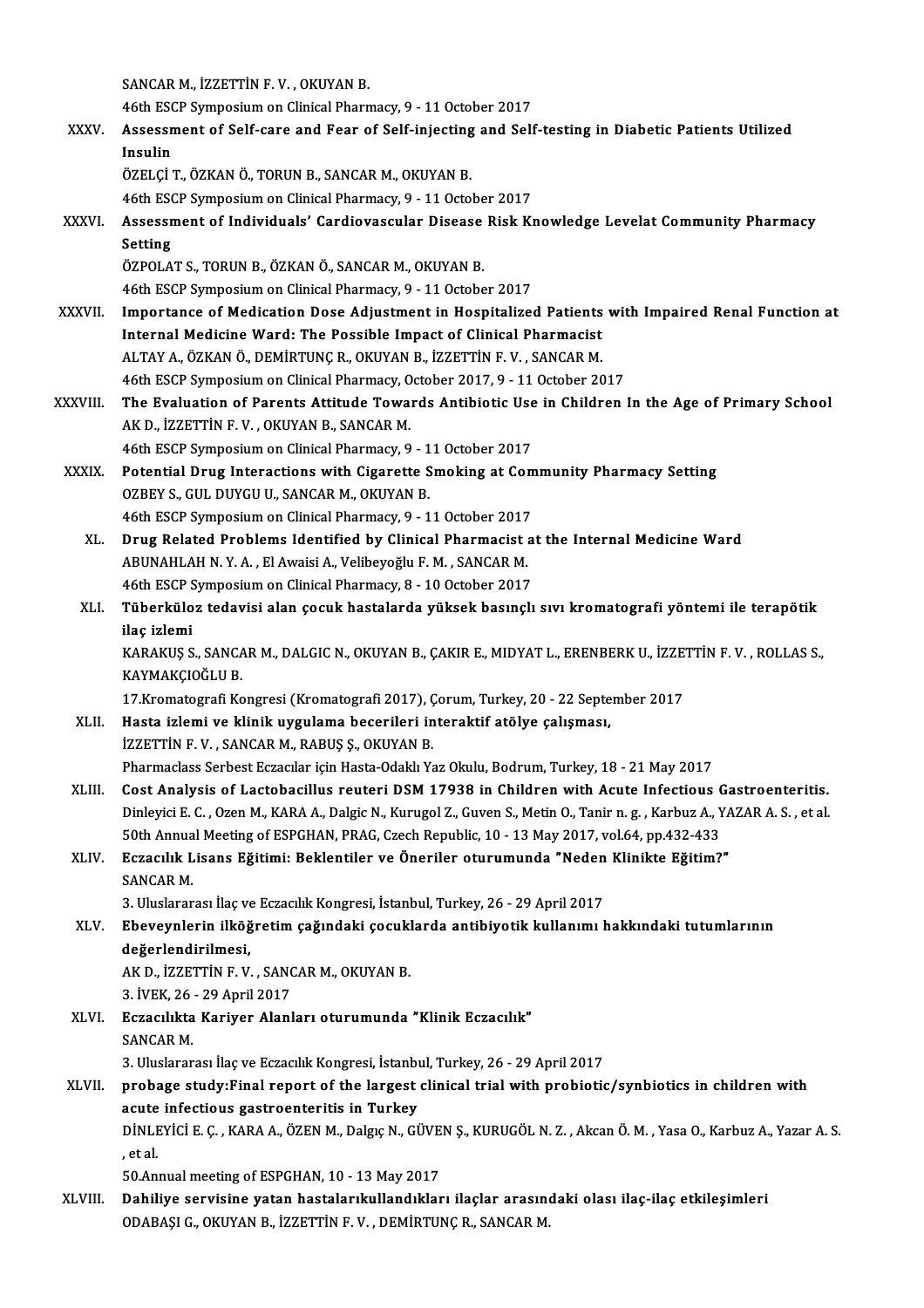SANCAR M., İZZETTİN F.V., OKUYAN B.

SANCAR M., İZZETTİN F. V. , OKUYAN B.<br>46th ESCP Symposium on Clinical Pharmacy, 9 - 11 October 2017<br>Assessment of Self sens and Fear of Self injesting and Self

XXXV. Assessment of Self-care and Fear of Self-injecting and Self-testing in Diabetic Patients Utilized 46th ESC<br>Assessn<br>Insulin<br>ÖZEL Cİ

ÖZELÇİ T., ÖZKAN Ö., TORUN B., SANCAR M., OKUYAN B.

46th ESCP Symposium on Clinical Pharmacy, 9 - 11 October 2017

ÖZELÇİ T., ÖZKAN Ö., TORUN B., SANCAR M., OKUYAN B.<br>46th ESCP Symposium on Clinical Pharmacy, 9 - 11 October 2017<br>XXXVI. Assessment of Individuals' Cardiovascular Disease Risk Knowledge Levelat Community Pharmacy<br>Setti 46th ESC<br>Assessn<br>Setting<br>ÖZPOLA Assessment of Individuals' Cardiovascular Disease<br>Setting<br>ÖZPOLAT S., TORUN B., ÖZKAN Ö., SANCAR M., OKUYAN B.<br>46th ESCP Symposium on Clinical Pharmagy, 9, ...1.1 Ostobe Setting<br>ÖZPOLAT S., TORUN B., ÖZKAN Ö., SANCAR M., OKUYAN B.<br>46th ESCP Symposium on Clinical Pharmacy, 9 - 11 October 2017

- ÖZPOLAT S., TORUN B., ÖZKAN Ö., SANCAR M., OKUYAN B.<br>46th ESCP Symposium on Clinical Pharmacy, 9 11 October 2017<br>XXXVII. Importance of Medication Dose Adjustment in Hospitalized Patients with Impaired Renal Function at<br>I 46th ESCP Symposium on Clinical Pharmacy, 9 - 11 October 2017<br>Importance of Medication Dose Adjustment in Hospitalized Patients<br>Internal Medicine Ward: The Possible Impact of Clinical Pharmacist<br>ALTAV A. ÖZKAN Ö. DEMIRTING Internal Medicine Ward: The Possible Impact of Clinical Pharmacist ALTAY A., ÖZKAN Ö., DEMİRTUNÇR., OKUYAN B., İZZETTİN F.V., SANCAR M. Internal Medicine Ward: The Possible Impact of Clinical Pharmacist<br>ALTAY A., ÖZKAN Ö., DEMİRTUNÇ R., OKUYAN B., İZZETTİN F. V. , SANCAR M.<br>46th ESCP Symposium on Clinical Pharmacy, October 2017, 9 - 11 October 2017<br>The Eve ALTAY A., ÖZKAN Ö., DEMİRTUNÇ R., OKUYAN B., İZZETTİN F. V. , SANCAR M.<br>46th ESCP Symposium on Clinical Pharmacy, October 2017, 9 - 11 October 2017<br>XXXVIII. The Evaluation of Parents Attitude Towards Antibiotic Use in Chil
- 46th ESCP Symposium on Clinical Pharmacy, O<br>The Evaluation of Parents Attitude Towal<br>AK D., İZZETTİN F. V. , OKUYAN B., SANCAR M.<br>46th ESCP Symposium on Clinical Pharmacy, O. The Evaluation of Parents Attitude Towards Antibiotic Use<br>AK D., İZZETTİN F. V. , OKUYAN B., SANCAR M.<br>46th ESCP Symposium on Clinical Pharmacy, 9 - 11 October 2017<br>Petential Drug Internations with Giganatte Smoking at Com 46th ESCP Symposium on Clinical Pharmacy, 9 - 11 October 2017
- AK D., İZZETTİN F. V. , OKUYAN B., SANCAR M.<br>46th ESCP Symposium on Clinical Pharmacy, 9 11 October 2017<br>XXXIX. Potential Drug Interactions with Cigarette Smoking at Community Pharmacy Setting<br>OZBEY S., GUL DUYGU U., SAN Potential Drug Interactions with Cigarette Smoking at Com<br>OZBEY S., GUL DUYGU U., SANCAR M., OKUYAN B.<br>46th ESCP Symposium on Clinical Pharmacy, 9 - 11 October 2017<br>Paug Belated Problems Identified by Clinical Pharmacist e OZBEY S., GUL DUYGU U., SANCAR M., OKUYAN B.<br>46th ESCP Symposium on Clinical Pharmacy, 9 - 11 October 2017<br>XL. Drug Related Problems Identified by Clinical Pharmacist at the Internal Medicine Ward<br>ARIINAHI AH N. Y. A. El A
	- 46th ESCP Symposium on Clinical Pharmacy, 9 11 October 2017<br>Drug Related Problems Identified by Clinical Pharmacist :<br>ABUNAHLAH N. Y. A. , El Awaisi A., Velibeyoğlu F. M. , SANCAR M.<br>46th ESCP Symposium on Clinical Pharm Drug Related Problems Identified by Clinical Pharmacist a<br>ABUNAHLAH N. Y. A. , El Awaisi A., Velibeyoğlu F. M. , SANCAR M.<br>46th ESCP Symposium on Clinical Pharmacy, 8 - 10 October 2017<br>Tüberküler tedevisi alan sosuk bastal
	- ABUNAHLAH N. Y. A. , El Awaisi A., Velibeyoğlu F. M. , SANCAR M.<br>46th ESCP Symposium on Clinical Pharmacy, 8 10 October 2017<br>XLI. Tüberküloz tedavisi alan çocuk hastalarda yüksek basınçlı sıvı kromatografi yöntemi il 46th ESCP S<br><mark>Tüberkülo</mark><br>ilaç izlemi<br>KARAKUS S Tüberküloz tedavisi alan çocuk hastalarda yüksek basınçlı sıvı kromatografi yöntemi ile terapötik<br>ilaç izlemi<br>KARAKUŞ S., SANCAR M., DALGIC N., OKUYAN B., ÇAKIR E., MIDYAT L., ERENBERK U., İZZETTİN F. V. , ROLLAS S.,<br>KAYMA

<mark>ilaç izlemi</mark><br>KARAKUŞ S., SANCA<br>KAYMAKÇIOĞLU B.<br>17 Kromatasını<sup>ş</sup> Ko KARAKUŞ S., SANCAR M., DALGIC N., OKUYAN B., ÇAKIR E., MIDYAT L., ERENBERK U., İZZET<br>KAYMAKÇIOĞLU B.<br>17.Kromatografi Kongresi (Kromatografi 2017), Çorum, Turkey, 20 - 22 September 2017<br>Hasta izlami ve klinik uygulama basen

- KAYMAKÇIOĞLU B.<br>17.Kromatografi Kongresi (Kromatografi 2017), Çorum, Turkey, 20 22 Septe<br>XLII. Hasta izlemi ve klinik uygulama becerileri interaktif atölye çalışması,<br>177ETTİN E.V. SANGAR M. RARIIS S. QKIIYAN R. 17.Kromatografi Kongresi (Kromatografi 2017), Ç<br>Hasta izlemi ve klinik uygulama becerileri in<br>İZZETTİN F.V., SANCAR M., RABUŞ Ş., OKUYAN B.<br>Pharmaclass Sarbast Estasular isin Hasta Odaldı Ya İZZETTİN F. V. , SANCAR M., RABUŞ Ş., OKUYAN B.<br>Pharmaclass Serbest Eczacılar için Hasta-Odaklı Yaz Okulu, Bodrum, Turkey, 18 - 21 May 2017 izzETTİN F.V., SANCAR M., RABUŞ Ş., OKUYAN B.<br>Pharmaclass Serbest Eczacılar için Hasta-Odaklı Yaz Okulu, Bodrum, Turkey, 18 - 21 May 2017<br>XLIII. Cost Analysis of Lactobacillus reuteri DSM 17938 in Children with Acute Infec
- Dinleyici E. C. , Ozen M., KARA A., Dalgic N., Kurugol Z., Guven S., Metin O., Tanir n. g. , Karbuz A., YAZAR A. S. , et al.<br>50th Annual Meeting of ESPGHAN, PRAG, Czech Republic, 10 13 May 2017, vol.64, pp.432-433 Cost Analysis of Lactobacillus reuteri DSM 17938 in Children with Acute Infectious (<br>Dinleyici E. C. , Ozen M., KARA A., Dalgic N., Kurugol Z., Guven S., Metin O., Tanir n. g. , Karbuz A., Y<br>50th Annual Meeting of ESPGHAN, Dinleyici E. C. , Ozen M., KARA A., Dalgic N., Kurugol Z., Guven S., Metin O., Tanir n. g. , Karbuz A., Y.<br>50th Annual Meeting of ESPGHAN, PRAG, Czech Republic, 10 - 13 May 2017, vol.64, pp.432-433<br>XLIV. Eczacılık Lisans E

# 50th Annua<br>Eczacılık L<br>SANCAR M.<br>2 Uluslarar Eczacılık Lisans Eğitimi: Beklentiler ve Öneriler oturumunda "Neden<br>SANCAR M.<br>3. Uluslararası İlaç ve Eczacılık Kongresi, İstanbul, Turkey, 26 - 29 April 2017<br>Eheveynlerin ilköğretim soğundaki sosuklarda antibiyetik kullan

### SANCAR M.<br>3. Uluslararası İlaç ve Eczacılık Kongresi, İstanbul, Turkey, 26 - 29 April 2017<br>XLV. Ebeveynlerin ilköğretim çağındaki çocuklarda antibiyotik kullanımı hakkındaki tutumlarının<br>değerlendirilmesi 3. Uluslararası İlaç ve<br>Ebeveynlerin ilköğ<br>değerlendirilmesi,<br>AK D. İZZETTİN E. V Ebeveynlerin ilköğretim çağındaki çocukl<br>değerlendirilmesi,<br>AK D., İZZETTİN F. V. , SANCAR M., OKUYAN B.<br>2. İVEK 26., 29.April 2017

değerlendirilmesi,<br>AK D., İZZETTİN F. V. , SANCAR M., OKUYAN B.<br>3. İVEK, 26 - 29 April 2017

XK D., İZZETTİN F. V. , SANCAR M., OKUYAN B.<br>3. İVEK, 26 - 29 April 2017<br>XLVI. Bezacılıkta Kariyer Alanları oturumunda "Klinik Eczacılık" 3. İVEK, 26<br>Eczacılıkta<br>SANCAR M. Eczacılıkta Kariyer Alanları oturumunda "Klinik Eczacılık"<br>SANCAR M.<br>3. Uluslararası İlaç ve Eczacılık Kongresi, İstanbul, Turkey, 26 - 29 April 2017<br>nrabaga etudu:Final rapart of the largest elinisel trial with probietis

#### SANCAR M.<br>3. Uluslararası İlaç ve Eczacılık Kongresi, İstanbul, Turkey, 26 - 29 April 2017<br>XLVII. probage study:Final report of the largest clinical trial with probiotic/synbiotics in children with<br>acute infectious gastroe 3. Uluslararası İlaç ve Eczacılık Kongresi, İstanbı<br>probage study:Final report of the largest<br>acute infectious gastroenteritis in Turkey<br>pinu Evici E.G. KARA A. ÖZEN M. Delge N. Cİ probage study:Final report of the largest clinical trial with probiotic/synbiotics in children with<br>acute infectious gastroenteritis in Turkey<br>DİNLEYİCİ E. Ç. , KARA A., ÖZEN M., Dalgıç N., GÜVEN Ş., KURUGÖL N. Z. , Akcan acute<br>DİNLE<br>, et al.<br>EQ An DİNLEYİCİ E. Ç. , KARA A., ÖZEN M., Dalgıç N., GÜVE<br>, et al.<br>50.Annual meeting of ESPGHAN, 10 - 13 May 2017<br>Dabiliya sarvisine yatan bastalarılıylandıklar

, et al.<br>50.Annual meeting of ESPGHAN, 10 - 13 May 2017<br>XLVIII. Dahiliye servisine yatan hastalarıkullandıkları ilaçlar arasındaki olası ilaç-ilaç etkileşimleri<br>ODARASLG OKUYAN B. İZZETTİN E.V. DEMİRTING B. SANGAR M 50.Annual meeting of ESPGHAN, 10 - 13 May 2017<br>Dahiliye servisine yatan hastalarıkullandıkları ilaçlar arasını<br>ODABAŞI G., OKUYAN B., İZZETTİN F. V. , DEMİRTUNÇ R., SANCAR M.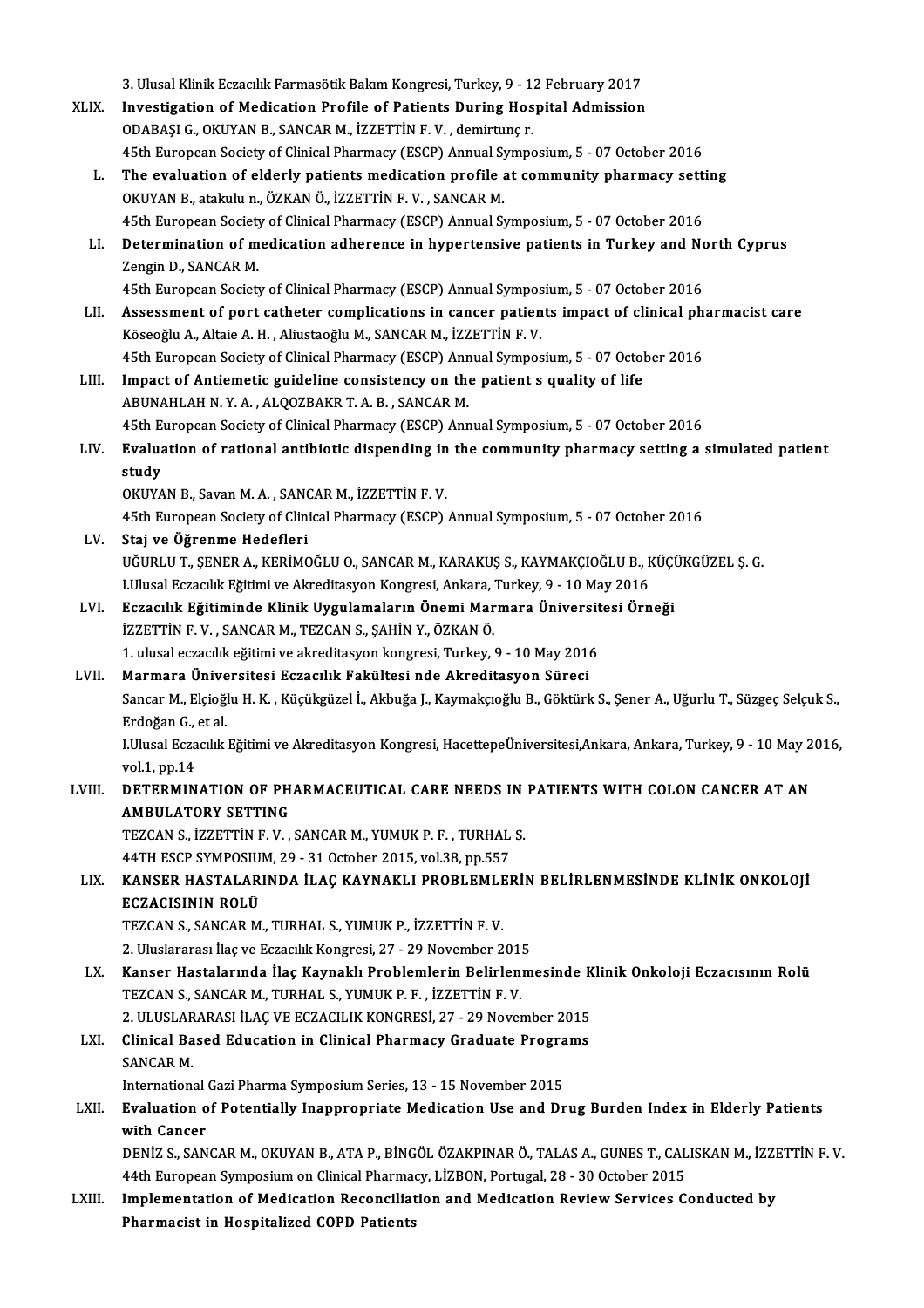3. Ulusal Klinik Eczacılık Farmasötik Bakım Kongresi, Turkey, 9 - 12 February 2017<br>Investigation of Modisation Prefile of Patients During Heenital Admission 3. Ulusal Klinik Eczacılık Farmasötik Bakım Kongresi, Turkey, 9 - 12 February 2017<br>XLIX. Investigation of Medication Profile of Patients During Hospital Admission 3. Ulusal Klinik Eczacılık Farmasötik Bakım Kongresi, Turkey, 9 - 1.<br>Investigation of Medication Profile of Patients During Hos<br>ODABAŞI G., OKUYAN B., SANCAR M., İZZETTİN F. V. , demirtunç r.<br>45th European Sosisty of Clini Investigation of Medication Profile of Patients During Hospital Admission<br>ODABAŞI G., OKUYAN B., SANCAR M., İZZETTİN F. V. , demirtunç r.<br>45th European Society of Clinical Pharmacy (ESCP) Annual Symposium, 5 - 07 October 2 ODABAŞI G., OKUYAN B., SANCAR M., İZZETTİN F. V., demirtunç r.<br>45th European Society of Clinical Pharmacy (ESCP) Annual Symposium, 5 - 07 October 2016<br>L. The evaluation of elderly patients medication profile at community p OKUYAN B., atakulu n., ÖZKAN Ö., İZZETTİN F.V., SANCARM. The evaluation of elderly patients medication profile at community pharmacy setti<br>OKUYAN B., atakulu n., ÖZKAN Ö., İZZETTİN F. V. , SANCAR M.<br>45th European Society of Clinical Pharmacy (ESCP) Annual Symposium, 5 - 07 Octob LI. Determination of medication adherence in hypertensive patients in Turkey and North Cyprus<br>Zengin D., SANCAR M. 45th European Society of Clinical Pharmacy (ESCP) Annual Symposium, 5 - 07 October 2016 Determination of medication adherence in hypertensive patients in Turkey and No.<br>Zengin D., SANCAR M.<br>45th European Society of Clinical Pharmacy (ESCP) Annual Symposium, 5 - 07 October 2016<br>Assessment of next setheter comp Zengin D., SANCAR M.<br>45th European Society of Clinical Pharmacy (ESCP) Annual Symposium, 5 - 07 October 2016<br>LII. Assessment of port catheter complications in cancer patients impact of clinical pharmacist care<br>Kössoğlu A. 45th European Society of Clinical Pharmacy (ESCP) Annual Sympos<br>Assessment of port catheter complications in cancer patien<br>Köseoğlu A., Altaie A. H. , Aliustaoğlu M., SANCAR M., İZZETTİN F. V.<br>45th European Society of Clin Assessment of port catheter complications in cancer patients impact of clinical ph<br>Köseoğlu A., Altaie A. H. , Aliustaoğlu M., SANCAR M., İZZETTİN F. V.<br>45th European Society of Clinical Pharmacy (ESCP) Annual Symposium, 5 Köseoğlu A., Altaie A. H., Aliustaoğlu M., SANCAR M., İZZETTİN F. V.<br>45th European Society of Clinical Pharmacy (ESCP) Annual Symposium, 5 - 07 Octol<br>LIII. Impact of Antiemetic guideline consistency on the patient s qualit 45th European Society of Clinical Pharmacy (ESCP) Ann<br>Impact of Antiemetic guideline consistency on the<br>ABUNAHLAH N.Y.A., ALQOZBAKR T.A.B., SANCAR M.<br>45th European Society of Clinical Pharmacy (ESCP) Ann Impact of Antiemetic guideline consistency on the patient s quality of life<br>ABUNAHLAH N.Y. A. , ALQOZBAKR T. A. B. , SANCAR M.<br>45th European Society of Clinical Pharmacy (ESCP) Annual Symposium, 5 - 07 October 2016<br>Evaluat ABUNAHLAH N. Y. A. , ALQOZBAKR T. A. B. , SANCAR M.<br>45th European Society of Clinical Pharmacy (ESCP) Annual Symposium, 5 - 07 October 2016<br>LIV. Evaluation of rational antibiotic dispending in the community pharmacy se 45th E<br>Evalua<br>study<br>ovuv Evaluation of rational antibiotic dispending in<br>study<br>OKUYAN B., Savan M. A. , SANCAR M., İZZETTİN F. V.<br>4Eth European Sosisty of Clinical Pharmagy (ESCP) study<br>OKUYAN B., Savan M. A. , SANCAR M., İZZETTİN F. V.<br>45th European Society of Clinical Pharmacy (ESCP) Annual Symposium, 5 - 07 October 2016 LV. Staj ve Öğrenme Hedefleri UĞURLUT.,ŞENERA.,KERİMOĞLUO.,SANCARM.,KARAKUŞ S.,KAYMAKÇIOĞLUB.,KÜÇÜKGÜZEL Ş.G. Staj ve Öğrenme Hedefleri<br>UĞURLU T., ŞENER A., KERİMOĞLU O., SANCAR M., KARAKUŞ S., KAYMAKÇIOĞLU B., k<br>LUlusal Eczacılık Eğitimi ve Akreditasyon Kongresi, Ankara, Turkey, 9 - 10 May 2016<br>Eszacılık Eğitiminde Klinik Uygulam UĞURLU T., ŞENER A., KERİMOĞLU O., SANCAR M., KARAKUŞ S., KAYMAKÇIOĞLU B., KÜÇI<br>I.Ulusal Eczacılık Eğitimi ve Akreditasyon Kongresi, Ankara, Turkey, 9 - 10 May 2016<br>LVI. Eczacılık Eğitiminde Klinik Uygulamaların Önemi Marm I.Ulusal Eczacılık Eğitimi ve Akreditasyon Kongresi, Ankara,<br>Eczacılık Eğitiminde Klinik Uygulamaların Önemi Mar<br>İZZETTİN F. V. , SANCAR M., TEZCAN S., ŞAHİN Y., ÖZKAN Ö.<br>1. ulusal eszasılık eğitimi ve almaditasyon konsres Eczacılık Eğitiminde Klinik Uygulamaların Önemi Marmara Üniversit<br>İZZETTİN F. V. , SANCAR M., TEZCAN S., ŞAHİN Y., ÖZKAN Ö.<br>1. ulusal eczacılık eğitimi ve akreditasyon kongresi, Turkey, 9 - 10 May 2016<br>Marmara Üniversitesi İZZETTİN F. V. , SANCAR M., TEZCAN S., ŞAHİN Y., ÖZKAN Ö.<br>1. ulusal eczacılık eğitimi ve akreditasyon kongresi, Turkey, 9 - 10 May 2016<br>LVII. Marmara Üniversitesi Eczacılık Fakültesi nde Akreditasyon Süreci Sancar M., Elçioğlu H.K., Küçükgüzel İ., Akbuğa J., Kaymakçıoğlu B., Göktürk S., Şener A., Uğurlu T., Süzgeç Selçuk S., Mar<mark>mara Ünive</mark><br>Sancar M., Elçioğl<br>Erdoğan G., et al.<br>Ullucel Eszaglık I.Ulusal Eczacılık Eğitimi ve Akreditasyon Kongresi, HacettepeÜniversitesi,Ankara, Ankara, Turkey, 9 - 10 May 2016,<br>vol.1, pp.14 Erdoğan G.,<br>I.Ulusal Ecza<br>vol.1, pp.14<br>DETERMIN LUlusal Eczacılık Eğitimi ve Akreditasyon Kongresi, HacettepeÜniversitesi,Ankara, Ankara, Turkey, 9 - 10 May 2<br>1991. vol.1, pp.14<br>1991. DETERMINATION OF PHARMACEUTICAL CARE NEEDS IN PATIENTS WITH COLON CANCER AT AN vol.1, pp.14<br>DETERMINATION OF PH<br>AMBULATORY SETTING<br>TEZCANS IZZETTINE V AMBULATORY SETTING<br>TEZCAN S., İZZETTİN F. V. , SANCAR M., YUMUK P. F. , TURHAL S. AMBULATORY SETTING<br>TEZCAN S., İZZETTİN F. V. , SANCAR M., YUMUK P. F. , TURHAL<br>44TH ESCP SYMPOSIUM, 29 - 31 October 2015, vol.38, pp.557<br>KANSER HASTALARINDA İLAÇ KAYNAKLI PROBLEMLEI LIX. KANSER HASTALARINDA İLAÇ KAYNAKLI PROBLEMLERİN BELİRLENMESİNDE KLİNİK ONKOLOJİ 44TH ESCP SYMPOSIU<br>KANSER HASTALAR<br>ECZACISININ ROLÜ<br>TEZCAN S. SANCAR M KANSER HASTALARINDA İLAÇ KAYNAKLI PROBLEMLE<br>ECZACISININ ROLÜ<br>TEZCAN S., SANCAR M., TURHAL S., YUMUK P., İZZETTİN F. V.<br>2. Uluslararası İlas ve Eszasilik Konstasi, 27.–29 November 2 ECZACISININ ROLÜ<br>TEZCAN S., SANCAR M., TURHAL S., YUMUK P., İZZETTİN F. V.<br>2. Uluslararası İlaç ve Eczacılık Kongresi, 27 - 29 November 2015<br>Kanser Hastalarında İlaş Kaynaklı Prahlamların Palirların TEZCAN S., SANCAR M., TURHAL S., YUMUK P., İZZETTİN F. V.<br>2. Uluslararası İlaç ve Eczacılık Kongresi, 27 - 29 November 2015<br>LX. Kanser Hastalarında İlaç Kaynaklı Problemlerin Belirlenmesinde Klinik Onkoloji Eczacısının Rol 2. Uluslararası İlaç ve Eczacılık Kongresi, 27 - 29 November 2015<br>Kanser Hastalarında İlaç Kaynaklı Problemlerin Belirlenm<br>TEZCAN S., SANCAR M., TURHAL S., YUMUK P. F. , İZZETTİN F. V. Kanser Hastalarında İlaç Kaynaklı Problemlerin Belirlenmesinde K<br>TEZCAN S., SANCAR M., TURHAL S., YUMUK P. F. , İZZETTİN F. V.<br>2. ULUSLARARASI İLAÇ VE ECZACILIK KONGRESİ, 27 - 29 November 2015<br>Clinisal Based Edusation in C TEZCAN S., SANCAR M., TURHAL S., YUMUK P. F. , İZZETTİN F. V.<br>2. ULUSLARARASI İLAÇ VE ECZACILIK KONGRESİ, 27 - 29 November 2015<br>LXI. Clinical Based Education in Clinical Pharmacy Graduate Programs<br>SANCAR M 2. ULUSLARARASI İLAÇ VE ECZACILIK KONGRESİ, 27 - 29 November 2015<br>Clinical Based Education in Clinical Pharmacy Graduate Programs<br>SANCAR M.<br>International Gazi Pharma Symposium Series, 13 - 15 November 2015 Clinical Based Education in Clinical Pharmacy Graduate Progra<br>SANCAR M.<br>International Gazi Pharma Symposium Series, 13 - 15 November 2015<br>Fueluation of Petentially Inconnecariete Medication Hee and Du SANCAR M.<br>International Gazi Pharma Symposium Series, 13 - 15 November 2015<br>LXII. Evaluation of Potentially Inappropriate Medication Use and Drug Burden Index in Elderly Patients<br>with Cancer International<br>Evaluation o<br>with Cancer<br>DENIZ S. SAN Evaluation of Potentially Inappropriate Medication Use and Drug Burden Index in Elderly Patients<br>with Cancer<br>DENİZ S., SANCAR M., OKUYAN B., ATA P., BİNGÖL ÖZAKPINAR Ö., TALAS A., GUNES T., CALISKAN M., İZZETTİN F. V.<br>44th with Cancer<br>DENİZ S., SANCAR M., OKUYAN B., ATA P., BİNGÖL ÖZAKPINAR Ö., TALAS A., GUNES T., CAL<br>44th European Symposium on Clinical Pharmacy, LİZBON, Portugal, 28 - 30 October 2015<br>Implementation of Modisation Pesensilist DENİZ S., SANCAR M., OKUYAN B., ATA P., BİNGÖL ÖZAKPINAR Ö., TALAS A., GUNES T., CALISKAN M., İZZI<br>44th European Symposium on Clinical Pharmacy, LİZBON, Portugal, 28 - 30 October 2015<br>LXIII. Implementation of Medication Re 44th European Symposium on Clinical Pharmacy, LİZBON, Portugal, 28 - 30 October 2015<br>LXIII. Implementation of Medication Reconciliation and Medication Review Services Conducted by<br>Pharmacist in Hospitalized COPD Patients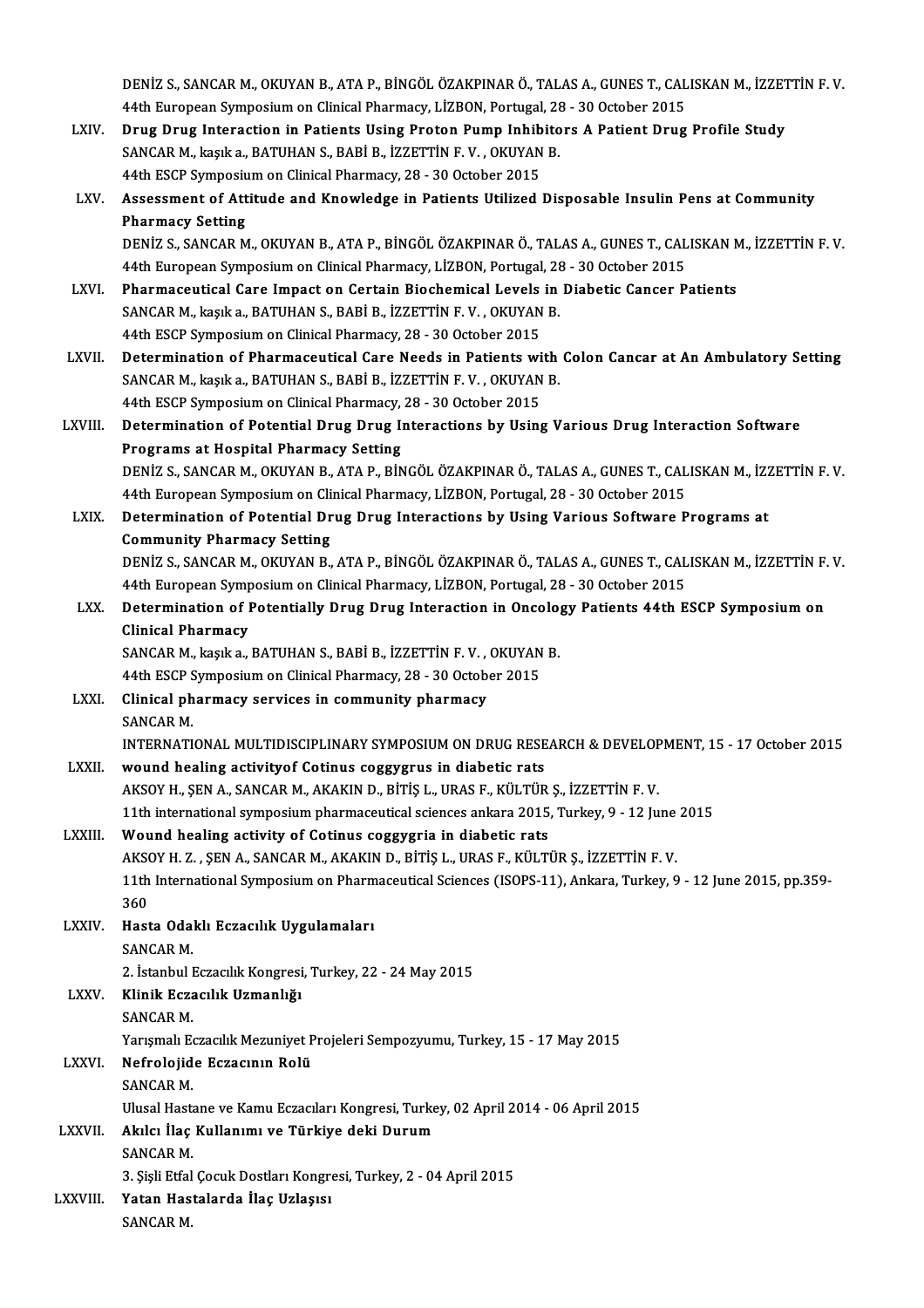DENİZ S., SANCAR M., OKUYAN B., ATA P., BİNGÖL ÖZAKPINAR Ö., TALAS A., GUNES T., CALISKAN M., İZZETTİN F. V.<br>44th European Sympasium en Clinisel Pharmagy, LİZPON, Pertugal 28, 29 Ostaber 2015 DENİZ S., SANCAR M., OKUYAN B., ATA P., BİNGÖL ÖZAKPINAR Ö., TALAS A., GUNES T., CAL<br>44th European Symposium on Clinical Pharmacy, LİZBON, Portugal, 28 - 30 October 2015<br>Dave Pave Internation in Botionts Heins Broton Bumn DENIZ S., SANCAR M., OKUYAN B., ATA P., BINGÖL ÖZAKPINAR Ö., TALAS A., GUNES T., CALISKAN M., IZZET<br>44th European Symposium on Clinical Pharmacy, LIZBON, Portugal, 28 - 30 October 2015<br>LXIV. Drug Drug Interaction in Patien

- 44th European Symposium on Clinical Pharmacy, LİZBON, Portugal, 28 30 October 2015<br>Drug Drug Interaction in Patients Using Proton Pump Inhibitors A Patient Drug<br>SANCAR M., kaşık a., BATUHAN S., BABİ B., İZZETTİN F. V. , Drug Drug Interaction in Patients Using Proton Pump Inhib<br>SANCAR M., kaşık a., BATUHAN S., BABİ B., İZZETTİN F. V. , OKUYAN<br>44th ESCP Symposium on Clinical Pharmacy, 28 - 30 October 2015<br>Assessment of Attitude and Knowledg 44th ESCP Symposium on Clinical Pharmacy, 28 - 30 October 2015
- LXV. Assessment of Attitude and Knowledge in Patients Utilized Disposable Insulin Pens at Community Assessment of Attitude and Knowledge in Patients Utilized Disposable Insulin Pens at Community<br>Pharmacy Setting<br>DENİZ S., SANCAR M., OKUYAN B., ATA P., BİNGÖL ÖZAKPINAR Ö., TALAS A., GUNES T., CALISKAN M., İZZETTİN F. V.<br>4 Pharmacy Setting<br>DENİZ S., SANCAR M., OKUYAN B., ATA P., BİNGÖL ÖZAKPINAR Ö., TALAS A., GUNES T., CAL<br>44th European Symposium on Clinical Pharmacy, LİZBON, Portugal, 28 - 30 October 2015<br>Pharmacoutical Care Impact on Certa DENIZ S., SANCAR M., OKUYAN B., ATA P., BINGÖL ÖZAKPINAR Ö., TALAS A., GUNES T., CALISKAN M<br>44th European Symposium on Clinical Pharmacy, LIZBON, Portugal, 28 - 30 October 2015<br>LXVI. Pharmaceutical Care Impact on Certain B
- 44th European Symposium on Clinical Pharmacy, LİZBON, Portugal, 28 30 October 2015<br>Pharmaceutical Care Impact on Certain Biochemical Levels in Diabetic Cancer P<br>SANCAR M., kaşık a., BATUHAN S., BABİ B., İZZETTİN F. V. , Pharmaceutical Care Impact on Certain Biochemical Levels<br>SANCAR M., kaşık a., BATUHAN S., BABİ B., İZZETTİN F. V. , OKUYAN<br>44th ESCP Symposium on Clinical Pharmacy, 28 - 30 October 2015<br>Determination of Pharmaceutical Care SANCAR M., kaşık a., BATUHAN S., BABİ B., İZZETTİN F. V. , OKUYAN B.<br>44th ESCP Symposium on Clinical Pharmacy, 28 - 30 October 2015<br>LXVII. Determination of Pharmaceutical Care Needs in Patients with Colon Cancar at An Ambu
- 44th ESCP Symposium on Clinical Pharmacy, 28 30 October 2015<br>Determination of Pharmaceutical Care Needs in Patients with<br>SANCAR M., kaşık a., BATUHAN S., BABİ B., İZZETTİN F. V. , OKUYAN B.<br>44th ESCP Symposium on Clinica Determination of Pharmaceutical Care Needs in Patients wi<br>SANCAR M., kaşık a., BATUHAN S., BABİ B., İZZETTİN F. V. , OKUYAN<br>44th ESCP Symposium on Clinical Pharmacy, 28 - 30 October 2015<br>Determination of Betential Days Day SANCAR M., kaşık a., BATUHAN S., BABİ B., İZZETTİN F. V. , OKUYAN B.<br>44th ESCP Symposium on Clinical Pharmacy, 28 - 30 October 2015<br>LXVIII. Determination of Potential Drug Drug Interactions by Using Various Drug Interactio
- 44th ESCP Symposium on Clinical Pharmacy,<br>Determination of Potential Drug Drug I<br>Programs at Hospital Pharmacy Setting<br>DENIZ S. SANGAR M. OVUYAN R. ATA R. Rin Determination of Potential Drug Drug Interactions by Using Various Drug Interaction Software<br>Programs at Hospital Pharmacy Setting<br>DENİZ S., SANCAR M., OKUYAN B., ATA P., BİNGÖL ÖZAKPINAR Ö., TALAS A., GUNES T., CALISKAN M Programs at Hospital Pharmacy Setting<br>DENİZ S., SANCAR M., OKUYAN B., ATA P., BİNGÖL ÖZAKPINAR Ö., TALAS A., GUNES T., CAL<br>44th European Symposium on Clinical Pharmacy, LİZBON, Portugal, 28 - 30 October 2015<br>Determination DENİZ S., SANCAR M., OKUYAN B., ATA P., BİNGÖL ÖZAKPINAR Ö., TALAS A., GUNES T., CALISKAN M., İZZ<br>44th European Symposium on Clinical Pharmacy, LİZBON, Portugal, 28 - 30 October 2015<br>LXIX. Determination of Potential Drug D
- 44th European Symposium on Cli<br>Determination of Potential Dr<br>Community Pharmacy Setting<br>DENİZ S. SANCAR M. QKUVAN R Determination of Potential Drug Drug Interactions by Using Various Software Programs at<br>Community Pharmacy Setting<br>DENİZ S., SANCAR M., OKUYAN B., ATA P., BİNGÖL ÖZAKPINAR Ö., TALAS A., GUNES T., CALISKAN M., İZZETTİN F. V Community Pharmacy Setting<br>DENİZ S., SANCAR M., OKUYAN B., ATA P., BİNGÖL ÖZAKPINAR Ö., TALAS A., GUNES T., CAL<br>44th European Symposium on Clinical Pharmacy, LİZBON, Portugal, 28 - 30 October 2015<br>Determination of Botontia
- DENİZ S., SANCAR M., OKUYAN B., ATA P., BİNGÖL ÖZAKPINAR Ö., TALAS A., GUNES T., CALISKAN M., İZZETTİN F.<br>44th European Symposium on Clinical Pharmacy, LİZBON, Portugal, 28 30 October 2015<br>LXX. Determination of Potential 44th European Symp<br>Determination of I<br>Clinical Pharmacy<br>SANCAP M. kaska Determination of Potentially Drug Drug Interaction in Oncolog<br>Clinical Pharmacy<br>SANCAR M., kaşık a., BATUHAN S., BABİ B., İZZETTİN F. V. , OKUYAN B.<br>44th ESCR Symnesium en Clinisel Pharmagy, 29, 20 Osteber 2015

Clinical Pharmacy<br>SANCAR M., kaşık a., BATUHAN S., BABİ B., İZZETTİN F. V. , OKUYAN<br>44th ESCP Symposium on Clinical Pharmacy, 28 - 30 October 2015<br>Clinical pharmacy, sarvises in semmunity pharmacy

SANCAR M., kaşık a., BATUHAN S., BABİ B., İZZETTİN F. V.,<br>44th ESCP Symposium on Clinical Pharmacy, 28 - 30 Octob<br>LXXI. Clinical pharmacy services in community pharmacy<br>SANGAR M 44th ESCP Symposium on Clinical Pharmacy, 28 - 30 October 2015<br>Clinical pharmacy services in community pharmacy<br>SANCAR M.

Clinical pharmacy services in community pharmacy<br>SANCAR M.<br>INTERNATIONAL MULTIDISCIPLINARY SYMPOSIUM ON DRUG RESEARCH & DEVELOPMENT, 15 - 17 October 2015<br>wound bealing astivity of Cotinus seggygnus in diabatis rats.

# SANCAR M.<br>INTERNATIONAL MULTIDISCIPLINARY SYMPOSIUM ON DRUG RESE<br>LXXII. wound healing activityof Cotinus coggygrus in diabetic rats<br>AVSOV H. SEN A. SANCAR M. AVAVIN D. BiTIS L. URAS E. VII TUD

INTERNATIONAL MULTIDISCIPLINARY SYMPOSIUM ON DRUG RESEARCH & DEVELOF<br>wound healing activityof Cotinus coggygrus in diabetic rats<br>AKSOY H., ŞEN A., SANCAR M., AKAKIN D., BİTİŞ L., URAS F., KÜLTÜR Ş., İZZETTİN F. V.<br>11th int

wound healing activity of Cotinus coggygrus in diabetic rats<br>AKSOY H., ŞEN A., SANCAR M., AKAKIN D., BİTİŞ L., URAS F., KÜLTÜR Ş., İZZETTİN F. V.<br>11th international symposium pharmaceutical sciences ankara 2015, Turkey, 9

# AKSOY H., ŞEN A., SANCAR M., AKAKIN D., BİTİŞ L., URAS F., KÜLTÜR<br>11th international symposium pharmaceutical sciences ankara 2015<br>LXXIII. Wound healing activity of Cotinus coggygria in diabetic rats<br>2000 H. Z., SEN A., SA

11th international symposium pharmaceutical sciences ankara 2015, Turkey, 9 - 12 June<br>Wound healing activity of Cotinus coggygria in diabetic rats<br>AKSOY H. Z. , ŞEN A., SANCAR M., AKAKIN D., BİTİŞ L., URAS F., KÜLTÜR Ş., İ 11th International Symposium on Pharmaceutical Sciences (ISOPS-11), Ankara, Turkey, 9 - 12 June 2015, pp.359-<br>360 AKS<br>11th<br>360<br>Hast 11th International Symposium on Pharm<br>360<br>LXXIV. Hasta Odaklı Eczacılık Uygulamaları<br>5ANCAP M

360<br>Hasta Odal<br>SANCAR M.<br>2. İstanbul I

2. İstanbul Eczacılık Kongresi, Turkey, 22 - 24 May 2015

# LXXV. Klinik Eczacılık Uzmanlığı 2. İstanbul I<br>Klinik Ecza<br>SANCAR M.<br>Varismalı Es

Klinik Eczacılık Uzmanlığı<br>SANCAR M.<br>Yarışmalı Eczacılık Mezuniyet Projeleri Sempozyumu, Turkey, 15 - 17 May 2015<br>Nefnolaiide Eszasının Bolü

# SANCAR M.<br>Yarışmalı Eczacılık Mezuniyet P<br>LXXVI. Nefrolojide Eczacının Rolü<br>SANCAR M

Yarışmalı E<mark>d</mark><br>Nefrolojid<br>SANCAR M.<br>Ulusel Hest Nefrolojide Eczacının Rolü<br>SANCAR M.<br>Ulusal Hastane ve Kamu Eczacıları Kongresi, Turkey, 02 April 2014 - 06 April 2015<br>Alular İlas Kullanımı ve Türkiye deki Dunum

#### SANCAR M.<br>Ulusal Hastane ve Kamu Eczacıları Kongresi, Turke<br>LXXVII. Akılcı İlaç Kullanımı ve Türkiye deki Durum<br>SANGAR M Ulusal Hasta<br>**Akılcı İlaç**<br>SANCAR M.<br>2. Siali Etfal 3. Sişlici İlaç Kullanımı ve Türkiye deki Durum<br>SANCAR M.<br>3. Şişli Etfal Çocuk Dostları Kongresi, Turkey, 2 - 04 April 2015

# SANCAR M.<br>3. Şişli Etfal Çocuk Dostları Kongre<br>LXXVIII. Yatan Hastalarda İlaç Uzlaşısı<br>SANCAR M 3. Şişli Etfal<br><mark>Yatan Has</mark><br>SANCAR M.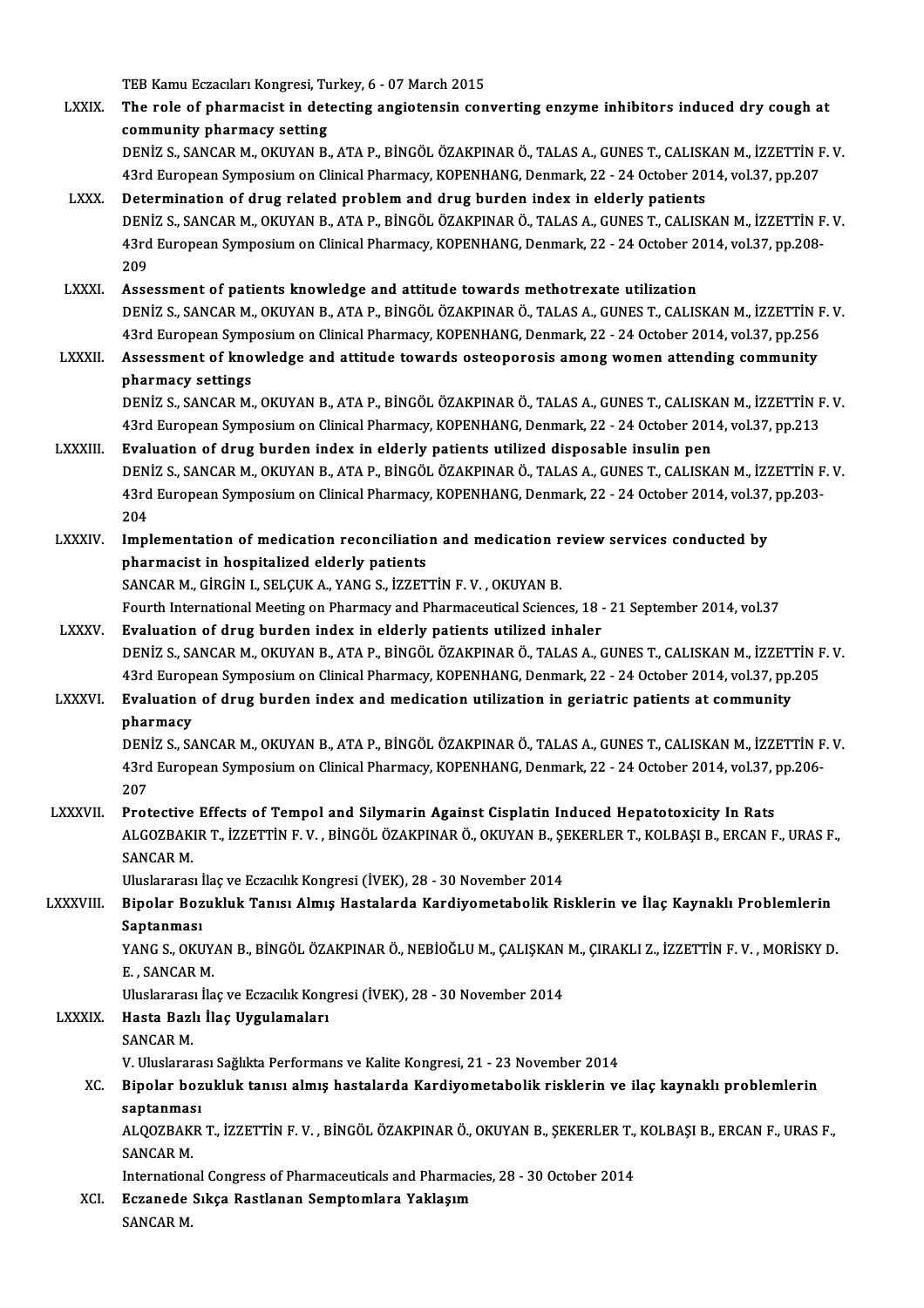TEB Kamu Eczacıları Kongresi, Turkey, 6 - 07 March 2015<br>The role of pharmagist in detesting angietanein son

|                 | TEB Kamu Eczacıları Kongresi, Turkey, 6 - 07 March 2015                                                                                                                                                 |
|-----------------|---------------------------------------------------------------------------------------------------------------------------------------------------------------------------------------------------------|
| <b>LXXIX</b>    | The role of pharmacist in detecting angiotensin converting enzyme inhibitors induced dry cough at                                                                                                       |
|                 | community pharmacy setting                                                                                                                                                                              |
|                 | DENİZ S., SANCAR M., OKUYAN B., ATA P., BİNGÖL ÖZAKPINAR Ö., TALAS A., GUNES T., CALISKAN M., İZZETTİN F. V.                                                                                            |
|                 | 43rd European Symposium on Clinical Pharmacy, KOPENHANG, Denmark, 22 - 24 October 2014, vol.37, pp.207                                                                                                  |
| <b>LXXX</b>     | Determination of drug related problem and drug burden index in elderly patients<br>DENIZ S., SANCAR M., OKUYAN B., ATA P., BINGÖL ÖZAKPINAR Ö., TALAS A., GUNES T., CALISKAN M., İZZETTİN F.V.          |
|                 | 43rd European Symposium on Clinical Pharmacy, KOPENHANG, Denmark, 22 - 24 October 2014, vol.37, pp.208-                                                                                                 |
|                 | 209                                                                                                                                                                                                     |
| <b>LXXXI</b>    | Assessment of patients knowledge and attitude towards methotrexate utilization                                                                                                                          |
|                 | DENIZ S., SANCAR M., OKUYAN B., ATA P., BINGÖL ÖZAKPINAR Ö., TALAS A., GUNES T., CALISKAN M., İZZETTİN F. V.                                                                                            |
|                 | 43rd European Symposium on Clinical Pharmacy, KOPENHANG, Denmark, 22 - 24 October 2014, vol.37, pp.256                                                                                                  |
| <b>LXXXII</b>   | Assessment of knowledge and attitude towards osteoporosis among women attending community                                                                                                               |
|                 | pharmacy settings                                                                                                                                                                                       |
|                 | DENIZ S., SANCAR M., OKUYAN B., ATA P., BINGÖL ÖZAKPINAR Ö., TALAS A., GUNES T., CALISKAN M., İZZETTİN F.V.                                                                                             |
| LXXXIII.        | 43rd European Symposium on Clinical Pharmacy, KOPENHANG, Denmark, 22 - 24 October 2014, vol.37, pp.213<br>Evaluation of drug burden index in elderly patients utilized disposable insulin pen           |
|                 | DENIZ S., SANCAR M., OKUYAN B., ATA P., BINGÖL ÖZAKPINAR Ö., TALAS A., GUNES T., CALISKAN M., IZZETTIN F. V.                                                                                            |
|                 | 43rd European Symposium on Clinical Pharmacy, KOPENHANG, Denmark, 22 - 24 October 2014, vol.37, pp.203-                                                                                                 |
|                 | 204                                                                                                                                                                                                     |
| LXXXIV.         | Implementation of medication reconciliation and medication review services conducted by                                                                                                                 |
|                 | pharmacist in hospitalized elderly patients                                                                                                                                                             |
|                 | SANCAR M., GİRGİN I., SELÇUK A., YANG S., İZZETTİN F. V., OKUYAN B.                                                                                                                                     |
|                 | Fourth International Meeting on Pharmacy and Pharmaceutical Sciences, 18 - 21 September 2014, vol.37                                                                                                    |
| <b>LXXXV</b>    | Evaluation of drug burden index in elderly patients utilized inhaler                                                                                                                                    |
|                 | DENIZ S., SANCAR M., OKUYAN B., ATA P., BINGÖL ÖZAKPINAR Ö., TALAS A., GUNES T., CALISKAN M., İZZETTİN F.V.                                                                                             |
| <b>LXXXVI</b> . | 43rd European Symposium on Clinical Pharmacy, KOPENHANG, Denmark, 22 - 24 October 2014, vol.37, pp.205<br>Evaluation of drug burden index and medication utilization in geriatric patients at community |
|                 | pharmacy                                                                                                                                                                                                |
|                 | DENIZ S., SANCAR M., OKUYAN B., ATA P., BINGÖL ÖZAKPINAR Ö., TALAS A., GUNES T., CALISKAN M., İZZETTİN F. V.                                                                                            |
|                 | 43rd European Symposium on Clinical Pharmacy, KOPENHANG, Denmark, 22 - 24 October 2014, vol.37, pp.206-                                                                                                 |
|                 | 207                                                                                                                                                                                                     |
| <b>LXXXVII</b>  | Protective Effects of Tempol and Silymarin Against Cisplatin Induced Hepatotoxicity In Rats                                                                                                             |
|                 | ALGOZBAKIR T., İZZETTİN F.V., BİNGÖL ÖZAKPINAR Ö., OKUYAN B., ŞEKERLER T., KOLBAŞI B., ERCAN F., URAS F.,                                                                                               |
|                 | <b>SANCAR M.</b>                                                                                                                                                                                        |
| LXXXVIII.       | Uluslararası İlaç ve Eczacılık Kongresi (İVEK), 28 - 30 November 2014<br>Bipolar Bozukluk Tanısı Almış Hastalarda Kardiyometabolik Risklerin ve İlaç Kaynaklı Problemlerin                              |
|                 | Saptanması                                                                                                                                                                                              |
|                 | YANG S., OKUYAN B., BİNGÖL ÖZAKPINAR Ö., NEBİOĞLU M., ÇALIŞKAN M., ÇIRAKLI Z., İZZETTİN F. V., MORİSKY D.                                                                                               |
|                 | E, SANCAR M                                                                                                                                                                                             |
|                 | Uluslararası İlaç ve Eczacılık Kongresi (İVEK), 28 - 30 November 2014                                                                                                                                   |
| <b>LXXXIX</b>   | Hasta Bazlı İlaç Uygulamaları                                                                                                                                                                           |
|                 | <b>SANCAR M.</b>                                                                                                                                                                                        |
|                 | V. Uluslararası Sağlıkta Performans ve Kalite Kongresi, 21 - 23 November 2014                                                                                                                           |
| XC.             | Bipolar bozukluk tanısı almış hastalarda Kardiyometabolik risklerin ve ilaç kaynaklı problemlerin                                                                                                       |
|                 | saptanması<br>ALQOZBAKR T., İZZETTİN F.V., BİNGÖL ÖZAKPINAR Ö., OKUYAN B., ŞEKERLER T., KOLBAŞI B., ERCAN F., URAS F.,                                                                                  |
|                 | <b>SANCAR M.</b>                                                                                                                                                                                        |
|                 | International Congress of Pharmaceuticals and Pharmacies, 28 - 30 October 2014                                                                                                                          |
| XCI.            | Eczanede Sıkça Rastlanan Semptomlara Yaklaşım                                                                                                                                                           |
|                 | SANCAR M.                                                                                                                                                                                               |
|                 |                                                                                                                                                                                                         |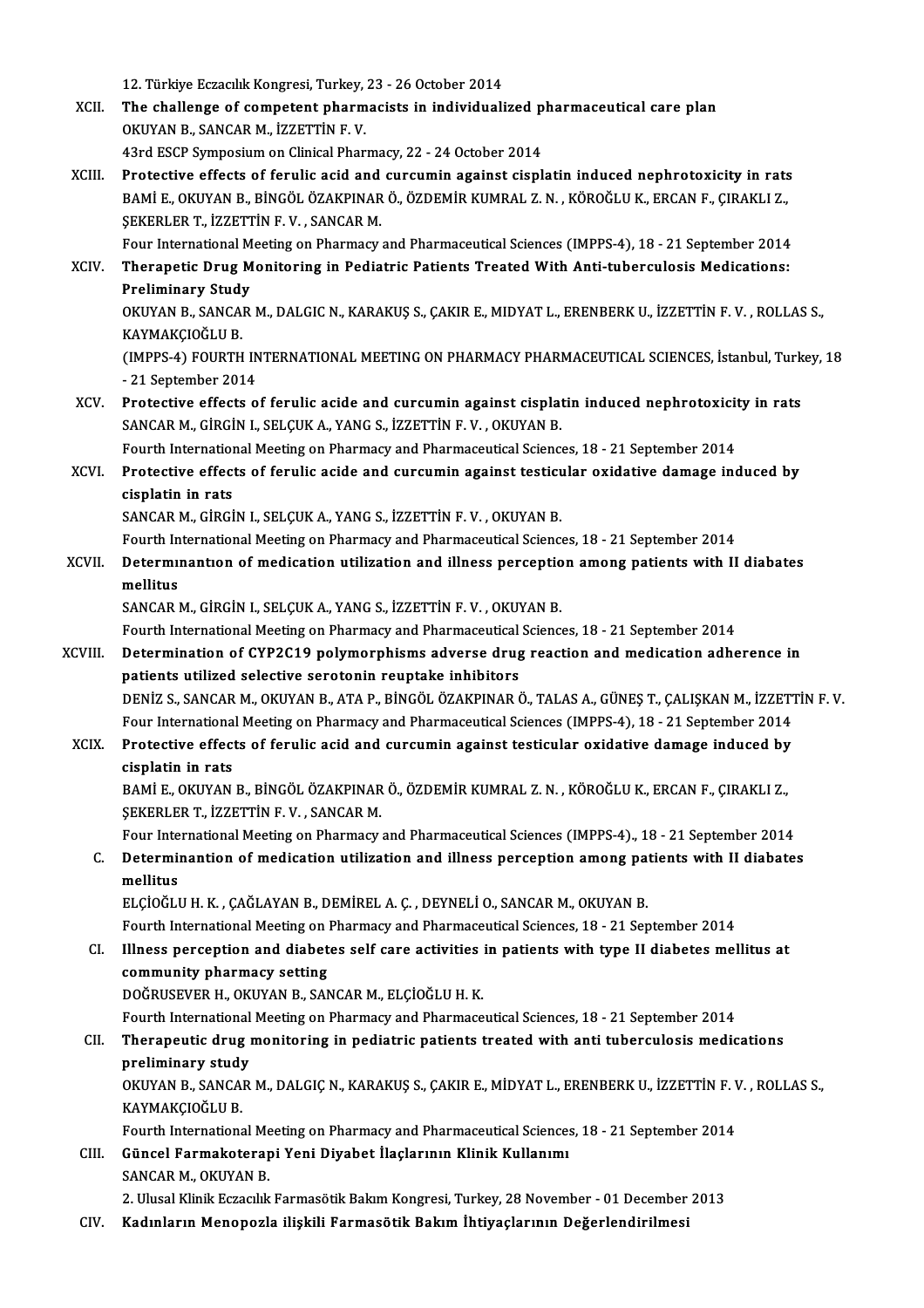12. Türkiye Eczacılık Kongresi, Turkey, 23 - 26 October 2014<br>The shallange of compatent pharmacists in individuali

12. Türkiye Eczacılık Kongresi, Turkey, 23 - 26 October 2014<br>XCII. The challenge of competent pharmacists in individualized pharmaceutical care plan<br>OVIVAN B. SANGAR M. İZZETTİN E V 12. Türkiye Eczacılık Kongresi, Turkey,<br>The challenge of competent pharm<br>OKUYAN B., SANCAR M., İZZETTİN F. V.<br>42rd ESCP Sumpesium on Clinisel Phar The challenge of competent pharmacists in individualized p<br>OKUYAN B., SANCAR M., İZZETTİN F. V.<br>43rd ESCP Symposium on Clinical Pharmacy, 22 - 24 October 2014<br>Protestive effects of forulis asid and sursumin essinst sianl OKUYAN B., SANCAR M., İZZETTİN F. V.<br>43rd ESCP Symposium on Clinical Pharmacy, 22 - 24 October 2014<br>XCIII. Protective effects of ferulic acid and curcumin against cisplatin induced nephrotoxicity in rats

43rd ESCP Symposium on Clinical Pharmacy, 22 - 24 October 2014<br>Protective effects of ferulic acid and curcumin against cisplatin induced nephrotoxicity in rats<br>BAMİ E., OKUYAN B., BİNGÖL ÖZAKPINAR Ö., ÖZDEMİR KUMRAL Z.N. , Protective effects of ferulic acid and<br>BAMİ E., OKUYAN B., BİNGÖL ÖZAKPINAR<br>ŞEKERLER T., İZZETTİN F. V. , SANCAR M.<br>Four International Meeting en Bharmagy BAMİ E., OKUYAN B., BİNGÖL ÖZAKPINAR Ö., ÖZDEMİR KUMRAL Z. N. , KÖROĞLU K., ERCAN F., ÇIRAKLI Z.,<br>ŞEKERLER T., İZZETTİN F. V. , SANCAR M.<br>Four International Meeting on Pharmacy and Pharmaceutical Sciences (IMPPS-4), 18 - 2

### \$EKERLER T., İZZETTİN F. V. , SANCAR M.<br>Four International Meeting on Pharmacy and Pharmaceutical Sciences (IMPPS-4), 18 - 21 September 2014<br>XCIV. Therapetic Drug Monitoring in Pediatric Patients Treated With Anti-tube Four International M<br>Therapetic Drug M<br>Preliminary Study<br>OVUYAN B. SANCAR Therapetic Drug Monitoring in Pediatric Patients Treated With Anti-tuberculosis Medications:<br>Preliminary Study<br>OKUYAN B., SANCAR M., DALGIC N., KARAKUŞ S., ÇAKIR E., MIDYAT L., ERENBERK U., İZZETTİN F. V. , ROLLAS S.,<br>KAYM

Preliminary Study<br>OKUYAN B., SANCAR M., DALGIC N., KARAKUŞ S., ÇAKIR E., MIDYAT L., ERENBERK U., İZZETTİN F. V. , ROLLAS S.,<br>KAYMAKCIOĞLU B. OKUYAN B., SANCAR M., DALGIC N., KARAKUŞ S., ÇAKIR E., MIDYAT L., ERENBERK U., İZZETTİN F. V. , ROLLAS S.,<br>KAYMAKÇIOĞLU B.<br>(IMPPS-4) FOURTH INTERNATIONAL MEETING ON PHARMACY PHARMACEUTICAL SCIENCES, İstanbul, Turkey, 18<br>-

KAYMAKÇIOĞLU B.<br>(IMPPS-4) FOURTH IN<br>- 21 September 2014<br>Protective effects e (IMPPS-4) FOURTH INTERNATIONAL MEETING ON PHARMACY PHARMACEUTICAL SCIENCES, İstanbul, Turk<br>21 September 2014<br>XCV. Protective effects of ferulic acide and curcumin against cisplatin induced nephrotoxicity in rats<br>SANGARM CI

-21 September 2014<br>Protective effects of ferulic acide and curcumin against cisplat<br>SANCAR M., GİRGİN I., SELÇUK A., YANG S., İZZETTİN F. V. , OKUYAN B. Protective effects of ferulic acide and curcumin against cisplatin induced nephrotoxicit<br>SANCAR M., GİRGİN I., SELÇUK A., YANG S., İZZETTİN F. V. , OKUYAN B.<br>Fourth International Meeting on Pharmacy and Pharmaceutical Scie

Fourth International Meeting on Pharmacy and Pharmaceutical Sciences, 18 - 21 September 2014

XCVI. Protective effects of ferulic acide and curcumin against testicular oxidative damage induced by cisplatin in rats<br>SANCAR M., GİRGİN I., SELÇUK A., YANG S., İZZETTİN F. V. , OKUYAN B.<br>Fourth International Meeting on Pharmacy and Pharmaceutical Sciences, 18 - 21 September 2014<br>Determinantion of modisation utilization a

SANCAR M., GİRGİN I., SELÇUK A., YANG S., İZZETTİN F. V., OKUYAN B.

### XCVII. Determinantion of medication utilization and illness perception among patients with II diabates mellitus Fourth In<br>Determu<br>mellitus<br>SANCAR I mellitus<br>SANCAR M., GİRGİN I., SELÇUK A., YANG S., İZZETTİN F. V. , OKUYAN B.<br>Fourth International Meeting on Pharmacy and Pharmaceutical Sciences, 18 - 21 September 2014<br>Determination of CYR2C19 nolumernbisms adverse drug

SANCAR M., GİRGİN I., SELÇUK A., YANG S., İZZETTİN F.V., OKUYAN B.

#### XCVIII. Determination of CYP2C19 polymorphisms adverse drug reaction and medication adherence in<br>patients utilized selective serotonin reuptake inhibitors Fourth International Meeting on Pharmacy and Pharmaceutical<br>Determination of CYP2C19 polymorphisms adverse drug<br>patients utilized selective serotonin reuptake inhibitors<br>DENIZ S. SANCAR M. OVIWAN R. ATA R. RINCÕI ÖZAVRINAR DENİZ S.,SANCARM.,OKUYANB.,ATAP.,BİNGÖLÖZAKPINARÖ.,TALASA.,GÜNEŞT.,ÇALIŞKANM., İZZETTİNF.V. patients utilized selective serotonin reuptake inhibitors<br>DENİZ S., SANCAR M., OKUYAN B., ATA P., BİNGÖL ÖZAKPINAR Ö., TALAS A., GÜNEŞ T., ÇALIŞKAN M., İZZETT<br>Four International Meeting on Pharmacy and Pharmaceutical Scien DENİZ S., SANCAR M., OKUYAN B., ATA P., BİNGÖL ÖZAKPINAR Ö., TALAS A., GÜNEŞ T., ÇALIŞKAN M., İZZETT<br>Four International Meeting on Pharmacy and Pharmaceutical Sciences (IMPPS-4), 18 - 21 September 2014<br>XCIX. Protective eff

# Four Internationa<br>Protective effect<br>cisplatin in rats<br>PAMI E OVIWAN Protective effects of ferulic acid and curcumin against testicular oxidative damage induced by<br>cisplatin in rats<br>BAMİ E., OKUYAN B., BİNGÖL ÖZAKPINAR Ö., ÖZDEMİR KUMRAL Z.N. , KÖROĞLU K., ERCAN F., ÇIRAKLI Z.,<br>SEKERLER T.

cisplatin in rats<br>BAMİ E., OKUYAN B., BİNGÖL ÖZAKPINAR<br>ŞEKERLER T., İZZETTİN F. V. , SANCAR M.<br>Four International Meeting en Bharmagy. BAMİ E., OKUYAN B., BİNGÖL ÖZAKPINAR Ö., ÖZDEMİR KUMRAL Z. N. , KÖROĞLU K., ERCAN F., ÇIRAKLI Z.,<br>ŞEKERLER T., İZZETTİN F. V. , SANCAR M.<br>Four International Meeting on Pharmacy and Pharmaceutical Sciences (IMPPS-4)., 18 -

### SEKERLER T., İZZETTİN F. V. , SANCAR M.<br>Four International Meeting on Pharmacy and Pharmaceutical Sciences (IMPPS-4)., 18 - 21 September 2014<br>C. Determinantion of medication utilization and illness perception among patient Four Inte<br>Determii<br>mellitus<br>ELCIOČIJ Determinantion of medication utilization and illness perception among paralitus<br>mellitus<br>ELÇİOĞLU H.K. , ÇAĞLAYAN B., DEMİREL A. Ç. , DEYNELİ O., SANCAR M., OKUYAN B.<br>Fourth International Meeting on Pharmagy and Pharmageut mellitus<br>ELÇİOĞLU H. K. , ÇAĞLAYAN B., DEMİREL A. Ç. , DEYNELİ O., SANCAR M., OKUYAN B.<br>Fourth International Meeting on Pharmacy and Pharmaceutical Sciences, 18 - 21 September 2014<br>Illness persention and diabetes self sare

## ELÇİOĞLU H. K., ÇAĞLAYAN B., DEMİREL A. Ç., DEYNELİ O., SANCAR M., OKUYAN B.<br>Fourth International Meeting on Pharmacy and Pharmaceutical Sciences, 18 - 21 September 2014<br>CI. Illness perception and diabetes self care activi Fourth International Meeting on 1<br>Illness perception and diabet<br>community pharmacy setting<br>DOČPUSEVER HOVIVAN ROAD community pharmacy setting<br>DOĞRUSEVER H., OKUYAN B., SANCAR M., ELÇİOĞLU H. K.<br>Fourth International Meeting on Pharmacy and Pharmaceutical Sciences, 18 - 21 September 2014<br>Thereneutis drug monitoring in nodiatris patients

DOĞRUSEVERH.,OKUYANB.,SANCARM.,ELÇİOĞLUH.K.

#### CII. Therapeutic drug monitoring in pediatric patients treated with anti tuberculosis medications<br>preliminary study Fourth International<br>Therapeutic drug<br>preliminary study<br>OVUYAN B. SANCAR Therapeutic drug monitoring in pediatric patients treated with anti tuberculosis medications<br>preliminary study<br>OKUYAN B., SANCAR M., DALGIÇ N., KARAKUŞ S., ÇAKIR E., MİDYAT L., ERENBERK U., İZZETTİN F. V. , ROLLAS S.,<br>KAYM

preliminary study<br>OKUYAN B., SANCA<br>KAYMAKÇIOĞLU B.<br>Equrb Internations OKUYAN B., SANCAR M., DALGIÇ N., KARAKUŞ S., ÇAKIR E., MİDYAT L., ERENBERK U., İZZETTİN F. \<br>KAYMAKÇIOĞLU B.<br>Fourth International Meeting on Pharmacy and Pharmaceutical Sciences, 18 - 21 September 2014<br>Cüneel Earmakatarani

#### KAYMAKÇIOĞLU B.<br>Fourth International Meeting on Pharmacy and Pharmaceutical Sciences<br>CIII. Güncel Farmakoterapi Yeni Diyabet İlaçlarının Klinik Kullanımı<br>SANGAR M. QKUYAN B Fourth International Me<br>Güncel Farmakoterap<br>SANCAR M., OKUYAN B.<br>2. Hlusel Klinik Farasılık 2. Ulusal Klinik Eczacılık Farmasötik Bakım Kongresi, Turkey, 28 November - 01 December 2013<br>2. Ulusal Klinik Eczacılık Farmasötik Bakım Kongresi, Turkey, 28 November - 01 December 2013

CIV. Kadınların Menopozla ilişkili Farmasötik Bakım İhtiyaçlarının Değerlendirilmesi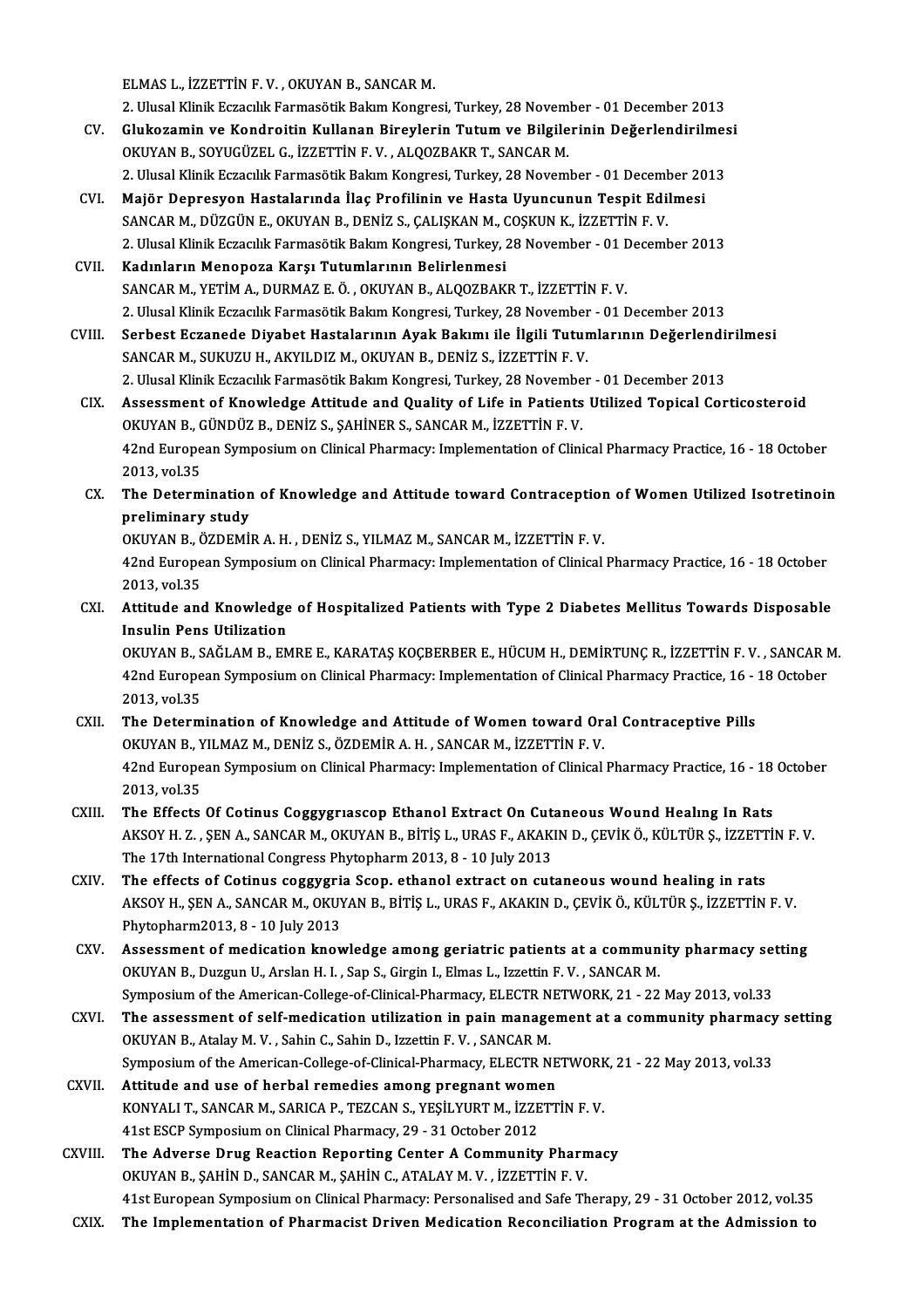ELMAS L., İZZETTİN F.V., OKUYAN B., SANCARM.

ELMAS L., İZZETTİN F. V. , OKUYAN B., SANCAR M.<br>2. Ulusal Klinik Eczacılık Farmasötik Bakım Kongresi, Turkey, 28 November - 01 December 2013<br>Clukegemin ve Kondrejtin Kullanan Binevlerin Tutum ve Bilgilerinin Değerlendirilm

- ELMAS L., İZZETTİN F. V. , OKUYAN B., SANCAR M.<br>2. Ulusal Klinik Eczacılık Farmasötik Bakım Kongresi, Turkey, 28 November 01 December 2013<br>CV. Glukozamin ve Kondroitin Kullanan Bireylerin Tutum ve Bilgilerinin Değerlendi 2. Ulusal Klinik Eczacılık Farmasötik Bakım Kongresi, Turkey, 28 Novem<br>Glukozamin ve Kondroitin Kullanan Bireylerin Tutum ve Bilgile<br>OKUYAN B., SOYUGÜZEL G., İZZETTİN F. V. , ALQOZBAKR T., SANCAR M.<br>2. Ulusal Klinik Farsal Glukozamin ve Kondroitin Kullanan Bireylerin Tutum ve Bilgilerinin Değerlendirilmes<br>OKUYAN B., SOYUGÜZEL G., İZZETTİN F. V. , ALQOZBAKR T., SANCAR M.<br>2. Ulusal Klinik Eczacılık Farmasötik Bakım Kongresi, Turkey, 28 Novembe OKUYAN B., SOYUGÜZEL G., İZZETTİN F. V. , ALQOZBAKR T., SANCAR M.<br>2. Ulusal Klinik Eczacılık Farmasötik Bakım Kongresi, Turkey, 28 November - 01 December 20<br>CVI. Majör Depresyon Hastalarında İlaç Profilinin ve Hasta Uyuncu
	-
- 2. Ulusal Klinik Eczacılık Farmasötik Bakım Kongresi, Turkey, 28 November 01 December 2013<br>Majör Depresyon Hastalarında İlaç Profilinin ve Hasta Uyuncunun Tespit Edilmesi<br>SANCAR M., DÜZGÜN E., OKUYAN B., DENİZ S., ÇALIŞK Majör Depresyon Hastalarında İlaç Profilinin ve Hasta Uyuncunun Tespit Edilmesi<br>SANCAR M., DÜZGÜN E., OKUYAN B., DENİZ S., ÇALIŞKAN M., COŞKUN K., İZZETTİN F. V.<br>2. Ulusal Klinik Eczacılık Farmasötik Bakım Kongresi, Turkey

CVII. Kadınların Menopoza Karşı Tutumlarının Belirlenmesi SANCARM.,YETİMA.,DURMAZ E.Ö. ,OKUYANB.,ALQOZBAKRT., İZZETTİNF.V. 2. Ulusal Klinik Eczacılık Farmasötik Bakım Kongresi, Turkey, 28 November - 01 December 2013

CVIII. Serbest Eczanede Diyabet Hastalarının Ayak Bakımı ile İlgili Tutumlarının Değerlendirilmesi SANCAR M., SUKUZU H., AKYILDIZ M., OKUYAN B., DENİZ S., İZZETTİN F. V. Serbest Eczanede Diyabet Hastalarının Ayak Bakımı ile İlgili Tutumlarının Değerlendi:<br>SANCAR M., SUKUZU H., AKYILDIZ M., OKUYAN B., DENİZ S., İZZETTİN F. V.<br>2. Ulusal Klinik Eczacılık Farmasötik Bakım Kongresi, Turkey, 28 SANCAR M., SUKUZU H., AKYILDIZ M., OKUYAN B., DENİZ S., İZZETTİN F. V.<br>2. Ulusal Klinik Eczacılık Farmasötik Bakım Kongresi, Turkey, 28 November - 01 December 2013<br>CIX. Assessment of Knowledge Attitude and Quality of Life

2. Ulusal Klinik Eczacılık Farmasötik Bakım Kongresi, Turkey, 28 Novembe<br>Assessment of Knowledge Attitude and Quality of Life in Patients<br>OKUYAN B., GÜNDÜZ B., DENİZ S., ŞAHİNER S., SANCAR M., İZZETTİN F. V.<br>42nd European Assessment of Knowledge Attitude and Quality of Life in Patients Utilized Topical Corticosteroid<br>OKUYAN B., GÜNDÜZ B., DENİZ S., ŞAHİNER S., SANCAR M., İZZETTİN F. V.<br>42nd European Symposium on Clinical Pharmacy: Implement OKUYAN B., GÜNDÜZ B., DENİZ S., ŞAHİNER S., SANCAR M., İZZETTİN F. V.<br>42nd European Symposium on Clinical Pharmacy: Implementation of Clinical Pharmacy Practice, 16 - 18 October<br>2013. vol.35 42nd European Symposium on Clinical Pharmacy: Implementation of Clinical Pharmacy Practice, 16 - 18 October<br>2013, vol.35<br>CX. The Determination of Knowledge and Attitude toward Contraception of Women Utilized Isotretinoin<br>n

2013, vol.35<br>The Determination<br>preliminary study<br>OVUVAN B. ÖZDEMÜ The Determination of Knowledge and Attitude toward Contraception<br>preliminary study<br>OKUYAN B., ÖZDEMİR A.H., DENİZ S., YILMAZ M., SANCAR M., İZZETTİN F. V.<br>42nd European Symposium an Clinical Pharmagy Implementation of Clin

preliminary study<br>OKUYAN B., ÖZDEMİR A. H. , DENİZ S., YILMAZ M., SANCAR M., İZZETTİN F. V.<br>42nd European Symposium on Clinical Pharmacy: Implementation of Clinical Pharmacy Practice, 16 - 18 October<br>2013, vol.35 OKUYAN B., ÖZDEMİR A.H., DENİZ S., YILMAZ M., SANCAR M., İZZETTİN F.V. 42nd European Symposium on Clinical Pharmacy: Implementation of Clinical Pharmacy Practice, 16 - 18 October<br>2013, vol.35<br>CXI. Attitude and Knowledge of Hospitalized Patients with Type 2 Diabetes Mellitus Towards Disposable

2013, vol.35<br>Attitude and Knowledge<br>Insulin Pens Utilization<br>OKUVAN P. SAČLAM P. FM Attitude and Knowledge of Hospitalized Patients with Type 2 Diabetes Mellitus Towards Disposable<br>Insulin Pens Utilization<br>OKUYAN B., SAĞLAM B., EMRE E., KARATAŞ KOÇBERBER E., HÜCUM H., DEMİRTUNÇ R., İZZETTİN F. V. , SANCAR

Insulin Pens Utilization<br>OKUYAN B., SAĞLAM B., EMRE E., KARATAŞ KOÇBERBER E., HÜCUM H., DEMİRTUNÇ R., İZZETTİN F. V. , SANCAR I<br>42nd European Symposium on Clinical Pharmacy: Implementation of Clinical Pharmacy Practice, 16 OKUYAN B., S<br>42nd Europe<br>2013, vol.35<br>The Determ 42nd European Symposium on Clinical Pharmacy: Implementation of Clinical Pharmacy Practice, 16 -<br>2013, vol.35<br>CXII. The Determination of Knowledge and Attitude of Women toward Oral Contraceptive Pills<br>OVIVAN B. VII MAZ M.

### 2013, vol.35<br>The Determination of Knowledge and Attitude of Women toward Org<br>OKUYAN B., YILMAZ M., DENİZ S., ÖZDEMİR A. H. , SANCAR M., İZZETTİN F. V.<br>42nd Europeen Symposium en Clinisel Bharmagy Implementation of Clinisel The Determination of Knowledge and Attitude of Women toward Oral Contraceptive Pills<br>OKUYAN B., YILMAZ M., DENİZ S., ÖZDEMİR A. H. , SANCAR M., İZZETTİN F. V.<br>42nd European Symposium on Clinical Pharmacy: Implementation of OKUYAN B., YILMAZ M., DENİZ S., ÖZDEMİR A. H. , SANCAR M., İZZETTİN F. V.<br>42nd European Symposium on Clinical Pharmacy: Implementation of Clinical Pharmacy Practice, 16 - 18 October<br>2013, vol.35 42nd European Symposium on Clinical Pharmacy: Implementation of Clinical Pharmacy Practice, 16 - 18<br>2013, vol.35<br>CXIII. The Effects Of Cotinus Coggygriascop Ethanol Extract On Cutaneous Wound Healing In Rats

- 2013, vol.35<br>The Effects Of Cotinus Coggygriascop Ethanol Extract On Cutaneous Wound Healing In Rats<br>AKSOY H. Z. , ŞEN A., SANCAR M., OKUYAN B., BİTİŞ L., URAS F., AKAKIN D., ÇEVİK Ö., KÜLTÜR Ş., İZZETTİN F. V.<br>The 17th In The Effects Of Cotinus Coggygriascop Ethanol Extract On Cuta<br>AKSOY H. Z. , ŞEN A., SANCAR M., OKUYAN B., BİTİŞ L., URAS F., AKAK<br>The 17th International Congress Phytopharm 2013, 8 - 10 July 2013<br>The effects of Cotinus cogg AKSOY H. Z., ŞEN A., SANCAR M., OKUYAN B., BİTİŞ L., URAS F., AKAKIN D., ÇEVİK Ö., KÜLTÜR Ş., İZZETT<br>The 17th International Congress Phytopharm 2013, 8 - 10 July 2013<br>CXIV. The effects of Cotinus coggygria Scop. ethanol ex
- The 17th International Congress Phytopharm 2013, 8 10 July 2013<br>The effects of Cotinus coggygria Scop. ethanol extract on cutaneous wound healing in rats<br>AKSOY H., ŞEN A., SANCAR M., OKUYAN B., BİTİŞ L., URAS F., AKAKIN The effects of Cotinus coggygri:<br>AKSOY H., ŞEN A., SANCAR M., OKUY<br>Phytopharm2013, 8 - 10 July 2013 AKSOY H., ŞEN A., SANCAR M., OKUYAN B., BİTİŞ L., URAS F., AKAKIN D., ÇEVİK Ö., KÜLTÜR Ş., İZZETTİN F. V.<br>Phytopharm2013, 8 - 10 July 2013<br>CXV. Assessment of medication knowledge among geriatric patients at a community pha
- Phytopharm2013, 8 10 July 2013<br>Assessment of medication knowledge among geriatric patients at a community pharmacy setting<br>OKUYAN B., Duzgun U., Arslan H. I. , Sap S., Girgin I., Elmas L., Izzettin F. V. , SANCAR M. Symposium of the American-College-of-Clinical-Pharmacy, ELECTR NETWORK, 21 - 22 May 2013, vol.33 OKUYAN B., Duzgun U., Arslan H. I. , Sap S., Girgin I., Elmas L., Izzettin F. V. , SANCAR M.<br>Symposium of the American-College-of-Clinical-Pharmacy, ELECTR NETWORK, 21 - 22 May 2013, vol.33<br>CXVI. The assessment of self-med
- Symposium of the American-College-of-Clinical-Pharmacy, ELECTR N<br>The assessment of self-medication utilization in pain manage<br>OKUYAN B., Atalay M. V. , Sahin C., Sahin D., Izzettin F. V. , SANCAR M.<br>Symposium of the Americ The assessment of self-medication utilization in pain management at a community pharmacy<br>OKUYAN B., Atalay M. V. , Sahin C., Sahin D., Izzettin F. V. , SANCAR M.<br>Symposium of the American-College-of-Clinical-Pharmacy, ELEC OKUYAN B., Atalay M. V., Sahin C., Sahin D., Izzettin F. V., SANCAR M.<br>Symposium of the American-College-of-Clinical-Pharmacy, ELECTR NE<br>CXVII. Attitude and use of herbal remedies among pregnant women<br>CONVALLT, SANCAR M. S
- Symposium of the American-College-of-Clinical-Pharmacy, ELECTR NETWORK<br>Attitude and use of herbal remedies among pregnant women<br>KONYALI T., SANCAR M., SARICA P., TEZCAN S., YEŞİLYURT M., İZZETTİN F. V.<br>41st ESCR Symposium Attitude and use of herbal remedies among pregnant women<br>KONYALI T., SANCAR M., SARICA P., TEZCAN S., YEŞİLYURT M., İZZETTİN F. V.<br>41st ESCP Symposium on Clinical Pharmacy, 29 - 31 October 2012 KONYALI T., SANCAR M., SARICA P., TEZCAN S., YEŞİLYURT M., İZZETTİN F. V.<br>41st ESCP Symposium on Clinical Pharmacy, 29 - 31 October 2012<br>CXVIII. The Adverse Drug Reaction Reporting Center A Community Pharmacy<br>OVIIVAN B. SA
- 41st ESCP Symposium on Clinical Pharmacy, 29 31 October 2012<br>The Adverse Drug Reaction Reporting Center A Community Pharn<br>OKUYAN B., ŞAHİN D., SANCAR M., ŞAHİN C., ATALAY M. V. , İZZETTİN F. V.<br>41st European Symposium on 0KUYAN B., ŞAHİN D., SANCAR M., ŞAHİN C., ATALAY M. V. , İZZETTİN F. V.<br>41st European Symposium on Clinical Pharmacy: Personalised and Safe Therapy, 29 - 31 October 2012, vol.35
- CXIX. The Implementation of Pharmacist Driven Medication Reconciliation Program at the Admission to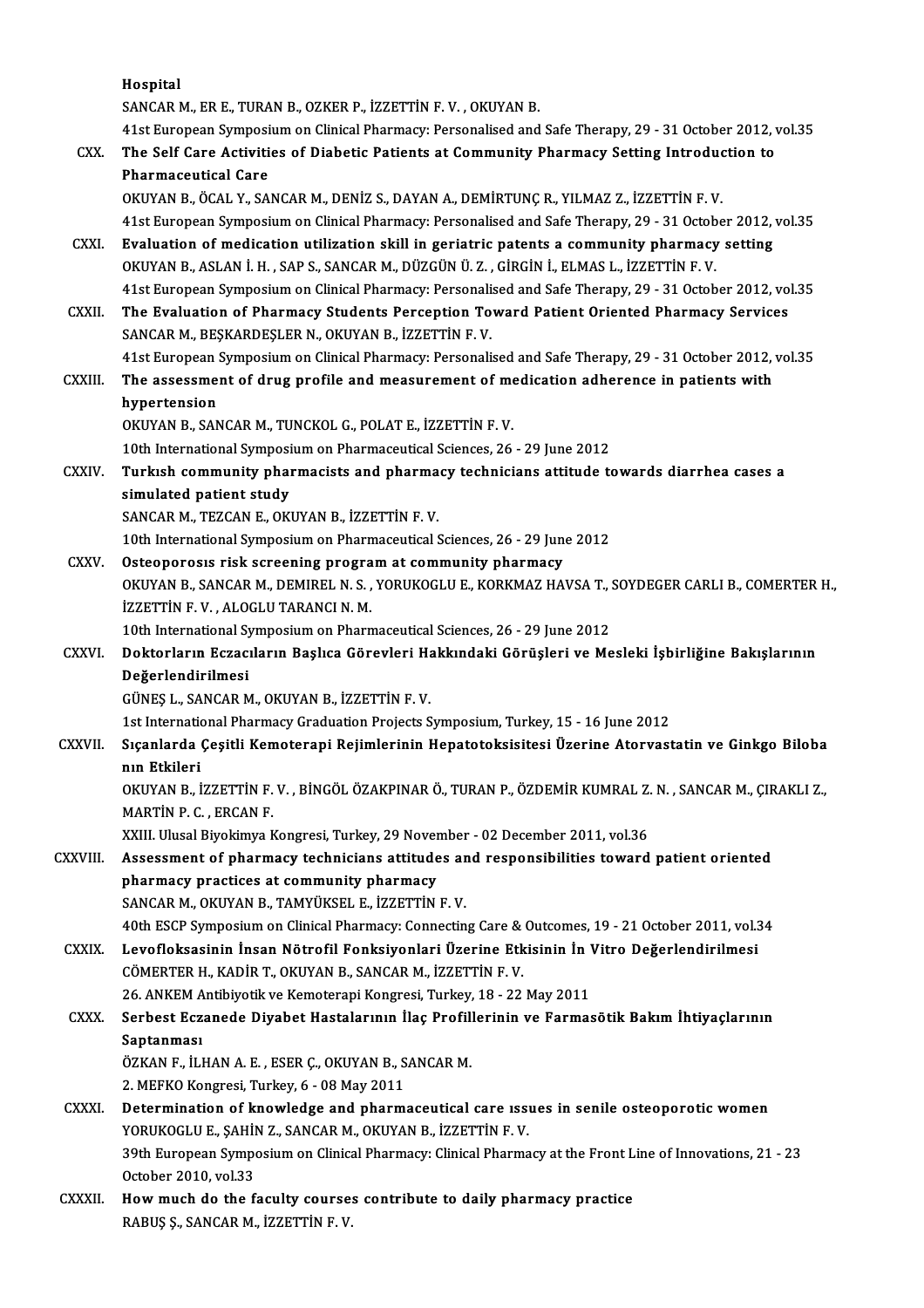|               | Hospital                                                                                                  |
|---------------|-----------------------------------------------------------------------------------------------------------|
|               | SANCAR M., ER E., TURAN B., OZKER P., İZZETTİN F.V., OKUYAN B.                                            |
|               | 41st European Symposium on Clinical Pharmacy: Personalised and Safe Therapy, 29 - 31 October 2012, vol.35 |
| CXX.          | The Self Care Activities of Diabetic Patients at Community Pharmacy Setting Introduction to               |
|               | <b>Pharmaceutical Care</b>                                                                                |
|               | OKUYAN B., ÖCAL Y., SANCAR M., DENİZ S., DAYAN A., DEMİRTUNÇ R., YILMAZ Z., İZZETTİN F.V.                 |
|               | 41st European Symposium on Clinical Pharmacy: Personalised and Safe Therapy, 29 - 31 October 2012, vol.35 |
| <b>CXXI</b>   | Evaluation of medication utilization skill in geriatric patents a community pharmacy setting              |
|               | OKUYAN B., ASLAN İ. H., SAP S., SANCAR M., DÜZGÜN Ü. Z., GİRGİN İ., ELMAS L., İZZETTİN F. V.              |
|               | 41st European Symposium on Clinical Pharmacy: Personalised and Safe Therapy, 29 - 31 October 2012, vol.35 |
| <b>CXXII</b>  | The Evaluation of Pharmacy Students Perception Toward Patient Oriented Pharmacy Services                  |
|               | SANCAR M., BEŞKARDEŞLER N., OKUYAN B., İZZETTİN F. V.                                                     |
|               | 41st European Symposium on Clinical Pharmacy: Personalised and Safe Therapy, 29 - 31 October 2012, vol.35 |
| <b>CXXIII</b> | The assessment of drug profile and measurement of medication adherence in patients with                   |
|               | hypertension                                                                                              |
|               | OKUYAN B., SANCAR M., TUNCKOL G., POLAT E., İZZETTİN F.V.                                                 |
|               | 10th International Symposium on Pharmaceutical Sciences, 26 - 29 June 2012                                |
| CXXIV.        | Turkish community pharmacists and pharmacy technicians attitude towards diarrhea cases a                  |
|               | simulated patient study                                                                                   |
|               | SANCAR M., TEZCAN E., OKUYAN B., İZZETTİN F.V.                                                            |
|               | 10th International Symposium on Pharmaceutical Sciences, 26 - 29 June 2012                                |
| CXXV.         | Osteoporosis risk screening program at community pharmacy                                                 |
|               | OKUYAN B., SANCAR M., DEMIREL N. S., YORUKOGLU E., KORKMAZ HAVSA T., SOYDEGER CARLI B., COMERTER H.,      |
|               | İZZETTİN F.V., ALOGLU TARANCI N. M.                                                                       |
|               | 10th International Symposium on Pharmaceutical Sciences, 26 - 29 June 2012                                |
| <b>CXXVI</b>  | Doktorların Eczacıların Başlıca Görevleri Hakkındaki Görüşleri ve Mesleki İşbirliğine Bakışlarının        |
|               | Değerlendirilmesi                                                                                         |
|               | GÜNEŞ L., SANCAR M., OKUYAN B., İZZETTİN F. V.                                                            |
|               | 1st International Pharmacy Graduation Projects Symposium, Turkey, 15 - 16 June 2012                       |
| <b>CXXVII</b> | Sıçanlarda Çeşitli Kemoterapi Rejimlerinin Hepatotoksisitesi Üzerine Atorvastatin ve Ginkgo Biloba        |
|               | nın Etkileri                                                                                              |
|               | OKUYAN B., İZZETTİN F.V., BİNGÖL ÖZAKPINAR Ö., TURAN P., ÖZDEMİR KUMRAL Z.N., SANCAR M., ÇIRAKLI Z.,      |
|               | MARTIN P. C., ERCAN F.                                                                                    |
|               | XXIII. Ulusal Biyokimya Kongresi, Turkey, 29 November - 02 December 2011, vol.36                          |
| CXXVIII.      | Assessment of pharmacy technicians attitudes and responsibilities toward patient oriented                 |
|               | pharmacy practices at community pharmacy                                                                  |
|               | SANCAR M., OKUYAN B., TAMYÜKSEL E., İZZETTİN F.V.                                                         |
|               | 40th ESCP Symposium on Clinical Pharmacy: Connecting Care & Outcomes, 19 - 21 October 2011, vol.34        |
| <b>CXXIX</b>  | Levofloksasinin İnsan Nötrofil Fonksiyonlari Üzerine Etkisinin İn Vitro Değerlendirilmesi                 |
|               | CÖMERTER H., KADİR T., OKUYAN B., SANCAR M., İZZETTİN F. V.                                               |
|               | 26. ANKEM Antibiyotik ve Kemoterapi Kongresi, Turkey, 18 - 22 May 2011                                    |
| CXXX.         | Serbest Eczanede Diyabet Hastalarının İlaç Profillerinin ve Farmasötik Bakım İhtiyaçlarının               |
|               | Saptanması                                                                                                |
|               | ÖZKAN F., İLHAN A. E., ESER Ç., OKUYAN B., SANCAR M.                                                      |
|               | 2. MEFKO Kongresi, Turkey, 6 - 08 May 2011                                                                |
| <b>CXXXI</b>  | Determination of knowledge and pharmaceutical care issues in senile osteoporotic women                    |
|               | YORUKOGLU E., ŞAHİN Z., SANCAR M., OKUYAN B., İZZETTİN F. V.                                              |
|               | 39th European Symposium on Clinical Pharmacy: Clinical Pharmacy at the Front Line of Innovations, 21 - 23 |
|               | October 2010, vol.33                                                                                      |
| CXXXII.       | How much do the faculty courses contribute to daily pharmacy practice                                     |
|               | RABUŞ Ş., SANCAR M., İZZETTİN F.V.                                                                        |
|               |                                                                                                           |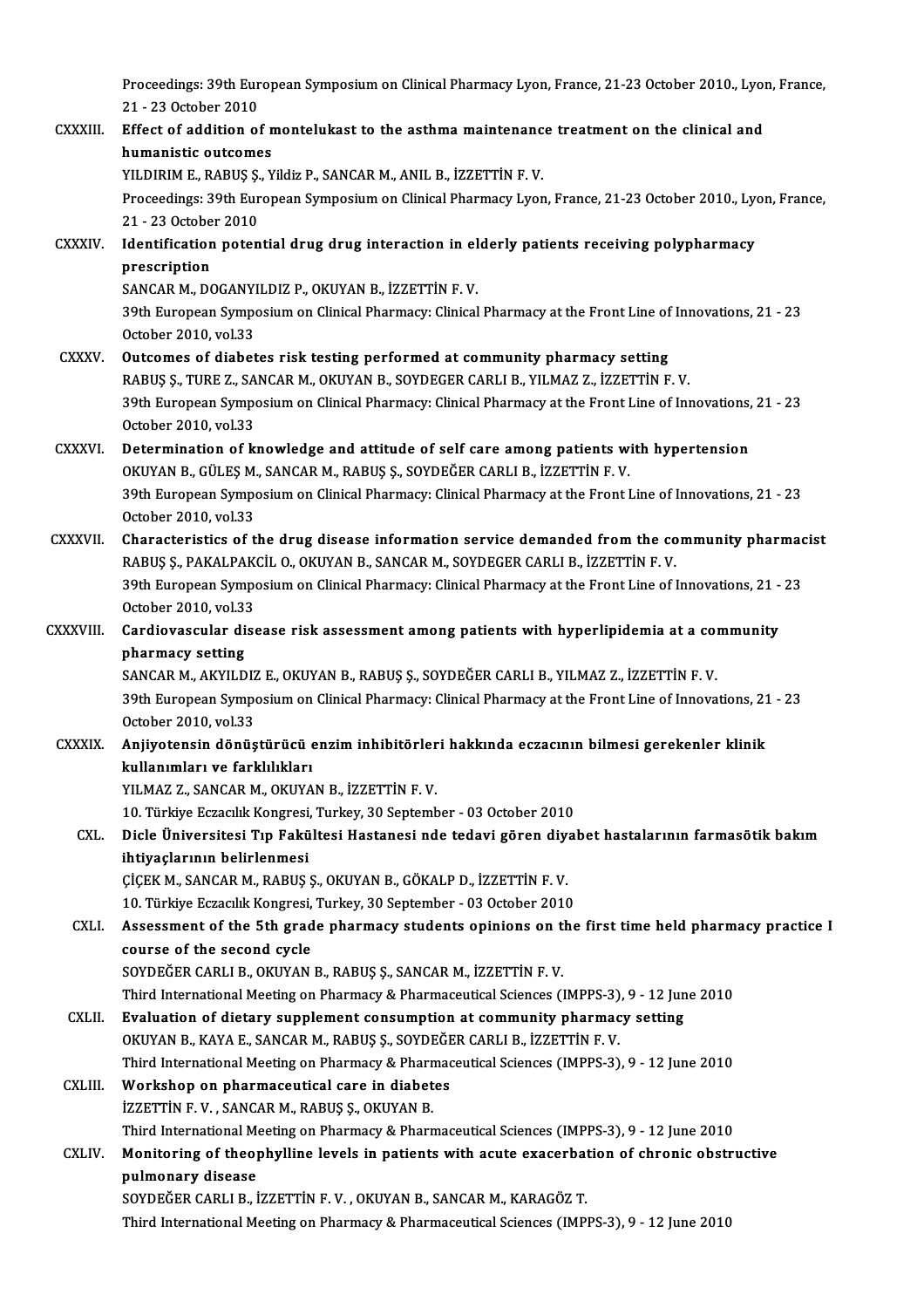Proceedings: 39th European Symposium on Clinical Pharmacy Lyon, France, 21-23 October 2010., Lyon, France,<br>21 - 22 October 2010. Proceedings: 39th Eur<br>21 - 23 October 2010<br>Effect of addition of

Proceedings: 39th European Symposium on Clinical Pharmacy Lyon, France, 21-23 October 2010., Lyon<br>21 - 23 October 2010<br>CXXXIII. Effect of addition of montelukast to the asthma maintenance treatment on the clinical and<br>hymo 21 - 23 October 2010<br>Effect of addition of n<br>humanistic outcomes<br>VU DIPIM E, BABUS S, V Effect of addition of montelukast to the asthma maintenanc<br>humanistic outcomes<br>YILDIRIM E., RABUŞ Ş., Yildiz P., SANCAR M., ANIL B., İZZETTİN F. V.<br>Preseedings: 20th European Symnesium en Clinical Pharmagy Lyon humanistic outcomes<br>YILDIRIM E., RABUŞ Ş., Yildiz P., SANCAR M., ANIL B., İZZETTİN F. V.<br>Proceedings: 39th European Symposium on Clinical Pharmacy Lyon, France, 21-23 October 2010., Lyon, France,<br>21 - 23 October 2010. YILDIRIM E., RABUŞ Ş.<br>Proceedings: 39th Eur<br>21 - 23 October 2010<br>Identification natan Proceedings: 39th European Symposium on Clinical Pharmacy Lyon, France, 21-23 October 2010., Lyon 21 - 23 October 2010<br>CXXXIV. Identification potential drug drug interaction in elderly patients receiving polypharmacy<br>necer 21 - 23 Octobe<br>Identification<br>prescription<br>SANCAP M. DC Identification potential drug drug interaction in el<br>prescription<br>SANCAR M., DOGANYILDIZ P., OKUYAN B., İZZETTİN F. V.<br>20th European Symposium on Clinical Pharmagy Clinical prescription<br>SANCAR M., DOGANYILDIZ P., OKUYAN B., İZZETTİN F. V.<br>39th European Symposium on Clinical Pharmacy: Clinical Pharmacy at the Front Line of Innovations, 21 - 23<br>October 2010. vol.33 SANCAR M., DOGANYILDIZ P., OKUYAN B., İZZETTİN F. V. CXXXV. Outcomes of diabetes risk testing performed at community pharmacy setting October 2010, vol.33<br>Outcomes of diabetes risk testing performed at community pharmacy setting<br>RABUŞ Ş., TURE Z., SANCAR M., OKUYAN B., SOYDEGER CARLI B., YILMAZ Z., İZZETTİN F. V.<br>20th European Symposium on Clinical Pharm Outcomes of diabetes risk testing performed at community pharmacy setting<br>RABUŞ Ş., TURE Z., SANCAR M., OKUYAN B., SOYDEGER CARLI B., YILMAZ Z., İZZETTİN F. V.<br>39th European Symposium on Clinical Pharmacy: Clinical Pharmac RABUŞ Ş., TURE Z., SA<br>39th European Sympo<br>October 2010, vol.33<br>Determination of Is 39th European Symposium on Clinical Pharmacy: Clinical Pharmacy at the Front Line of Innovations,<br>October 2010, vol.33<br>CXXXVI. Determination of knowledge and attitude of self care among patients with hypertension<br>OVIWAN P. October 2010, vol.33<br>Determination of knowledge and attitude of self care among patients with hypertension Determination of knowledge and attitude of self care among patients with hypertension<br>OKUYAN B., GÜLEŞ M., SANCAR M., RABUŞ Ş., SOYDEĞER CARLI B., İZZETTİN F. V.<br>39th European Symposium on Clinical Pharmacy: Clinical Pharm OKUYAN B., GÜLEŞ M., SANCAR M., RABUŞ Ş., SOYDEĞER CARLI B., İZZETTİN F. V.<br>39th European Symposium on Clinical Pharmacy: Clinical Pharmacy at the Front Line of Innovations, 21 - 23<br>October 2010, vol.33<br>Characteristics of 39th European Symposium on Clinical Pharmacy: Clinical Pharmacy at the Front Line of Innovations, 21 - 23<br>October 2010, vol.33<br>CXXXVII. Characteristics of the drug disease information service demanded from the community ph RABUŞ Ş., PAKALPAKCİL O., OKUYAN B., SANCAR M., SOYDEGER CARLI B., İZZETTİN F. V. Characteristics of the drug disease information service demanded from the community pharmac<br>RABUŞ Ş., PAKALPAKCİL O., OKUYAN B., SANCAR M., SOYDEGER CARLI B., İZZETTİN F. V.<br>39th European Symposium on Clinical Pharmacy: Cl RABUŞ Ş., PAKALPAK<br>39th European Sympo<br>October 2010, vol.33<br>Cardiauascular diss 39th European Symposium on Clinical Pharmacy: Clinical Pharmacy at the Front Line of Innovations, 21 -<br>October 2010, vol.33<br>CXXXVIII. Cardiovascular disease risk assessment among patients with hyperlipidemia at a community October 2010, vol.33<br>Cardiovascular di<br>pharmacy setting<br>SANGAB M AKYU D Cardiovascular disease risk assessment among patients with hyperlipidemia at a complement of the setting setting<br>SANCAR M., AKYILDIZ E., OKUYAN B., RABUŞ Ş., SOYDEĞER CARLI B., YILMAZ Z., İZZETTİN F. V.<br>20th European Sympa pharmacy setting<br>SANCAR M., AKYILDIZ E., OKUYAN B., RABUŞ Ş., SOYDEĞER CARLI B., YILMAZ Z., İZZETTİN F. V.<br>39th European Symposium on Clinical Pharmacy: Clinical Pharmacy at the Front Line of Innovations, 21 - 23<br>October 2 SANCAR M., AKYILDIZ E., OKUYAN B., RABUS S., SOYDEĞER CARLI B., YILMAZ Z., İZZETTİN F. V. 39th European Symposium on Clinical Pharmacy: Clinical Pharmacy at the Front Line of Innovations, 21<br>October 2010, vol.33<br>CXXXIX. Anjiyotensin dönüştürücü enzim inhibitörleri hakkında eczacının bilmesi gerekenler klinik<br>In October 2010, vol.33<br>Anjiyotensin dönüştürücü e<br>kullanımları ve farklılıkları<br><sup>VII MA7 7, SANCAR M. O</sub>VIIVA</sup> kullanımları ve farklılıkları<br>YILMAZ Z., SANCAR M., OKUYAN B., İZZETTİN F. V. kullanımları ve farklılıkları<br>YILMAZ Z., SANCAR M., OKUYAN B., İZZETTİN F. V.<br>10. Türkiye Eczacılık Kongresi, Turkey, 30 September - 03 October 2010<br>Diele Üniversitesi Tın Eakültesi Hastanesi nde tedevi gören divel YILMAZ Z., SANCAR M., OKUYAN B., İZZETTİN F. V.<br>10. Türkiye Eczacılık Kongresi, Turkey, 30 September - 03 October 2010<br>CXL. Dicle Üniversitesi Tıp Fakültesi Hastanesi nde tedavi gören diyabet hastalarının farmasötik ba 10. Türkiye Eczacılık Kongresi,<br>Dicle Üniversitesi Tıp Fakü<br>ihtiyaçlarının belirlenmesi<br>CİCEK M. SANGAR M. BARUS Dicle Üniversitesi Tıp Fakültesi Hastanesi nde tedavi gören diy;<br>ihtiyaçlarının belirlenmesi<br>ÇİÇEKM., SANCARM., RABUŞ Ş., OKUYAN B., GÖKALP D., İZZETTİN F. V.<br>10 Türliye Estasılık Kanstasi Turkey, 20 Santambar, 02 Ostabar ihtiyaçlarının belirlenmesi<br>10. Çiçek M., SANCAR M., RABUŞ Ş., OKUYAN B., GÖKALP D., İZZETTİN F. V.<br>10. Türkiye Eczacılık Kongresi, Turkey, 30 September - 03 October 2010 CICEK M., SANCAR M., RABUŞ Ş., OKUYAN B., GÖKALP D., İZZETTİN F. V.<br>10. Türkiye Eczacılık Kongresi, Turkey, 30 September - 03 October 2010<br>CXLI. Assessment of the 5th grade pharmacy students opinions on the first time held 10. Türkiye Eczacılık Kongresi,<br>Assessment of the 5th grad<br>course of the second cycle<br>SOVDEČER CARLLE OKUVAN Assessment of the 5th grade pharmacy students opinions on the<br>course of the second cycle<br>SOYDEĞER CARLI B., OKUYAN B., RABUŞ Ş., SANCAR M., İZZETTİN F. V.<br>Third International Meeting on Pharmagy & Pharmageutical Sciences ( course of the second cycle<br>SOYDEĞER CARLI B., OKUYAN B., RABUŞ Ş., SANCAR M., İZZETTİN F. V.<br>Third International Meeting on Pharmacy & Pharmaceutical Sciences (IMPPS-3), 9 - 12 June 2010<br>Evaluation of distary sunnlament so SOYDEĞER CARLI B., OKUYAN B., RABUŞ Ş., SANCAR M., İZZETTİN F. V.<br>Third International Meeting on Pharmacy & Pharmaceutical Sciences (IMPPS-3), 9 - 12 Jun<br>CXLII. Evaluation of dietary supplement consumption at community pha Third International Meeting on Pharmacy & Pharmaceutical Sciences (IMPPS-3)<br>Evaluation of dietary supplement consumption at community pharmac<br>OKUYAN B., KAYA E., SANCAR M., RABUŞ Ş., SOYDEĞER CARLI B., İZZETTİN F. V.<br>Third Evaluation of dietary supplement consumption at community pharmacy setting<br>OKUYAN B., KAYA E., SANCAR M., RABUŞ Ş., SOYDEĞER CARLI B., İZZETTİN F. V.<br>Third International Meeting on Pharmacy & Pharmaceutical Sciences (IMPPS OKUYAN B., KAYA E., SANCAR M., RABUŞ Ş., SOYDEĞER CARLI B., İZZETTİN F. V.<br>Third International Meeting on Pharmacy & Pharmaceutical Sciences (IMPPS-3)<br>CXLIII. Workshop on pharmaceutical care in diabetes<br>İZZETTİN F. V., SAN Third International Meeting on Pharmacy & Pharn<br>Workshop on pharmaceutical care in diabet<br>İZZETTİN F.V., SANCAR M., RABUŞ Ş., OKUYAN B.<br>Third International Meeting en Pharmacy & Pharn Third International Meeting on Pharmacy & Pharmaceutical Sciences (IMPPS-3), 9 - 12 June 2010 iZZETTİN F. V. , SANCAR M., RABUŞ Ş., OKUYAN B.<br>Third International Meeting on Pharmacy & Pharmaceutical Sciences (IMPPS-3), 9 - 12 June 2010<br>CXLIV. Monitoring of theophylline levels in patients with acute exacerbation of Third International Me<br>Monitoring of theol<br>pulmonary disease<br>SOVDEČER CABLLB i Monitoring of theophylline levels in patients with acute exacerbat<br>pulmonary disease<br>SOYDEĞER CARLI B., İZZETTİN F. V. , OKUYAN B., SANCAR M., KARAGÖZ T.<br>Third International Meeting on Pharmagy & Pharmagytical Sciences (IM pulmonary disease<br>SOYDEĞER CARLI B., İZZETTİN F. V. , OKUYAN B., SANCAR M., KARAGÖZ T.<br>Third International Meeting on Pharmacy & Pharmaceutical Sciences (IMPPS-3), 9 - 12 June 2010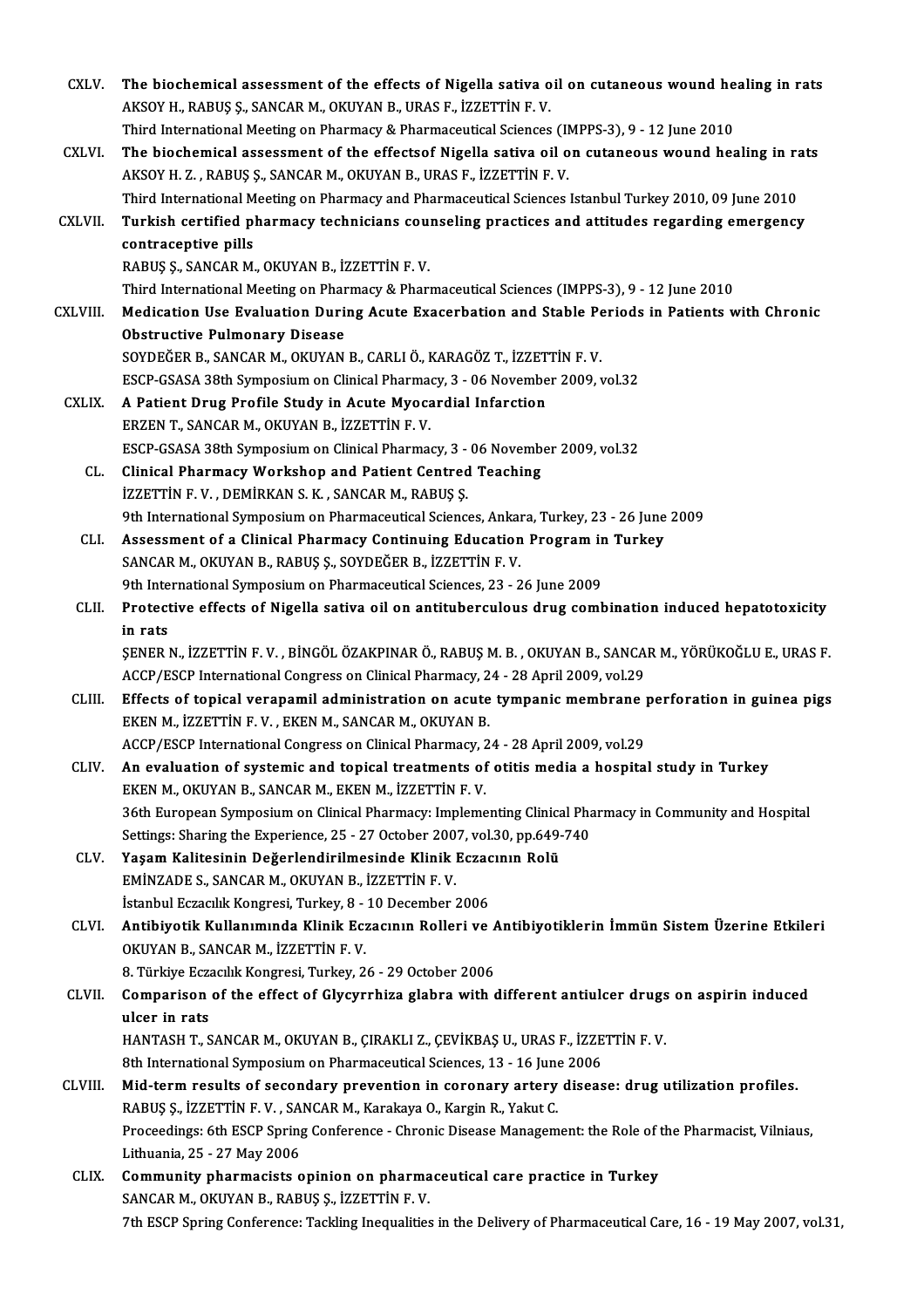| CXLV.          | The biochemical assessment of the effects of Nigella sativa oil on cutaneous wound healing in rats                                                           |
|----------------|--------------------------------------------------------------------------------------------------------------------------------------------------------------|
|                | AKSOY H., RABUŞ Ş., SANCAR M., OKUYAN B., URAS F., İZZETTİN F. V.                                                                                            |
|                | Third International Meeting on Pharmacy & Pharmaceutical Sciences (IMPPS-3), 9 - 12 June 2010                                                                |
| CXLVI.         | The biochemical assessment of the effectsof Nigella sativa oil on cutaneous wound healing in rats                                                            |
|                | AKSOY H. Z., RABUŞ Ş., SANCAR M., OKUYAN B., URAS F., İZZETTİN F. V.                                                                                         |
|                | Third International Meeting on Pharmacy and Pharmaceutical Sciences Istanbul Turkey 2010, 09 June 2010                                                       |
| <b>CXLVII.</b> | Turkish certified pharmacy technicians counseling practices and attitudes regarding emergency                                                                |
|                | contraceptive pills                                                                                                                                          |
|                | RABUŞ Ş., SANCAR M., OKUYAN B., İZZETTİN F. V.                                                                                                               |
|                | Third International Meeting on Pharmacy & Pharmaceutical Sciences (IMPPS-3), 9 - 12 June 2010                                                                |
| CXLVIII.       | Medication Use Evaluation During Acute Exacerbation and Stable Periods in Patients with Chronic                                                              |
|                | <b>Obstructive Pulmonary Disease</b>                                                                                                                         |
|                | SOYDEĞER B., SANCAR M., OKUYAN B., CARLI Ö., KARAGÖZ T., İZZETTİN F. V.                                                                                      |
| <b>CXLIX</b>   | ESCP-GSASA 38th Symposium on Clinical Pharmacy, 3 - 06 November 2009, vol.32<br>A Patient Drug Profile Study in Acute Myocardial Infarction                  |
|                | ERZEN T., SANCAR M., OKUYAN B., İZZETTİN F.V.                                                                                                                |
|                | ESCP-GSASA 38th Symposium on Clinical Pharmacy, 3 - 06 November 2009, vol.32                                                                                 |
| CL.            | Clinical Pharmacy Workshop and Patient Centred Teaching                                                                                                      |
|                | İZZETTİN F.V., DEMİRKAN S.K., SANCAR M., RABUŞ Ş.                                                                                                            |
|                | 9th International Symposium on Pharmaceutical Sciences, Ankara, Turkey, 23 - 26 June 2009                                                                    |
| CLI.           | Assessment of a Clinical Pharmacy Continuing Education Program in Turkey                                                                                     |
|                | SANCAR M., OKUYAN B., RABUŞ Ş., SOYDEĞER B., İZZETTİN F. V.                                                                                                  |
|                | 9th International Symposium on Pharmaceutical Sciences, 23 - 26 June 2009                                                                                    |
| CLII.          | Protective effects of Nigella sativa oil on antituberculous drug combination induced hepatotoxicity                                                          |
|                | in rats                                                                                                                                                      |
|                | ŞENER N., İZZETTİN F.V., BİNGÖL ÖZAKPINAR Ö., RABUŞ M. B., OKUYAN B., SANCAR M., YÖRÜKOĞLU E., URAS F.                                                       |
|                | ACCP/ESCP International Congress on Clinical Pharmacy, 24 - 28 April 2009, vol.29                                                                            |
| CLIII.         | Effects of topical verapamil administration on acute tympanic membrane perforation in guinea pigs<br>EKEN M., İZZETTİN F. V. , EKEN M., SANCAR M., OKUYAN B. |
|                | ACCP/ESCP International Congress on Clinical Pharmacy, 24 - 28 April 2009, vol.29                                                                            |
| CLIV.          | An evaluation of systemic and topical treatments of otitis media a hospital study in Turkey                                                                  |
|                | EKEN M., OKUYAN B., SANCAR M., EKEN M., İZZETTİN F. V.                                                                                                       |
|                | 36th European Symposium on Clinical Pharmacy: Implementing Clinical Pharmacy in Community and Hospital                                                       |
|                | Settings: Sharing the Experience, 25 - 27 October 2007, vol.30, pp.649-740                                                                                   |
| CLV.           | Yaşam Kalitesinin Değerlendirilmesinde Klinik Eczacının Rolü                                                                                                 |
|                | EMİNZADE S., SANCAR M., OKUYAN B., İZZETTİN F.V.                                                                                                             |
|                | İstanbul Eczacılık Kongresi, Turkey, 8 - 10 December 2006                                                                                                    |
| CLVI.          | Antibiyotik Kullanımında Klinik Eczacının Rolleri ve Antibiyotiklerin İmmün Sistem Üzerine Etkileri                                                          |
|                | OKUYAN B., SANCAR M., İZZETTİN F.V.                                                                                                                          |
|                | 8. Türkiye Eczacılık Kongresi, Turkey, 26 - 29 October 2006                                                                                                  |
| CLVII.         | Comparison of the effect of Glycyrrhiza glabra with different antiulcer drugs on aspirin induced<br>ulcer in rats                                            |
|                | HANTASH T., SANCAR M., OKUYAN B., ÇIRAKLI Z., ÇEVİKBAŞ U., URAS F., İZZETTİN F. V.                                                                           |
|                | 8th International Symposium on Pharmaceutical Sciences, 13 - 16 June 2006                                                                                    |
| CLVIII.        | Mid-term results of secondary prevention in coronary artery disease: drug utilization profiles.                                                              |
|                | RABUŞ Ş., İZZETTİN F.V., SANCAR M., Karakaya O., Kargin R., Yakut C.                                                                                         |
|                | Proceedings: 6th ESCP Spring Conference - Chronic Disease Management: the Role of the Pharmacist, Vilniaus,                                                  |
|                | Lithuania, 25 - 27 May 2006                                                                                                                                  |
| CLIX.          | Community pharmacists opinion on pharmaceutical care practice in Turkey                                                                                      |
|                | SANCAR M., OKUYAN B., RABUŞ Ş., İZZETTİN F.V.                                                                                                                |
|                | 7th ESCP Spring Conference: Tackling Inequalities in the Delivery of Pharmaceutical Care, 16 - 19 May 2007, vol.31,                                          |
|                |                                                                                                                                                              |